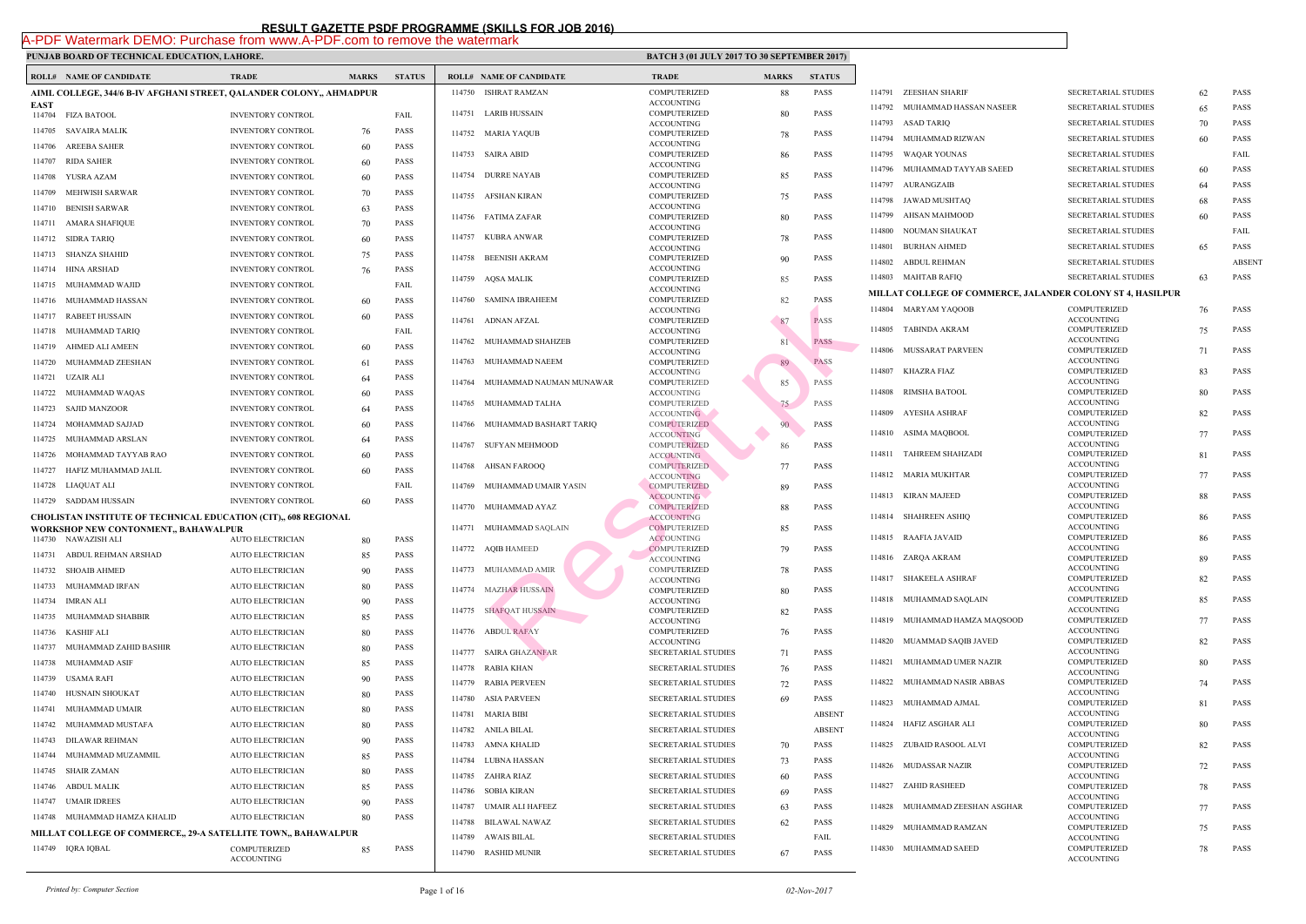## PUNJAB BOARD OF TECHNICAL EDUCATION, LAHORE.

|                  | <b>ROLL# NAME OF CANDIDATE</b>                                      | <b>TRADE</b>                                         | <b>MARKS</b> | <b>STATUS</b>              |        | <b>ROLL# NAME OF CANDIDATE</b> | <b>TRAL</b>                      |
|------------------|---------------------------------------------------------------------|------------------------------------------------------|--------------|----------------------------|--------|--------------------------------|----------------------------------|
|                  | AIML COLLEGE, 344/6 B-IV AFGHANI STREET, QALANDER COLONY,, AHMADPUR |                                                      |              |                            |        | 114750 ISHRAT RAMZAN           | <b>COMP</b>                      |
| <b>EAST</b>      |                                                                     |                                                      |              |                            |        | 114751 LARIB HUSSAIN           | <b>ACCO</b><br><b>COMP</b>       |
| 114704           | <b>FIZA BATOOL</b>                                                  | <b>INVENTORY CONTROL</b>                             |              | FAIL                       |        |                                | <b>ACCO</b>                      |
| 114705           | SAVAIRA MALIK<br><b>AREEBA SAHER</b>                                | <b>INVENTORY CONTROL</b>                             | 76           | <b>PASS</b>                |        | 114752 MARIA YAQUB             | <b>COMP</b><br><b>ACCO</b>       |
| 114706<br>114707 | <b>RIDA SAHER</b>                                                   | <b>INVENTORY CONTROL</b>                             | 60           | <b>PASS</b><br><b>PASS</b> |        | 114753 SAIRA ABID              | <b>COMP</b>                      |
| 114708           | YUSRA AZAM                                                          | <b>INVENTORY CONTROL</b>                             | 60           | <b>PASS</b>                |        | 114754 DURRE NAYAB             | <b>ACCO</b><br><b>COMP</b>       |
| 114709           | MEHWISH SARWAR                                                      | <b>INVENTORY CONTROL</b><br><b>INVENTORY CONTROL</b> | 60           | <b>PASS</b>                |        |                                | <b>ACCO</b>                      |
| 114710           | <b>BENISH SARWAR</b>                                                | <b>INVENTORY CONTROL</b>                             | 70           | <b>PASS</b>                |        | 114755 AFSHAN KIRAN            | <b>COMP</b><br><b>ACCO</b>       |
|                  |                                                                     |                                                      | 63           |                            |        | 114756 FATIMA ZAFAR            | <b>COMP</b>                      |
| 114711           | <b>AMARA SHAFIQUE</b><br><b>SIDRA TARIQ</b>                         | <b>INVENTORY CONTROL</b>                             | 70           | PASS<br><b>PASS</b>        | 114757 | KUBRA ANWAR                    | <b>ACCO</b><br><b>COMP</b>       |
| 114712           |                                                                     | <b>INVENTORY CONTROL</b>                             | 60           |                            |        |                                | <b>ACCO</b>                      |
|                  | 114713 SHANZA SHAHID                                                | <b>INVENTORY CONTROL</b>                             | 75           | <b>PASS</b>                | 114758 | <b>BEENISH AKRAM</b>           | <b>COMP</b><br><b>ACCO</b>       |
| 114714           | HINA ARSHAD                                                         | <b>INVENTORY CONTROL</b>                             | 76           | <b>PASS</b>                | 114759 | AQSA MALIK                     | <b>COMP</b>                      |
| 114715           | MUHAMMAD WAJID                                                      | <b>INVENTORY CONTROL</b>                             |              | FAIL                       | 114760 | SAMINA IBRAHEEM                | <b>ACCO</b><br><b>COMP</b>       |
| 114716           | MUHAMMAD HASSAN                                                     | <b>INVENTORY CONTROL</b>                             | 60           | <b>PASS</b>                |        |                                | <b>ACCO</b>                      |
| 114717           | <b>RABEET HUSSAIN</b>                                               | <b>INVENTORY CONTROL</b>                             | 60           | <b>PASS</b>                |        | 114761 ADNAN AFZAL             | <b>COMP</b>                      |
| 114718           | MUHAMMAD TARIO                                                      | <b>INVENTORY CONTROL</b>                             |              | FAIL                       |        | 114762 MUHAMMAD SHAHZEB        | <b>ACCO</b><br><b>COMP</b>       |
| 114719           | AHMED ALI AMEEN                                                     | <b>INVENTORY CONTROL</b>                             | 60           | <b>PASS</b>                |        |                                | <b>ACCO</b>                      |
| 114720           | MUHAMMAD ZEESHAN                                                    | <b>INVENTORY CONTROL</b>                             | 61           | <b>PASS</b>                | 114763 | MUHAMMAD NAEEM                 | <b>COMP</b><br><b>ACCO</b>       |
| 114721           | UZAIR ALI                                                           | <b>INVENTORY CONTROL</b>                             | 64           | <b>PASS</b>                | 114764 | MUHAMMAD NAUMAN MUNAWAR        | <b>COMP</b>                      |
| 114722           | MUHAMMAD WAQAS                                                      | <b>INVENTORY CONTROL</b>                             | 60           | <b>PASS</b>                |        | 114765 MUHAMMAD TALHA          | <b>ACCO</b><br>COMP              |
| 114723           | <b>SAJID MANZOOR</b>                                                | <b>INVENTORY CONTROL</b>                             | 64           | <b>PASS</b>                |        |                                | <b>ACCO</b>                      |
| 114724           | MOHAMMAD SAJJAD                                                     | <b>INVENTORY CONTROL</b>                             | 60           | <b>PASS</b>                | 114766 | MUHAMMAD BASHART TARIQ         | <b>COMP</b><br>ACCO <sup>1</sup> |
| 114725           | MUHAMMAD ARSLAN                                                     | <b>INVENTORY CONTROL</b>                             | 64           | <b>PASS</b>                |        | 114767 SUFYAN MEHMOOD          | <b>COMP</b>                      |
| 114726           | MOHAMMAD TAYYAB RAO                                                 | <b>INVENTORY CONTROL</b>                             | 60           | <b>PASS</b>                |        | 114768 AHSAN FAROOQ            | <b>ACCO</b><br><b>COMP</b>       |
| 114727           | HAFIZ MUHAMMAD JALIL                                                | <b>INVENTORY CONTROL</b>                             | 60           | <b>PASS</b>                |        |                                | <b>ACCO</b>                      |
| 114728           | LIAQUAT ALI                                                         | <b>INVENTORY CONTROL</b>                             |              | FAIL                       |        | 114769 MUHAMMAD UMAIR YASIN    | <b>COMP</b><br>ACCO <sup>®</sup> |
| 114729           | SADDAM HUSSAIN                                                      | <b>INVENTORY CONTROL</b>                             | 60           | <b>PASS</b>                |        | 114770 MUHAMMAD AYAZ           | <b>COMP</b>                      |
|                  | CHOLISTAN INSTITUTE OF TECHNICAL EDUCATION (CIT),, 608 REGIONAL     |                                                      |              |                            |        |                                | <b>ACCO</b>                      |
|                  | WORKSHOP NEW CONTONMENT,, BAHAWALPUR<br>114730 NAWAZISH ALI         | <b>AUTO ELECTRICIAN</b>                              | 80           | PASS                       |        | 114771 MUHAMMAD SAQLAIN        | <b>COMP</b><br><b>ACCO</b>       |
|                  | 114731 ABDUL REHMAN ARSHAD                                          | AUTO ELECTRICIAN                                     | 85           | PASS                       |        | 114772 AQIB HAMEED             | <b>COMP</b>                      |
|                  | 114732 SHOAIB AHMED                                                 | <b>AUTO ELECTRICIAN</b>                              | 90           | <b>PASS</b>                |        | 114773 MUHAMMAD AMIR           | ACCO <sup>®</sup><br><b>COMP</b> |
| 114733           | MUHAMMAD IRFAN                                                      | <b>AUTO ELECTRICIAN</b>                              | 80           | PASS                       |        |                                | <b>ACCO</b>                      |
| 114734           | IMRAN ALI                                                           | <b>AUTO ELECTRICIAN</b>                              | 90           | <b>PASS</b>                |        | 114774 MAZHAR HUSSAIN          | <b>COMP</b><br><b>ACCO</b>       |
| 114735           | MUHAMMAD SHABBIR                                                    | AUTO ELECTRICIAN                                     | 85           | PASS                       |        | 114775 SHAFQAT HUSSAIN         | <b>COMP</b>                      |
| 114736           | <b>KASHIF ALI</b>                                                   | <b>AUTO ELECTRICIAN</b>                              | 80           | <b>PASS</b>                | 114776 | <b>ABDUL RAFAY</b>             | <b>ACCO</b><br><b>COMP</b>       |
| 114737           | MUHAMMAD ZAHID BASHIR                                               | <b>AUTO ELECTRICIAN</b>                              | 80           | PASS                       |        |                                | <b>ACCO</b>                      |
| 114738           | MUHAMMAD ASIF                                                       | AUTO ELECTRICIAN                                     | 85           | PASS                       | 114777 | <b>SAIRA GHAZANFAR</b>         | <b>SECRE</b>                     |
| 114739           | <b>USAMA RAFI</b>                                                   | <b>AUTO ELECTRICIAN</b>                              |              | PASS                       | 114778 | RABIA KHAN                     | <b>SECRE</b>                     |
| 114740           | HUSNAIN SHOUKAT                                                     | <b>AUTO ELECTRICIAN</b>                              | 90           | PASS                       | 114779 | <b>RABIA PERVEEN</b>           | <b>SECRE</b>                     |
| 114741           | MUHAMMAD UMAIR                                                      |                                                      | 80           |                            | 114780 | <b>ASIA PARVEEN</b>            | <b>SECRE</b>                     |
|                  |                                                                     | AUTO ELECTRICIAN                                     | 80           | PASS                       | 114781 | <b>MARIA BIBI</b>              | <b>SECRE</b>                     |
| 114742           | MUHAMMAD MUSTAFA                                                    | <b>AUTO ELECTRICIAN</b>                              | 80           | PASS                       |        | 114782 ANILA BILAL             | <b>SECRE</b>                     |
| 114743           | DILAWAR REHMAN                                                      | <b>AUTO ELECTRICIAN</b>                              | 90           | PASS                       | 114783 | AMNA KHALID                    | <b>SECRE</b>                     |
| 114744           | MUHAMMAD MUZAMMIL                                                   | <b>AUTO ELECTRICIAN</b>                              | 85           | PASS                       | 114784 | LUBNA HASSAN                   | <b>SECRE</b>                     |
| 114745           | <b>SHAIR ZAMAN</b>                                                  | <b>AUTO ELECTRICIAN</b>                              | 80           | PASS                       |        | 114785 ZAHRA RIAZ              | <b>SECRE</b>                     |
| 114746           | <b>ABDUL MALIK</b>                                                  | <b>AUTO ELECTRICIAN</b>                              | 85           | PASS                       | 114786 | SOBIA KIRAN                    | <b>SECRE</b>                     |
| 114747           | <b>UMAIR IDREES</b>                                                 | <b>AUTO ELECTRICIAN</b>                              | 90           | PASS                       | 114787 | UMAIR ALI HAFEEZ               | <b>SECRE</b>                     |
| 114748           | MUHAMMAD HAMZA KHALID                                               | <b>AUTO ELECTRICIAN</b>                              | 80           | PASS                       | 114788 | <b>BILAWAL NAWAZ</b>           | <b>SECRE</b>                     |
|                  | MILLAT COLLEGE OF COMMERCE,, 29-A SATELLITE TOWN,, BAHAWALPUR       |                                                      |              |                            | 114789 | AWAIS BILAL                    | <b>SECRE</b>                     |
|                  | 114749 IQRA IQBAL                                                   | <b>COMPUTERIZED</b><br><b>ACCOUNTING</b>             | 85           | PASS                       | 114790 | <b>RASHID MUNIR</b>            | <b>SECRE</b>                     |
|                  |                                                                     |                                                      |              |                            |        |                                |                                  |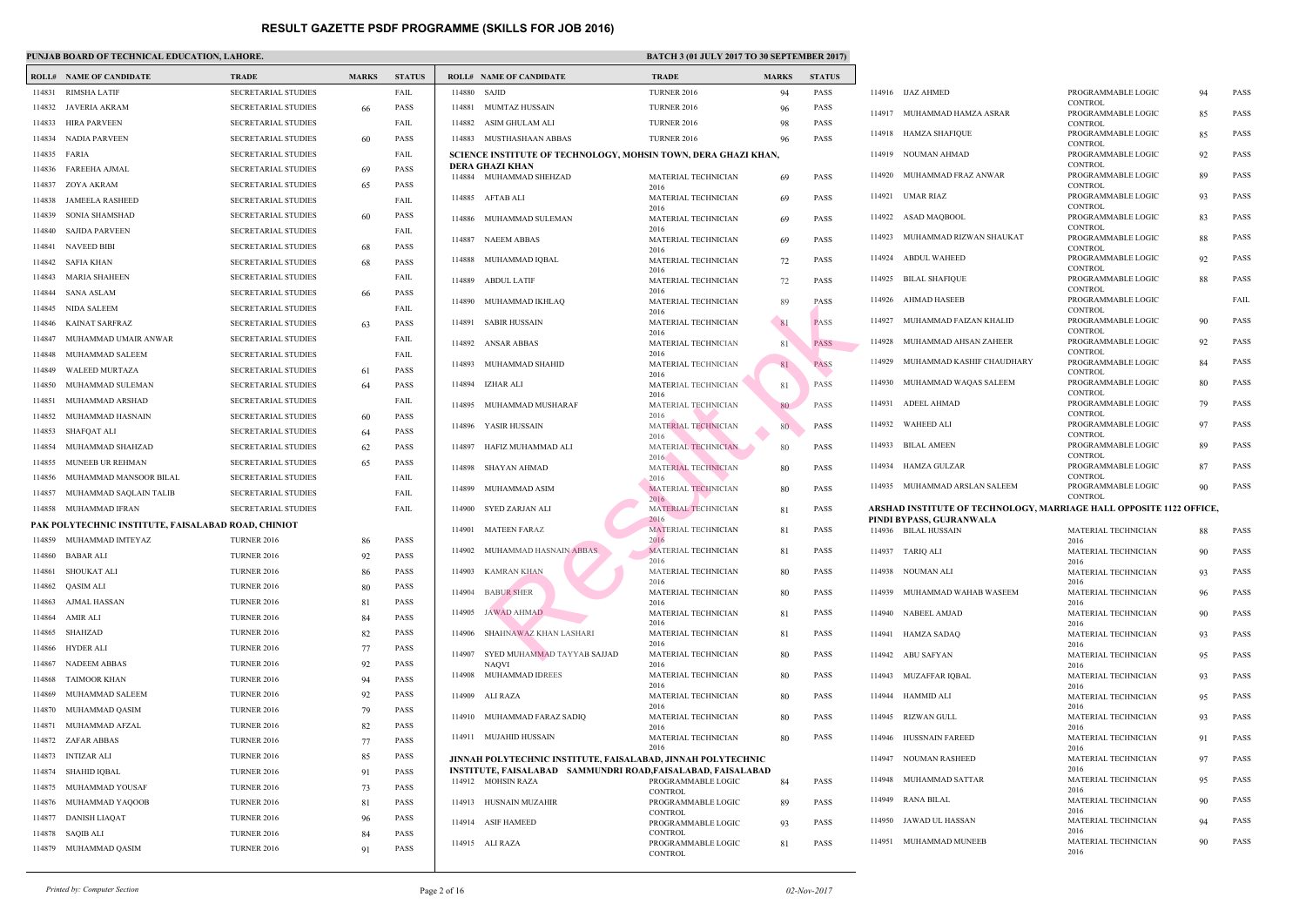### **PUNJAB BOARD OF TECHNICAL EDUCATION, LAHORE. BATCH 3 (01 JULY 2017 TO 30 SEPTEMBER 2017 TO 30 SEPTEMBER 2017**

|        | I CHUIND DOINND OF TECHNICAL EDUCATION, EMILONE     |                            |              |               |              |                                                                 |                              |
|--------|-----------------------------------------------------|----------------------------|--------------|---------------|--------------|-----------------------------------------------------------------|------------------------------|
|        | <b>ROLL# NAME OF CANDIDATE</b>                      | <b>TRADE</b>               | <b>MARKS</b> | <b>STATUS</b> |              | <b>ROLL# NAME OF CANDIDATE</b>                                  | <b>TRAD</b>                  |
| 114831 | RIMSHA LATIF                                        | SECRETARIAL STUDIES        |              | FAIL          | 114880 SAJID |                                                                 | <b>TURNI</b>                 |
| 114832 | JAVERIA AKRAM                                       | <b>SECRETARIAL STUDIES</b> | 66           | <b>PASS</b>   | 114881       | MUMTAZ HUSSAIN                                                  | <b>TURNI</b>                 |
| 114833 | HIRA PARVEEN                                        | <b>SECRETARIAL STUDIES</b> |              | FAIL          | 114882       | ASIM GHULAM ALI                                                 | <b>TURNI</b>                 |
| 114834 | NADIA PARVEEN                                       | <b>SECRETARIAL STUDIES</b> | 60           | <b>PASS</b>   |              | 114883 MUSTHASHAAN ABBAS                                        | <b>TURNI</b>                 |
| 114835 | FARIA                                               | <b>SECRETARIAL STUDIES</b> |              | FAIL          |              | <b>SCIENCE INSTITUTE OF TECHNOLOGY, MOHSIN TO</b>               |                              |
| 114836 | FAREEHA AJMAL                                       | SECRETARIAL STUDIES        | 69           | <b>PASS</b>   |              | DERA GHAZI KHAN                                                 |                              |
| 114837 | ZOYA AKRAM                                          | <b>SECRETARIAL STUDIES</b> | 65           | <b>PASS</b>   |              | 114884 MUHAMMAD SHEHZAD                                         | <b>MATE</b><br>2016          |
| 114838 | <b>JAMEELA RASHEED</b>                              | <b>SECRETARIAL STUDIES</b> |              | FAIL          |              | 114885 AFTAB ALI                                                | <b>MATE</b>                  |
| 114839 | SONIA SHAMSHAD                                      | <b>SECRETARIAL STUDIES</b> | 60           | <b>PASS</b>   |              | 114886 MUHAMMAD SULEMAN                                         | 2016<br><b>MATE</b>          |
| 114840 | SAJIDA PARVEEN                                      | SECRETARIAL STUDIES        |              | FAIL          |              |                                                                 | 2016                         |
| 114841 | NAVEED BIBI                                         | <b>SECRETARIAL STUDIES</b> | 68           | <b>PASS</b>   |              | 114887 NAEEM ABBAS                                              | <b>MATE</b><br>2016          |
| 114842 | SAFIA KHAN                                          | <b>SECRETARIAL STUDIES</b> | 68           | <b>PASS</b>   | 114888       | MUHAMMAD IQBAL                                                  | <b>MATE</b>                  |
| 114843 | MARIA SHAHEEN                                       | SECRETARIAL STUDIES        |              | FAIL          | 114889       | <b>ABDUL LATIF</b>                                              | 2016<br><b>MATE</b>          |
| 114844 | <b>SANA ASLAM</b>                                   | <b>SECRETARIAL STUDIES</b> | 66           | <b>PASS</b>   |              |                                                                 | 2016                         |
| 114845 | NIDA SALEEM                                         | <b>SECRETARIAL STUDIES</b> |              | FAIL          | 114890       | MUHAMMAD IKHLAQ                                                 | <b>MATE</b>                  |
| 114846 | KAINAT SARFRAZ                                      | SECRETARIAL STUDIES        | 63           | <b>PASS</b>   | 114891       | SABIR HUSSAIN                                                   | 2016<br><b>MATE</b>          |
| 114847 | MUHAMMAD UMAIR ANWAR                                | <b>SECRETARIAL STUDIES</b> |              | FAIL          |              |                                                                 | 2016                         |
| 114848 | MUHAMMAD SALEEM                                     | <b>SECRETARIAL STUDIES</b> |              | FAIL          |              | 114892 ANSAR ABBAS                                              | <b>MATE</b><br>2016          |
| 114849 | WALEED MURTAZA                                      | <b>SECRETARIAL STUDIES</b> | 61           | <b>PASS</b>   | 114893       | MUHAMMAD SHAHID                                                 | <b>MATE</b>                  |
| 114850 | MUHAMMAD SULEMAN                                    | <b>SECRETARIAL STUDIES</b> | 64           | <b>PASS</b>   | 114894       | IZHAR ALI                                                       | 2016<br><b>MATE</b>          |
| 114851 | MUHAMMAD ARSHAD                                     | <b>SECRETARIAL STUDIES</b> |              | FAIL          |              |                                                                 | 2016                         |
| 114852 | MUHAMMAD HASNAIN                                    | <b>SECRETARIAL STUDIES</b> | 60           | <b>PASS</b>   | 114895       | MUHAMMAD MUSHARAF                                               | <b>MATE</b><br>2016          |
| 114853 | SHAFQAT ALI                                         | <b>SECRETARIAL STUDIES</b> | 64           | <b>PASS</b>   | 114896       | YASIR HUSSAIN                                                   | <b>MATE</b>                  |
| 114854 | MUHAMMAD SHAHZAD                                    | <b>SECRETARIAL STUDIES</b> | 62           | <b>PASS</b>   | 114897       | HAFIZ MUHAMMAD ALI                                              | 2016<br><b>MATE</b>          |
| 114855 | MUNEEB UR REHMAN                                    | <b>SECRETARIAL STUDIES</b> | 65           | <b>PASS</b>   |              |                                                                 | 2016                         |
| 114856 | MUHAMMAD MANSOOR BILAL                              | <b>SECRETARIAL STUDIES</b> |              | FAIL          | 114898       | SHAYAN AHMAD                                                    | <b>MATE</b><br>2016          |
| 114857 | MUHAMMAD SAQLAIN TALIB                              | <b>SECRETARIAL STUDIES</b> |              | FAIL          |              | 114899 MUHAMMAD ASIM                                            | <b>MATE</b>                  |
| 114858 | MUHAMMAD IFRAN                                      | <b>SECRETARIAL STUDIES</b> |              | FAIL          |              | 114900 SYED ZARJAN ALI                                          | 2016<br><b>MATE</b>          |
|        | PAK POLYTECHNIC INSTITUTE, FAISALABAD ROAD, CHINIOT |                            |              |               |              |                                                                 | 2016                         |
|        |                                                     |                            |              |               | 114901       | <b>MATEEN FARAZ</b>                                             | <b>MATE</b>                  |
|        | 114859 MUHAMMAD IMTEYAZ                             | <b>TURNER 2016</b>         | 86           | <b>PASS</b>   |              | 114902 MUHAMMAD HASNAIN ABBAS                                   | 2016<br><b>MATE</b>          |
| 114860 | BABAR ALI                                           | <b>TURNER 2016</b>         | 92           | PASS          |              |                                                                 | 2016                         |
| 114861 | <b>SHOUKAT ALI</b>                                  | <b>TURNER 2016</b>         | 86           | <b>PASS</b>   | 114903       | <b>KAMRAN KHAN</b>                                              | <b>MATE</b><br>2016          |
| 114862 | QASIM ALI                                           | <b>TURNER 2016</b>         | 80           | PASS          | 114904       | <b>BABUR SHER</b>                                               | <b>MATE</b>                  |
| 114863 | AJMAL HASSAN                                        | <b>TURNER 2016</b>         | 81           | <b>PASS</b>   |              | 114905 JAWAD AHMAD                                              | 2016<br><b>MATE</b>          |
| 114864 | AMIR ALI                                            | <b>TURNER 2016</b>         | 84           | <b>PASS</b>   |              |                                                                 | 2016                         |
| 114865 | SHAHZAD                                             | <b>TURNER 2016</b>         | 82           | PASS          | 114906       | SHAHNAWAZ KHAN LASHARI                                          | <b>MATE</b><br>2016          |
| 114866 | <b>HYDER ALI</b>                                    | <b>TURNER 2016</b>         | 77           | PASS          | 114907       | SYED MUHAMMAD TAYYAB SAJJAD                                     | <b>MATE</b>                  |
| 114867 | <b>NADEEM ABBAS</b>                                 | <b>TURNER 2016</b>         | 92           | <b>PASS</b>   | 114908       | <b>NAQVI</b><br>MUHAMMAD IDREES                                 | 2016<br><b>MATE</b>          |
| 114868 | <b>TAIMOOR KHAN</b>                                 | <b>TURNER 2016</b>         | 94           | <b>PASS</b>   |              |                                                                 | 2016                         |
| 114869 | MUHAMMAD SALEEM                                     | <b>TURNER 2016</b>         | 92           | <b>PASS</b>   | 114909       | ALI RAZA                                                        | <b>MATE</b>                  |
| 114870 | MUHAMMAD QASIM                                      | <b>TURNER 2016</b>         | 79           | <b>PASS</b>   | 114910       | MUHAMMAD FARAZ SADIQ                                            | 2016<br><b>MATE</b>          |
| 114871 | MUHAMMAD AFZAL                                      | <b>TURNER 2016</b>         | 82           | PASS          |              |                                                                 | 2016                         |
| 114872 | ZAFAR ABBAS                                         | <b>TURNER 2016</b>         | 77           | <b>PASS</b>   | 114911       | MUJAHID HUSSAIN                                                 | <b>MATE</b><br>2016          |
| 114873 | <b>INTIZAR ALI</b>                                  | <b>TURNER 2016</b>         | 85           | <b>PASS</b>   |              | JINNAH POLYTECHNIC INSTITUTE, FAISALABAD, J1                    |                              |
| 114874 | SHAHID IQBAL                                        | <b>TURNER 2016</b>         | 91           | <b>PASS</b>   |              | INSTITUTE, FAISALABAD SAMMUNDRI ROAD,FAIS<br>114912 MOHSIN RAZA | <b>PROGI</b>                 |
| 114875 | MUHAMMAD YOUSAF                                     | <b>TURNER 2016</b>         | 73           | <b>PASS</b>   |              |                                                                 | <b>CONTI</b>                 |
| 114876 | MUHAMMAD YAQOOB                                     | <b>TURNER 2016</b>         | 81           | PASS          | 114913       | HUSNAIN MUZAHIR                                                 | <b>PROGI</b>                 |
| 114877 | <b>DANISH LIAQAT</b>                                | <b>TURNER 2016</b>         | 96           | PASS          | 114914       | ASIF HAMEED                                                     | <b>CONTI</b><br><b>PROGI</b> |
| 114878 | <b>SAQIB ALI</b>                                    | <b>TURNER 2016</b>         | 84           | <b>PASS</b>   |              |                                                                 | <b>CONTI</b>                 |
| 114879 | MUHAMMAD QASIM                                      | <b>TURNER 2016</b>         | 91           | <b>PASS</b>   |              | 114915 ALI RAZA                                                 | <b>PROGI</b><br><b>CONT</b>  |
|        |                                                     |                            |              |               |              |                                                                 |                              |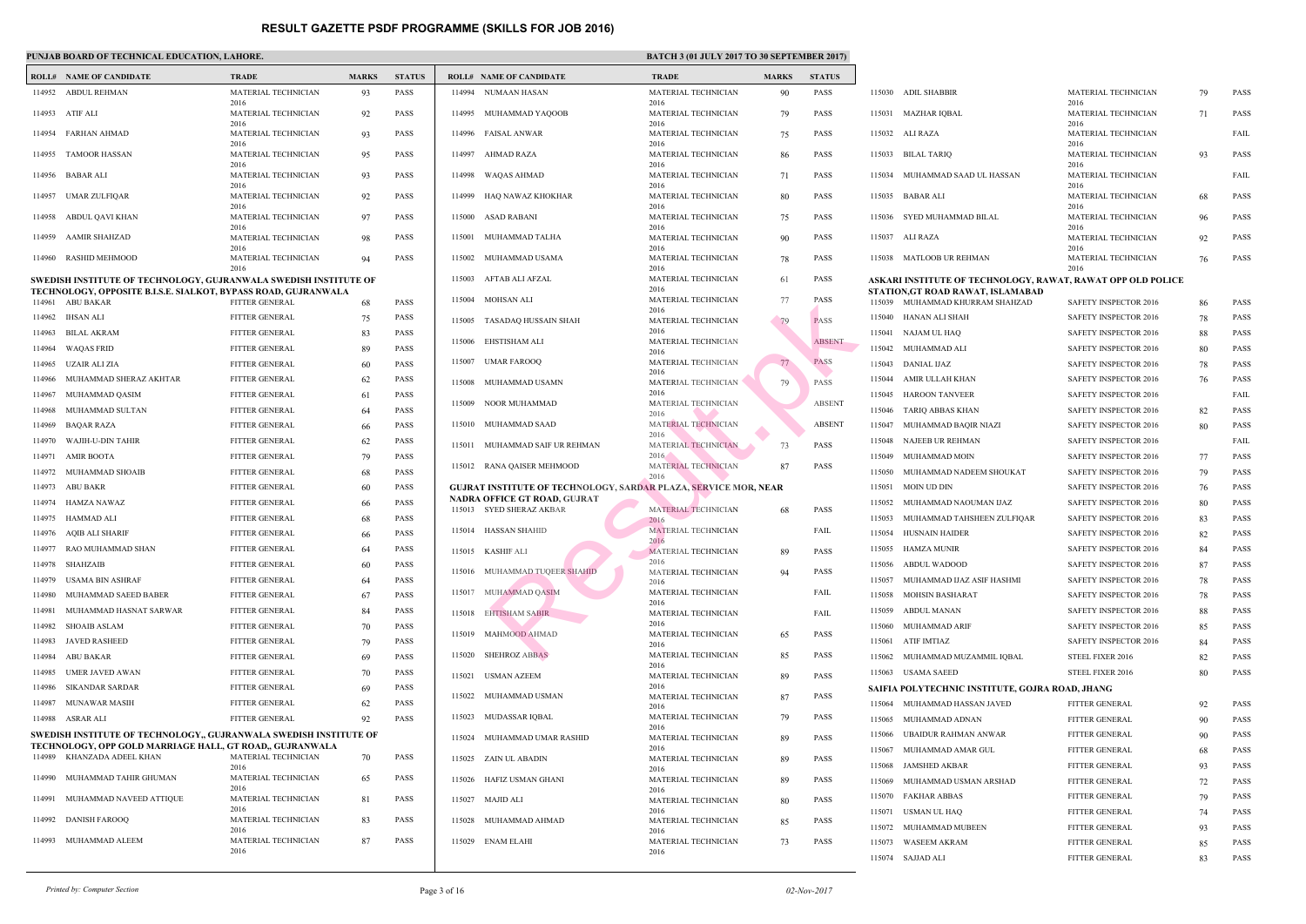## **PUNJAB BOARD OF TECHNICAL EDUCATION, LAHORE.** BATCH 3 (01 JULY 2017 TO 30 SATCH 3 (01 JULY 2017 TO 30 SATCH 3 (01 SEPTEMBER 2017) **BATCH 3 (01 SEPTEMBER 2017)**  $\mathbf{B}$

|        | <b>ROLL# NAME OF CANDIDATE</b>                                                     | <b>TRADE</b>                        | <b>MARKS</b> | <b>STATUS</b> |        | <b>ROLL# NAME OF CANDIDATE</b>                    | <b>TRAL</b>                 |
|--------|------------------------------------------------------------------------------------|-------------------------------------|--------------|---------------|--------|---------------------------------------------------|-----------------------------|
| 114952 | ABDUL REHMAN                                                                       | MATERIAL TECHNICIAN                 | 93           | <b>PASS</b>   | 114994 | NUMAAN HASAN                                      | <b>MATE</b>                 |
| 114953 | ATIF ALI                                                                           | 2016<br>MATERIAL TECHNICIAN         | 92           | <b>PASS</b>   |        | 114995 MUHAMMAD YAQOOB                            | 2016<br><b>MATE</b>         |
| 114954 | FARHAN AHMAD                                                                       | 2016<br>MATERIAL TECHNICIAN<br>2016 | 93           | <b>PASS</b>   |        | 114996 FAISAL ANWAR                               | 2016<br><b>MATE</b><br>2016 |
| 114955 | <b>TAMOOR HASSAN</b>                                                               | MATERIAL TECHNICIAN<br>2016         | 95           | <b>PASS</b>   |        | 114997 AHMAD RAZA                                 | <b>MATE</b><br>2016         |
|        | 114956 BABAR ALI                                                                   | MATERIAL TECHNICIAN<br>2016         | 93           | <b>PASS</b>   |        | 114998 WAQAS AHMAD                                | <b>MATE</b><br>2016         |
| 114957 | UMAR ZULFIQAR                                                                      | MATERIAL TECHNICIAN<br>2016         | 92           | <b>PASS</b>   | 114999 | HAQ NAWAZ KHOKHAR                                 | <b>MATE</b><br>2016         |
| 114958 | ABDUL QAVI KHAN                                                                    | MATERIAL TECHNICIAN<br>2016         | 97           | <b>PASS</b>   | 115000 | ASAD RABANI                                       | <b>MATE</b><br>2016         |
| 114959 | <b>AAMIR SHAHZAD</b>                                                               | MATERIAL TECHNICIAN<br>2016         | 98           | <b>PASS</b>   | 115001 | MUHAMMAD TALHA                                    | <b>MATE</b><br>2016         |
| 114960 | RASHID MEHMOOD                                                                     | MATERIAL TECHNICIAN<br>2016         | 94           | <b>PASS</b>   | 115002 | MUHAMMAD USAMA                                    | <b>MATE</b><br>2016         |
|        | SWEDISH INSTITUTE OF TECHNOLOGY, GUJRANWALA SWEDISH INSTITUTE OF                   |                                     |              |               | 115003 | AFTAB ALI AFZAL                                   | <b>MATE</b>                 |
|        | TECHNOLOGY, OPPOSITE B.I.S.E. SIALKOT, BYPASS ROAD, GUJRANWALA<br>114961 ABU BAKAR | FITTER GENERAL                      | 68           | <b>PASS</b>   | 115004 | MOHSAN ALI                                        | 2016<br><b>MATE</b>         |
| 114962 | <b>IHSAN ALI</b>                                                                   | <b>FITTER GENERAL</b>               | 75           | <b>PASS</b>   |        | 115005 TASADAQ HUSSAIN SHAH                       | 2016<br><b>MATE</b>         |
| 114963 | <b>BILAL AKRAM</b>                                                                 | FITTER GENERAL                      | 83           | <b>PASS</b>   |        |                                                   | 2016                        |
| 114964 | <b>WAQAS FRID</b>                                                                  | FITTER GENERAL                      | 89           | <b>PASS</b>   | 115006 | EHSTISHAM ALI                                     | <b>MATE</b><br>2016         |
| 114965 | UZAIR ALI ZIA                                                                      | FITTER GENERAL                      | 60           | <b>PASS</b>   | 115007 | UMAR FAROOQ                                       | <b>MATE</b>                 |
| 114966 | MUHAMMAD SHERAZ AKHTAR                                                             | FITTER GENERAL                      | 62           | <b>PASS</b>   | 115008 | MUHAMMAD USAMN                                    | 2016<br><b>MATE</b>         |
| 114967 | MUHAMMAD QASIM                                                                     | <b>FITTER GENERAL</b>               | 61           | <b>PASS</b>   |        |                                                   | 2016                        |
| 114968 | MUHAMMAD SULTAN                                                                    | FITTER GENERAL                      | 64           | <b>PASS</b>   | 115009 | NOOR MUHAMMAD                                     | <b>MATE</b><br>2016         |
| 114969 | <b>BAQAR RAZA</b>                                                                  | FITTER GENERAL                      | 66           | <b>PASS</b>   |        | 115010 MUHAMMAD SAAD                              | <b>MATE</b>                 |
| 114970 | WAJIH-U-DIN TAHIR                                                                  | FITTER GENERAL                      | 62           | <b>PASS</b>   |        | 115011 MUHAMMAD SAIF UR REHMAN                    | 2016<br><b>MATE</b>         |
| 114971 | <b>AMIR BOOTA</b>                                                                  | FITTER GENERAL                      | 79           | <b>PASS</b>   |        |                                                   | 2016                        |
| 114972 | MUHAMMAD SHOAIB                                                                    | FITTER GENERAL                      | 68           | <b>PASS</b>   |        | 115012 RANA QAISER MEHMOOD                        | <b>MATE</b><br>2016         |
| 114973 | <b>ABU BAKR</b>                                                                    | FITTER GENERAL                      | 60           | <b>PASS</b>   |        | <b>GUJRAT INSTITUTE OF TECHNOLOGY, SARDAR PLA</b> |                             |
| 114974 | HAMZA NAWAZ                                                                        | FITTER GENERAL                      | 66           | <b>PASS</b>   |        | <b>NADRA OFFICE GT ROAD, GUJRAT</b>               |                             |
| 114975 | HAMMAD ALI                                                                         | FITTER GENERAL                      | 68           | <b>PASS</b>   |        | 115013 SYED SHERAZ AKBAR                          | <b>MATE</b><br>2016         |
| 114976 | <b>AQIB ALI SHARIF</b>                                                             | <b>FITTER GENERAL</b>               | 66           | <b>PASS</b>   |        | 115014 HASSAN SHAHID                              | <b>MATE</b>                 |
| 114977 | RAO MUHAMMAD SHAN                                                                  | FITTER GENERAL                      | 64           | <b>PASS</b>   |        | 115015 KASHIF ALI                                 | 2016<br><b>MATE</b>         |
|        | 114978 SHAHZAIB                                                                    | FITTER GENERAL                      | 60           | <b>PASS</b>   |        |                                                   | 2016                        |
| 114979 | <b>USAMA BIN ASHRAF</b>                                                            | FITTER GENERAL                      | 64           | <b>PASS</b>   |        | 115016 MUHAMMAD TUQEER SHAHID                     | <b>MATE</b><br>2016         |
| 114980 | MUHAMMAD SAEED BABER                                                               | FITTER GENERAL                      | 67           | <b>PASS</b>   |        | 115017 MUHAMMAD OASIM                             | <b>MATE</b>                 |
| 114981 | MUHAMMAD HASNAT SARWAR                                                             | FITTER GENERAL                      | 84           | <b>PASS</b>   |        | 115018 EHTISHAM SABIR                             | 2016<br><b>MATE</b>         |
| 114982 | <b>SHOAIB ASLAM</b>                                                                | <b>FITTER GENERAL</b>               | 70           | <b>PASS</b>   |        |                                                   | 2016                        |
| 114983 | <b>JAVED RASHEED</b>                                                               | FITTER GENERAL                      | 79           | <b>PASS</b>   | 115019 | <b>MAHMOOD AHMAD</b>                              | <b>MATE</b><br>2016         |
| 114984 | <b>ABU BAKAR</b>                                                                   | FITTER GENERAL                      | 69           | <b>PASS</b>   | 115020 | <b>SHEHROZ ABBAS</b>                              | <b>MATE</b>                 |
| 114985 | <b>UMER JAVED AWAN</b>                                                             | <b>FITTER GENERAL</b>               | 70           | <b>PASS</b>   | 115021 | USMAN AZEEM                                       | 2016<br><b>MATE</b>         |
| 114986 | <b>SIKANDAR SARDAR</b>                                                             | FITTER GENERAL                      | 69           | <b>PASS</b>   |        |                                                   | 2016                        |
| 114987 | MUNAWAR MASIH                                                                      | FITTER GENERAL                      | 62           | <b>PASS</b>   |        | 115022 MUHAMMAD USMAN                             | <b>MATE</b><br>2016         |
| 114988 | ASRAR ALI                                                                          | FITTER GENERAL                      | 92           | <b>PASS</b>   | 115023 | MUDASSAR IQBAL                                    | <b>MATE</b>                 |
|        | SWEDISH INSTITUTE OF TECHNOLOGY,, GUJRANWALA SWEDISH INSTITUTE OF                  |                                     |              |               | 115024 | MUHAMMAD UMAR RASHID                              | 2016<br><b>MATE</b>         |
| 114989 | TECHNOLOGY, OPP GOLD MARRIAGE HALL, GT ROAD,, GUJRANWALA<br>KHANZADA ADEEL KHAN    | MATERIAL TECHNICIAN                 | 70           | <b>PASS</b>   |        | 115025 ZAIN UL ABADIN                             | 2016<br><b>MATE</b>         |
| 114990 | MUHAMMAD TAHIR GHUMAN                                                              | 2016<br>MATERIAL TECHNICIAN<br>2016 | 65           | <b>PASS</b>   | 115026 | HAFIZ USMAN GHANI                                 | 2016<br><b>MATE</b>         |
| 114991 | MUHAMMAD NAVEED ATTIQUE                                                            | MATERIAL TECHNICIAN<br>2016         | 81           | <b>PASS</b>   |        | 115027 MAJID ALI                                  | 2016<br><b>MATE</b>         |
| 114992 | <b>DANISH FAROOQ</b>                                                               | MATERIAL TECHNICIAN<br>2016         | 83           | <b>PASS</b>   |        | 115028 MUHAMMAD AHMAD                             | 2016<br><b>MATE</b>         |
| 114993 | MUHAMMAD ALEEM                                                                     | MATERIAL TECHNICIAN<br>2016         | 87           | <b>PASS</b>   |        | 115029 ENAM ELAHI                                 | 2016<br><b>MATE</b><br>2016 |
|        |                                                                                    |                                     |              |               |        |                                                   |                             |

|        | <b>ROLL# NAME OF CANDIDATE</b>             | <b>TRAL</b>                 |
|--------|--------------------------------------------|-----------------------------|
| 114994 | NUMAAN HASAN                               | <b>MATE</b>                 |
| 114995 | MUHAMMAD YAQOOB                            | 2016<br><b>MATE</b>         |
|        |                                            | 2016                        |
| 114996 | <b>FAISAL ANWAR</b>                        | <b>MATE</b><br>2016         |
| 114997 | AHMAD RAZA                                 | <b>MATE</b><br>2016         |
| 114998 | WAQAS AHMAD                                | <b>MATE</b>                 |
| 114999 | HAQ NAWAZ KHOKHAR                          | 2016<br><b>MATE</b>         |
| 115000 | ASAD RABANI                                | 2016<br><b>MATE</b>         |
| 115001 | MUHAMMAD TALHA                             | 2016<br><b>MATE</b>         |
|        |                                            | 2016                        |
| 115002 | MUHAMMAD USAMA                             | <b>MATE</b><br>2016         |
| 115003 | AFTAB ALI AFZAL                            | <b>MATE</b><br>2016         |
| 115004 | MOHSAN ALI                                 | <b>MATE</b>                 |
| 115005 | TASADAQ HUSSAIN SHAH                       | 2016<br><b>MATE</b>         |
| 115006 | EHSTISHAM ALI                              | 2016<br><b>MATE</b>         |
|        |                                            | 2016                        |
| 115007 | <b>UMAR FAROOQ</b>                         | <b>MATE</b><br>2016         |
| 115008 | MUHAMMAD USAMN                             | <b>MATE</b><br>2016         |
| 115009 | NOOR MUHAMMAD                              | <b>MATE</b><br>2016         |
| 115010 | MUHAMMAD SAAD                              | <b>MATE</b>                 |
| 115011 | MUHAMMAD SAIF UR REHMAN                    | 2016<br><b>MATE</b>         |
| 115012 | RANA QAISER MEHMOOD                        | 2016<br><b>MATE</b>         |
|        | GUJRAT INSTITUTE OF TECHNOLOGY, SARDAR PLA | 2016                        |
|        | NADRA OFFICE GT ROAD, GUJRAT               |                             |
| 115013 | <b>SYED SHERAZ AKBAR</b>                   | <b>MATE</b><br>2016         |
| 115014 | <b>HASSAN SHAHID</b>                       | <b>MATE</b>                 |
| 115015 | <b>KASHIF ALI</b>                          | 2016<br><b>MATE</b>         |
| 115016 | MUHAMMAD TUQEER SHAHID                     | 2016<br><b>MATE</b>         |
| 115017 | MUHAMMAD QASIM                             | 2016<br><b>MATE</b>         |
|        |                                            | 2016                        |
| 115018 | <b>EHTISHAM SABIR</b>                      | <b>MATE</b><br>2016         |
| 115019 | MAHMOOD AHMAD                              | <b>MATE</b><br>2016         |
| 115020 | <b>SHEHROZ ABBAS</b>                       | <b>MATE</b>                 |
| 115021 | <b>USMAN AZEEM</b>                         | 2016<br><b>MATE</b>         |
| 115022 | MUHAMMAD USMAN                             | 2016<br><b>MATE</b>         |
| 115023 | MUDASSAR IQBAL                             | 2016<br><b>MATE</b>         |
| 115024 | MUHAMMAD UMAR RASHID                       | 2016<br><b>MATE</b>         |
| 115025 | ZAIN UL ABADIN                             | 2016<br><b>MATE</b>         |
| 115026 | HAFIZ USMAN GHANI                          | 2016<br><b>MATE</b>         |
| 115027 | <b>MAJID ALI</b>                           | 2016<br><b>MATE</b>         |
| 115028 | MUHAMMAD AHMAD                             | 2016<br><b>MATE</b>         |
| 115029 | <b>ENAM ELAHI</b>                          | 2016<br><b>MATE</b><br>2016 |
|        |                                            |                             |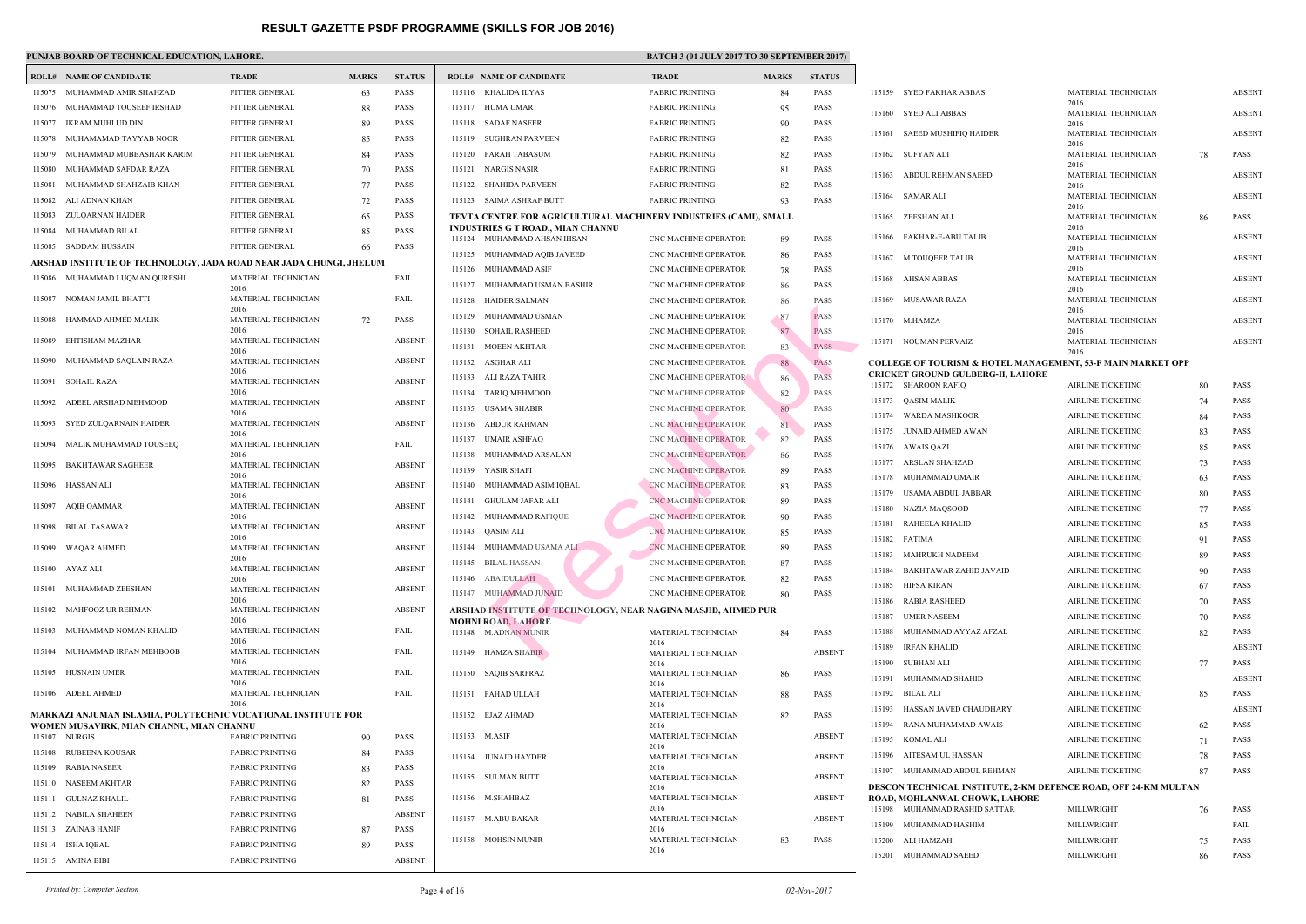|        | <b>ROLL# NAME OF CANDIDATE</b>                                     | <b>TRADE</b>                | <b>MARKS</b> | <b>STATUS</b> |        | <b>ROLL# NAME OF CANDIDATE</b>                    | <b>TRAI</b>         |
|--------|--------------------------------------------------------------------|-----------------------------|--------------|---------------|--------|---------------------------------------------------|---------------------|
| 115075 | MUHAMMAD AMIR SHAHZAD                                              | FITTER GENERAL              | 63           | <b>PASS</b>   | 115116 | KHALIDA ILYAS                                     | <b>FABR</b>         |
| 115076 | MUHAMMAD TOUSEEF IRSHAD                                            | FITTER GENERAL              | 88           | <b>PASS</b>   |        | 115117 HUMA UMAR                                  | <b>FABR</b>         |
| 115077 | IKRAM MUHI UD DIN                                                  | FITTER GENERAL              | 89           | <b>PASS</b>   | 115118 | <b>SADAF NASEER</b>                               | <b>FABR</b>         |
| 115078 | MUHAMAMAD TAYYAB NOOR                                              | FITTER GENERAL              | 85           | <b>PASS</b>   |        | 115119 SUGHRAN PARVEEN                            | <b>FABR</b>         |
| 115079 | MUHAMMAD MUBBASHAR KARIM                                           | FITTER GENERAL              | 84           | <b>PASS</b>   | 115120 | FARAH TABASUM                                     | <b>FABR</b>         |
| 115080 | MUHAMMAD SAFDAR RAZA                                               | FITTER GENERAL              | 70           | <b>PASS</b>   | 115121 | NARGIS NASIR                                      | <b>FABR</b>         |
| 115081 | MUHAMMAD SHAHZAIB KHAN                                             | FITTER GENERAL              | 77           | <b>PASS</b>   | 115122 | SHAHIDA PARVEEN                                   | <b>FABR</b>         |
| 115082 | ALI ADNAN KHAN                                                     | <b>FITTER GENERAL</b>       | 72           | <b>PASS</b>   |        | 115123 SAIMA ASHRAF BUTT                          | <b>FABR</b>         |
| 115083 | ZULQARNAN HAIDER                                                   | FITTER GENERAL              | 65           | <b>PASS</b>   |        | TEVTA CENTRE FOR AGRICULTURAL MACHINERY           |                     |
| 115084 | MUHAMMAD BILAL                                                     | FITTER GENERAL              | 85           | <b>PASS</b>   |        | <b>INDUSTRIES G T ROAD,, MIAN CHANNU</b>          |                     |
| 115085 | SADDAM HUSSAIN                                                     | FITTER GENERAL              | 66           | <b>PASS</b>   |        | 115124 MUHAMMAD AHSAN IHSAN                       | CNC N               |
|        | ARSHAD INSTITUTE OF TECHNOLOGY, JADA ROAD NEAR JADA CHUNGI, JHELUM |                             |              |               | 115125 | MUHAMMAD AQIB JAVEED                              | CNC N               |
| 115086 | MUHAMMAD LUQMAN QURESHI                                            | MATERIAL TECHNICIAN         |              | FAIL          | 115126 | MUHAMMAD ASIF                                     | CNC <sub>N</sub>    |
|        |                                                                    | 2016                        |              |               | 115127 | MUHAMMAD USMAN BASHIR                             | CNC N               |
| 115087 | NOMAN JAMIL BHATTI                                                 | MATERIAL TECHNICIAN<br>2016 |              | FAIL          | 115128 | HAIDER SALMAN                                     | CNC N               |
| 115088 | HAMMAD AHMED MALIK                                                 | MATERIAL TECHNICIAN         | 72           | <b>PASS</b>   | 115129 | MUHAMMAD USMAN                                    | CNC <sub>N</sub>    |
| 115089 | EHTISHAM MAZHAR                                                    | 2016<br>MATERIAL TECHNICIAN |              | <b>ABSENT</b> | 115130 | <b>SOHAIL RASHEED</b>                             | CNC N               |
|        |                                                                    | 2016                        |              |               | 115131 | <b>MOEEN AKHTAR</b>                               | CNC N               |
| 115090 | MUHAMMAD SAQLAIN RAZA                                              | MATERIAL TECHNICIAN<br>2016 |              | <b>ABSENT</b> |        | 115132 ASGHAR ALI                                 | CNC <sub>N</sub>    |
| 115091 | <b>SOHAIL RAZA</b>                                                 | MATERIAL TECHNICIAN         |              | <b>ABSENT</b> | 115133 | ALI RAZA TAHIR                                    | CNC N               |
| 115092 | ADEEL ARSHAD MEHMOOD                                               | 2016<br>MATERIAL TECHNICIAN |              | <b>ABSENT</b> | 115134 | TARIQ MEHMOOD                                     | CNC N               |
|        |                                                                    | 2016                        |              |               | 115135 | USAMA SHABIR                                      | CNC N               |
| 115093 | SYED ZULQARNAIN HAIDER                                             | MATERIAL TECHNICIAN         |              | <b>ABSENT</b> | 115136 | ABDUR RAHMAN                                      | CNC <sup>N</sup>    |
| 115094 | MALIK MUHAMMAD TOUSEEQ                                             | 2016<br>MATERIAL TECHNICIAN |              | FAIL          | 115137 | UMAIR ASHFAQ                                      | CNC <sub>N</sub>    |
|        |                                                                    | 2016                        |              |               | 115138 | MUHAMMAD ARSALAN                                  | CNC <sup>N</sup>    |
| 115095 | <b>BAKHTAWAR SAGHEER</b>                                           | MATERIAL TECHNICIAN<br>2016 |              | <b>ABSENT</b> | 115139 | YASIR SHAFI                                       | CNC N               |
| 115096 | <b>HASSAN ALI</b>                                                  | MATERIAL TECHNICIAN         |              | <b>ABSENT</b> | 115140 | MUHAMMAD ASIM IQBAL                               | CNC N               |
|        | 115097 AQIB QAMMAR                                                 | 2016<br>MATERIAL TECHNICIAN |              | <b>ABSENT</b> | 115141 | <b>GHULAM JAFAR ALI</b>                           | CNC <sup>N</sup>    |
|        |                                                                    | 2016                        |              |               | 115142 | MUHAMMAD RAFIQUE                                  | CNC <sub>N</sub>    |
| 115098 | <b>BILAL TASAWAR</b>                                               | MATERIAL TECHNICIAN<br>2016 |              | <b>ABSENT</b> | 115143 | QASIM ALI                                         | CNC <sup>N</sup>    |
| 115099 | WAQAR AHMED                                                        | MATERIAL TECHNICIAN         |              | <b>ABSENT</b> |        | 115144 MUHAMMAD USAMA ALI                         | CNC <sub>N</sub>    |
|        | 115100 AYAZ ALI                                                    | 2016<br>MATERIAL TECHNICIAN |              | <b>ABSENT</b> |        | 115145 BILAL HASSAN                               | CNC <sub>N</sub>    |
|        |                                                                    | 2016                        |              |               | 115146 | <b>ABAIDULLAH</b>                                 | CNC <sub>N</sub>    |
| 115101 | MUHAMMAD ZEESHAN                                                   | MATERIAL TECHNICIAN<br>2016 |              | <b>ABSENT</b> |        | 115147 MUHAMMAD JUNAID                            | CNC <sub>N</sub>    |
| 115102 | MAHFOOZ UR REHMAN                                                  | MATERIAL TECHNICIAN         |              | <b>ABSENT</b> |        | <b>ARSHAD INSTITUTE OF TECHNOLOGY, NEAR NAGI</b>  |                     |
| 115103 | MUHAMMAD NOMAN KHALID                                              | 2016<br>MATERIAL TECHNICIAN |              | FAIL          |        | <b>MOHNI ROAD, LAHORE</b><br>115148 M.ADNAN MUNIR | <b>MATE</b>         |
|        |                                                                    | 2016                        |              |               |        |                                                   | 2016                |
| 115104 | MUHAMMAD IRFAN MEHBOOB                                             | MATERIAL TECHNICIAN<br>2016 |              | FAIL          | 115149 | <b>HAMZA SHABIR</b>                               | <b>MATE</b><br>2016 |
|        | 115105 HUSNAIN UMER                                                | MATERIAL TECHNICIAN         |              | FAIL          | 115150 | <b>SAQIB SARFRAZ</b>                              | <b>MATE</b>         |
| 115106 | <b>ADEEL AHMED</b>                                                 | 2016<br>MATERIAL TECHNICIAN |              | FAIL          | 115151 | FAHAD ULLAH                                       | 2016<br><b>MATE</b> |
|        |                                                                    | 2016                        |              |               |        |                                                   | 2016                |
|        | MARKAZI ANJUMAN ISLAMIA, POLYTECHNIC VOCATIONAL INSTITUTE FOR      |                             |              |               | 115152 | EJAZ AHMAD                                        | <b>MATE</b><br>2016 |
|        | WOMEN MUSAVIRK, MIAN CHANNU, MIAN CHANNU<br>115107 NURGIS          | <b>FABRIC PRINTING</b>      | 90           | <b>PASS</b>   |        | 115153 M.ASIF                                     | <b>MATE</b>         |
| 115108 | RUBEENA KOUSAR                                                     | <b>FABRIC PRINTING</b>      | 84           | PASS          |        | 115154 JUNAID HAYDER                              | 2016                |
| 115109 | RABIA NASEER                                                       | <b>FABRIC PRINTING</b>      | 83           | PASS          |        |                                                   | <b>MATE</b><br>2016 |
| 115110 | NASEEM AKHTAR                                                      | <b>FABRIC PRINTING</b>      | 82           | <b>PASS</b>   |        | 115155 SULMAN BUTT                                | <b>MATE</b>         |
| 115111 | <b>GULNAZ KHALIL</b>                                               | <b>FABRIC PRINTING</b>      | 81           | <b>PASS</b>   | 115156 | M.SHAHBAZ                                         | 2016<br><b>MATE</b> |
|        | 115112 NABILA SHAHEEN                                              | <b>FABRIC PRINTING</b>      |              | <b>ABSENT</b> |        |                                                   | 2016                |
|        | 115113 ZAINAB HANIF                                                | <b>FABRIC PRINTING</b>      | 87           | <b>PASS</b>   | 115157 | M.ABU BAKAR                                       | <b>MATE</b><br>2016 |
| 115114 | ISHA IQBAL                                                         | <b>FABRIC PRINTING</b>      | 89           | <b>PASS</b>   |        | 115158 MOHSIN MUNIR                               | <b>MATE</b>         |
|        | 115115 AMINA BIBI                                                  | <b>FABRIC PRINTING</b>      |              | <b>ABSENT</b> |        |                                                   | 2016                |

| 115116 | KHALIDA ILYAS                                             | FABRI               |
|--------|-----------------------------------------------------------|---------------------|
| 115117 | <b>HUMA UMAR</b>                                          | FABRI               |
| 115118 | <b>SADAF NASEER</b>                                       | FABRI               |
| 115119 | <b>SUGHRAN PARVEEN</b>                                    | <b>FABRI</b>        |
| 115120 | <b>FARAH TABASUM</b>                                      | FABRI               |
| 115121 | <b>NARGIS NASIR</b>                                       | FABRI               |
| 115122 | <b>SHAHIDA PARVEEN</b>                                    | <b>FABRI</b>        |
| 115123 | <b>SAIMA ASHRAF BUTT</b>                                  | FABRI               |
|        | TEVTA CENTRE FOR AGRICULTURAL MACHINERY                   |                     |
| 115124 | INDUSTRIES G T ROAD,, MIAN CHANNU<br>MUHAMMAD AHSAN IHSAN | CNC M               |
| 115125 | MUHAMMAD AQIB JAVEED                                      | CNC <sub>N</sub>    |
| 115126 | MUHAMMAD ASIF                                             | CNC M               |
| 115127 | MUHAMMAD USMAN BASHIR                                     | CNC M               |
| 115128 | <b>HAIDER SALMAN</b>                                      | CNC M               |
| 115129 | MUHAMMAD USMAN                                            | CNC M               |
| 115130 | <b>SOHAIL RASHEED</b>                                     | CNC M               |
| 115131 | <b>MOEEN AKHTAR</b>                                       | CNC M               |
| 115132 | ASGHAR ALI                                                | CNC M               |
| 115133 | <b>ALI RAZA TAHIR</b>                                     | CNC M               |
| 115134 | TARIQ MEHMOOD                                             | CNC <sub>M</sub>    |
| 115135 | <b>USAMA SHABIR</b>                                       | CNC M               |
| 115136 | <b>ABDUR RAHMAN</b>                                       | CNC M               |
| 115137 | <b>UMAIR ASHFAQ</b>                                       | CNC <sub>N</sub>    |
| 115138 | MUHAMMAD ARSALAN                                          | CNC M               |
| 115139 | YASIR SHAFI                                               | CNC M               |
| 115140 | MUHAMMAD ASIM IQBAL                                       | CNC <sub>N</sub>    |
| 115141 | GHULAM JAFAR ALI                                          | <b>CNC M</b>        |
| 115142 | MUHAMMAD RAFIQUE                                          | CNC <sub>N</sub>    |
| 115143 | QASIM ALI                                                 | CNC <sub>N</sub>    |
| 115144 | MUHAMMAD USAMA ALI                                        | CNC <sub>N</sub>    |
| 115145 | <b>BILAL HASSAN</b>                                       | CNC M               |
|        | 115146 ABAIDULLAH                                         | CNC M               |
| 115147 | MUHAMMAD JUNAID                                           | CNC <sub>N</sub>    |
|        | ARSHAD INSTITUTE OF TECHNOLOGY, NEAR NAGI                 |                     |
|        | <b>MOHNI ROAD, LAHORE</b>                                 |                     |
| 115148 | <b>M.ADNAN MUNIR</b>                                      | <b>MATE</b><br>2016 |
| 115149 | <b>HAMZA SHABIR</b>                                       | <b>MATE</b><br>2016 |
| 115150 | <b>SAQIB SARFRAZ</b>                                      | <b>MATE</b><br>2016 |
| 115151 | FAHAD ULLAH                                               | <b>MATE</b><br>2016 |
| 115152 | EJAZ AHMAD                                                | <b>MATE</b><br>2016 |
| 115153 | M.ASIF                                                    | <b>MATE</b><br>2016 |
| 115154 | <b>JUNAID HAYDER</b>                                      | <b>MATE</b><br>2016 |
| 115155 | <b>SULMAN BUTT</b>                                        | <b>MATE</b><br>2016 |
| 115156 | M.SHAHBAZ                                                 | <b>MATE</b><br>2016 |
| 115157 | M.ABU BAKAR                                               | <b>MATE</b><br>2016 |
| 115158 | <b>MOHSIN MUNIR</b>                                       | <b>MATE</b>         |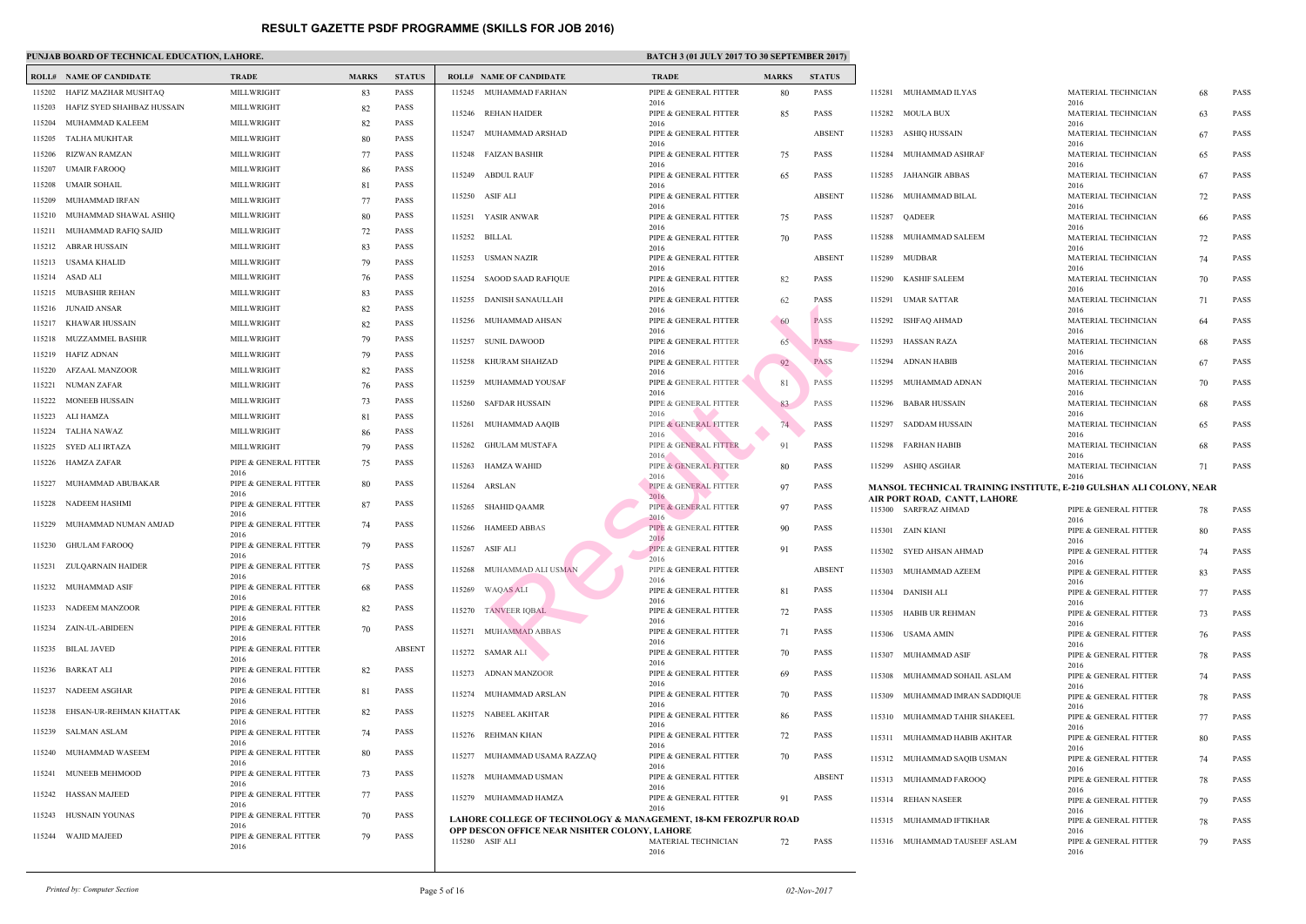|        | <b>ROLL# NAME OF CANDIDATE</b> | <b>TRADE</b>                  | <b>MARKS</b> | <b>STATUS</b> |        | <b>ROLL# NAME OF CANDIDATE</b>                                | <b>TRAL</b>      |
|--------|--------------------------------|-------------------------------|--------------|---------------|--------|---------------------------------------------------------------|------------------|
| 115202 | HAFIZ MAZHAR MUSHTAQ           | MILLWRIGHT                    | 83           | PASS          |        | 115245 MUHAMMAD FARHAN                                        | PIPE &           |
| 115203 | HAFIZ SYED SHAHBAZ HUSSAIN     | MILLWRIGHT                    | 82           | <b>PASS</b>   |        | 115246 REHAN HAIDER                                           | 2016<br>PIPE &   |
| 115204 | MUHAMMAD KALEEM                | MILLWRIGHT                    | 82           | <b>PASS</b>   |        |                                                               | 2016             |
| 115205 | TALHA MUKHTAR                  | MILLWRIGHT                    | 80           | <b>PASS</b>   | 115247 | MUHAMMAD ARSHAD                                               | PIPE &<br>2016   |
| 115206 | RIZWAN RAMZAN                  | MILLWRIGHT                    | 77           | <b>PASS</b>   | 115248 | FAIZAN BASHIR                                                 | PIPE &           |
| 115207 | <b>UMAIR FAROOQ</b>            | MILLWRIGHT                    | 86           | <b>PASS</b>   | 115249 | <b>ABDUL RAUF</b>                                             | 2016<br>PIPE &   |
| 115208 | <b>UMAIR SOHAIL</b>            | MILLWRIGHT                    | 81           | <b>PASS</b>   |        |                                                               | 2016             |
| 115209 | MUHAMMAD IRFAN                 | MILLWRIGHT                    | 77           | <b>PASS</b>   | 115250 | ASIF ALI                                                      | PIPE &<br>2016   |
| 115210 | MUHAMMAD SHAWAL ASHIQ          | MILLWRIGHT                    | 80           | <b>PASS</b>   |        | 115251 YASIR ANWAR                                            | PIPE &           |
| 115211 | MUHAMMAD RAFIQ SAJID           | MILLWRIGHT                    | 72           | <b>PASS</b>   | 115252 | BILLAL                                                        | 2016<br>PIPE &   |
| 115212 | <b>ABRAR HUSSAIN</b>           | MILLWRIGHT                    | 83           | <b>PASS</b>   |        |                                                               | 2016             |
| 115213 | USAMA KHALID                   | MILLWRIGHT                    | 79           | <b>PASS</b>   | 115253 | USMAN NAZIR                                                   | PIPE &<br>2016   |
|        | 115214 ASAD ALI                | MILLWRIGHT                    | 76           | <b>PASS</b>   | 115254 | <b>SAOOD SAAD RAFIQUE</b>                                     | PIPE &           |
|        | 115215 MUBASHIR REHAN          | MILLWRIGHT                    | 83           | <b>PASS</b>   | 115255 | <b>DANISH SANAULLAH</b>                                       | 2016<br>PIPE &   |
| 115216 | JUNAID ANSAR                   | MILLWRIGHT                    | 82           | <b>PASS</b>   |        |                                                               | 2016             |
| 115217 | KHAWAR HUSSAIN                 | MILLWRIGHT                    | 82           | <b>PASS</b>   | 115256 | MUHAMMAD AHSAN                                                | PIPE &<br>2016   |
| 115218 | MUZZAMMEL BASHIR               | MILLWRIGHT                    | 79           | <b>PASS</b>   | 115257 | <b>SUNIL DAWOOD</b>                                           | PIPE &           |
|        | 115219 HAFIZ ADNAN             | MILLWRIGHT                    | 79           | <b>PASS</b>   | 115258 | KHURAM SHAHZAD                                                | 2016<br>PIPE &   |
|        | 115220 AFZAAL MANZOOR          | MILLWRIGHT                    | 82           | <b>PASS</b>   |        |                                                               | 2016             |
| 115221 | NUMAN ZAFAR                    | MILLWRIGHT                    | 76           | <b>PASS</b>   | 115259 | MUHAMMAD YOUSAF                                               | PIPE &<br>2016   |
| 115222 | <b>MONEEB HUSSAIN</b>          | MILLWRIGHT                    | 73           | <b>PASS</b>   |        | 115260 SAFDAR HUSSAIN                                         | PIPE &           |
| 115223 | ALI HAMZA                      | MILLWRIGHT                    | 81           | <b>PASS</b>   | 115261 | MUHAMMAD AAQIB                                                | 2016<br>PIPE &   |
| 115224 | TALHA NAWAZ                    | MILLWRIGHT                    | 86           | <b>PASS</b>   |        |                                                               | 2016             |
| 115225 | SYED ALI IRTAZA                | MILLWRIGHT                    | 79           | <b>PASS</b>   | 115262 | <b>GHULAM MUSTAFA</b>                                         | PIPE &<br>2016   |
| 115226 | <b>HAMZA ZAFAR</b>             | PIPE & GENERAL FITTER<br>2016 | 75           | PASS          | 115263 | HAMZA WAHID                                                   | PIPE &           |
| 115227 | MUHAMMAD ABUBAKAR              | PIPE & GENERAL FITTER<br>2016 | 80           | PASS          | 115264 | ARSLAN                                                        | 2016<br>PIPE $&$ |
| 115228 | NADEEM HASHMI                  | PIPE & GENERAL FITTER         | 87           | <b>PASS</b>   |        | 115265 SHAHID QAAMR                                           | 2016<br>PIPE &   |
| 115229 | MUHAMMAD NUMAN AMJAD           | 2016<br>PIPE & GENERAL FITTER | 74           | PASS          |        | 115266 HAMEED ABBAS                                           | 2016<br>PIPE &   |
|        | 115230 GHULAM FAROOQ           | 2016<br>PIPE & GENERAL FITTER | 79           | <b>PASS</b>   |        | 115267 ASIF ALI                                               | 2016<br>PIPE &   |
|        | 115231 ZULQARNAIN HAIDER       | 2016<br>PIPE & GENERAL FITTER | 75           | PASS          |        |                                                               | 2016             |
|        |                                | 2016                          |              |               |        | 115268 MUHAMMAD ALI USMAN                                     | PIPE &<br>2016   |
|        | 115232 MUHAMMAD ASIF           | PIPE & GENERAL FITTER<br>2016 | 68           | <b>PASS</b>   |        | 115269 WAQAS ALI                                              | PIPE &<br>2016   |
|        | 115233 NADEEM MANZOOR          | PIPE & GENERAL FITTER<br>2016 | 82           | PASS          |        | 115270 TANVEER IOBAL                                          | PIPE &<br>2016   |
|        | 115234 ZAIN-UL-ABIDEEN         | PIPE & GENERAL FITTER<br>2016 | 70           | <b>PASS</b>   |        | 115271 MUHAMMAD ABBAS                                         | PIPE &           |
| 115235 | <b>BILAL JAVED</b>             | PIPE & GENERAL FITTER<br>2016 |              | <b>ABSENT</b> |        | 115272 SAMAR ALI                                              | 2016<br>PIPE &   |
|        | 115236 BARKAT ALI              | PIPE & GENERAL FITTER<br>2016 | 82           | PASS          |        | 115273 ADNAN MANZOOR                                          | 2016<br>PIPE &   |
|        | 115237 NADEEM ASGHAR           | PIPE & GENERAL FITTER         | 81           | PASS          |        | 115274 MUHAMMAD ARSLAN                                        | 2016<br>PIPE &   |
|        | 115238 EHSAN-UR-REHMAN KHATTAK | 2016<br>PIPE & GENERAL FITTER | 82           | PASS          | 115275 | NABEEL AKHTAR                                                 | 2016<br>PIPE &   |
|        | 115239 SALMAN ASLAM            | 2016<br>PIPE & GENERAL FITTER | 74           | PASS          | 115276 | <b>REHMAN KHAN</b>                                            | 2016<br>PIPE &   |
| 115240 | MUHAMMAD WASEEM                | 2016<br>PIPE & GENERAL FITTER | 80           | PASS          | 115277 | MUHAMMAD USAMA RAZZAQ                                         | 2016<br>PIPE &   |
|        | 115241 MUNEEB MEHMOOD          | 2016<br>PIPE & GENERAL FITTER | 73           | PASS          |        | 115278 MUHAMMAD USMAN                                         | 2016<br>PIPE &   |
|        |                                | 2016                          |              |               |        |                                                               | 2016             |
| 115242 | HASSAN MAJEED                  | PIPE & GENERAL FITTER<br>2016 | 77           | PASS          |        | 115279 MUHAMMAD HAMZA                                         | PIPE &<br>2016   |
| 115243 | HUSNAIN YOUNAS                 | PIPE & GENERAL FITTER<br>2016 | 70           | PASS          |        | LAHORE COLLEGE OF TECHNOLOGY & MANAGEM                        |                  |
|        | 115244 WAJID MAJEED            | PIPE & GENERAL FITTER<br>2016 | 79           | <b>PASS</b>   |        | OPP DESCON OFFICE NEAR NISHTER COLONY, LAH<br>115280 ASIF ALI | <b>MATE</b>      |
|        |                                |                               |              |               |        |                                                               | 2016             |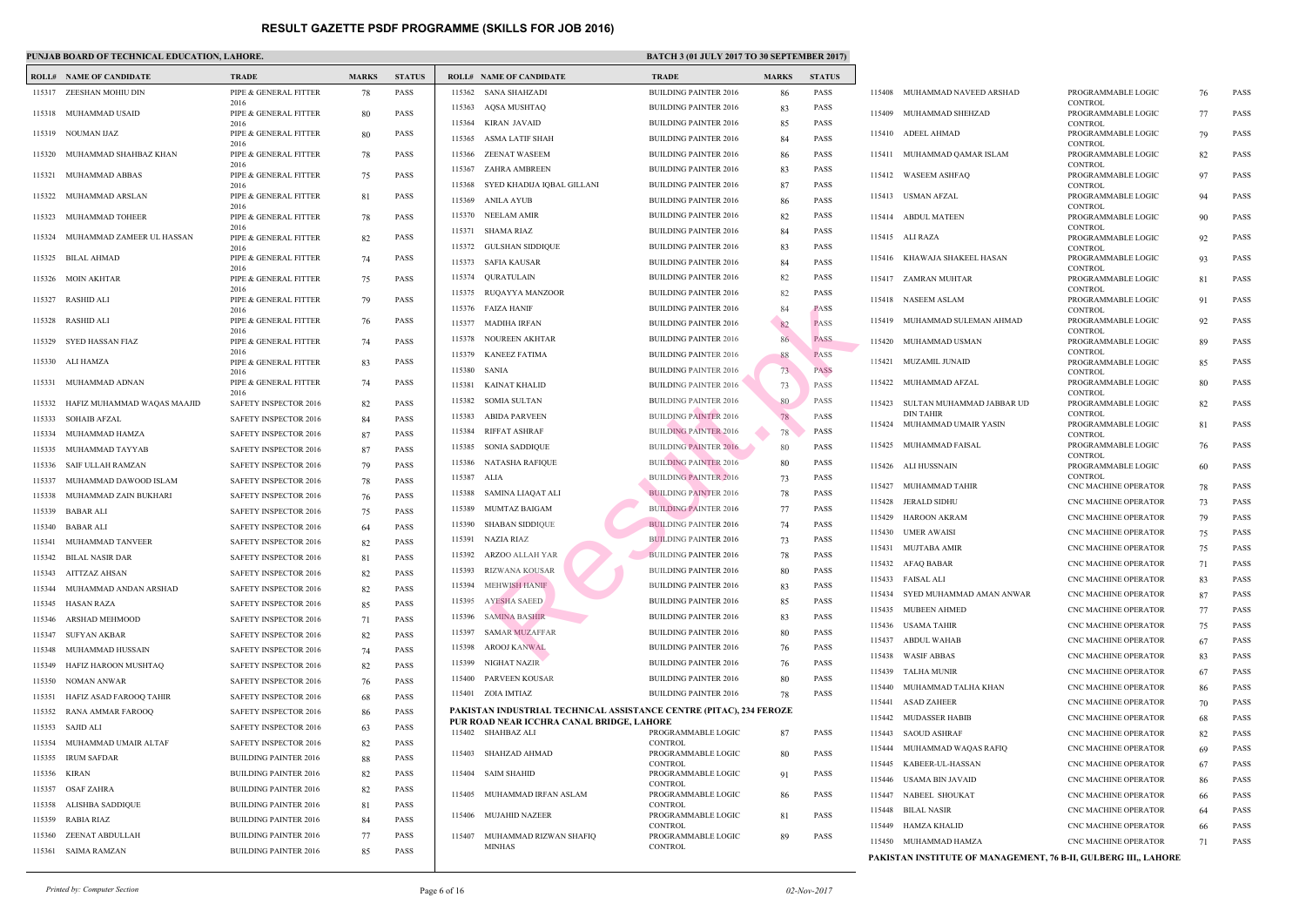### PUNJAB BOARD OF TECHNICAL EDUCATION, LAHORE.

|        | <b>ROLL# NAME OF CANDIDATE</b> | <b>TRADE</b>                  | <b>MARKS</b> | <b>STATUS</b> |              | <b>ROLL# NAME OF CANDIDATE</b>                                  | <b>TRAL</b>                  |
|--------|--------------------------------|-------------------------------|--------------|---------------|--------------|-----------------------------------------------------------------|------------------------------|
|        | 115317 ZEESHAN MOHIU DIN       | PIPE & GENERAL FITTER         | 78           | <b>PASS</b>   |              | 115362 SANA SHAHZADI                                            | <b>BUILD</b>                 |
|        |                                | 2016                          |              |               |              | 115363 AOSA MUSHTAO                                             | <b>BUILD</b>                 |
|        | 115318 MUHAMMAD USAID          | PIPE & GENERAL FITTER<br>2016 | 80           | <b>PASS</b>   | 115364       | KIRAN JAVAID                                                    | <b>BUILD</b>                 |
|        | 115319 NOUMAN IJAZ             | PIPE & GENERAL FITTER         | 80           | <b>PASS</b>   | 115365       | ASMA LATIF SHAH                                                 | <b>BUILD</b>                 |
|        | 115320 MUHAMMAD SHAHBAZ KHAN   | 2016<br>PIPE & GENERAL FITTER | 78           | <b>PASS</b>   | 115366       | ZEENAT WASEEM                                                   | <b>BUILD</b>                 |
|        |                                | 2016                          |              | <b>PASS</b>   |              | 115367 ZAHRA AMBREEN                                            | <b>BUILD</b>                 |
| 115321 | MUHAMMAD ABBAS                 | PIPE & GENERAL FITTER<br>2016 | 75           |               |              | 115368 SYED KHADIJA IQBAL GILLANI                               | <b>BUILD</b>                 |
| 115322 | MUHAMMAD ARSLAN                | PIPE & GENERAL FITTER<br>2016 | 81           | <b>PASS</b>   |              | 115369 ANILA AYUB                                               | <b>BUILD</b>                 |
| 115323 | MUHAMMAD TOHEER                | PIPE & GENERAL FITTER         | 78           | <b>PASS</b>   |              | 115370 NEELAM AMIR                                              | <b>BUILD</b>                 |
| 115324 | MUHAMMAD ZAMEER UL HASSAN      | 2016<br>PIPE & GENERAL FITTER | 82           | <b>PASS</b>   | 115371       | SHAMA RIAZ                                                      | <b>BUILD</b>                 |
|        |                                | 2016                          |              |               |              | 115372 GULSHAN SIDDIQUE                                         | <b>BUILD</b>                 |
| 115325 | BILAL AHMAD                    | PIPE & GENERAL FITTER<br>2016 | 74           | <b>PASS</b>   | 115373       | <b>SAFIA KAUSAR</b>                                             | <b>BUILD</b>                 |
|        | 115326 MOIN AKHTAR             | PIPE & GENERAL FITTER         | 75           | <b>PASS</b>   | 115374       | QURATULAIN                                                      | <b>BUILD</b>                 |
| 115327 | RASHID ALI                     | 2016<br>PIPE & GENERAL FITTER | 79           | <b>PASS</b>   |              | 115375 RUQAYYA MANZOOR                                          | <b>BUILD</b>                 |
|        |                                | 2016                          |              |               |              | 115376 FAIZA HANIF                                              | <b>BUILD</b>                 |
| 115328 | RASHID ALI                     | PIPE & GENERAL FITTER<br>2016 | 76           | <b>PASS</b>   | 115377       | MADIHA IRFAN                                                    | <b>BUILD</b>                 |
| 115329 | SYED HASSAN FIAZ               | PIPE & GENERAL FITTER         | 74           | <b>PASS</b>   | 115378       | NOUREEN AKHTAR                                                  | <b>BUILD</b>                 |
|        | 115330 ALI HAMZA               | 2016<br>PIPE & GENERAL FITTER | 83           | <b>PASS</b>   |              | 115379 KANEEZ FATIMA                                            | <b>BUILD</b>                 |
|        |                                | 2016                          |              |               | 115380 SANIA |                                                                 | <b>BUILD</b>                 |
| 115331 | MUHAMMAD ADNAN                 | PIPE & GENERAL FITTER<br>2016 | 74           | <b>PASS</b>   | 115381       | KAINAT KHALID                                                   | <b>BUILD</b>                 |
| 115332 | HAFIZ MUHAMMAD WAQAS MAAJID    | SAFETY INSPECTOR 2016         | 82           | <b>PASS</b>   | 115382       | <b>SOMIA SULTAN</b>                                             | <b>BUILD</b>                 |
| 115333 | <b>SOHAIB AFZAL</b>            | SAFETY INSPECTOR 2016         | 84           | <b>PASS</b>   | 115383       | ABIDA PARVEEN                                                   | <b>BUILD</b>                 |
| 115334 | MUHAMMAD HAMZA                 | SAFETY INSPECTOR 2016         | 87           | <b>PASS</b>   | 115384       | RIFFAT ASHRAF                                                   | <b>BUILD</b>                 |
| 115335 | MUHAMMAD TAYYAB                | SAFETY INSPECTOR 2016         | 87           | <b>PASS</b>   | 115385       | SONIA SADDIQUE                                                  | <b>BUILD</b>                 |
| 115336 | <b>SAIF ULLAH RAMZAN</b>       | SAFETY INSPECTOR 2016         | 79           | <b>PASS</b>   | 115386       | NATASHA RAFIQUE                                                 | <b>BUILD</b>                 |
| 115337 | MUHAMMAD DAWOOD ISLAM          | SAFETY INSPECTOR 2016         | 78           | <b>PASS</b>   | 115387 ALIA  |                                                                 | <b>BUILD</b>                 |
| 115338 | MUHAMMAD ZAIN BUKHARI          | SAFETY INSPECTOR 2016         | 76           | <b>PASS</b>   | 115388       | SAMINA LIAQAT ALI                                               | <b>BUILD</b>                 |
| 115339 | BABAR ALI                      | SAFETY INSPECTOR 2016         | 75           | <b>PASS</b>   | 115389       | MUMTAZ BAIGAM                                                   | <b>BUILD</b>                 |
| 115340 | <b>BABAR ALI</b>               | SAFETY INSPECTOR 2016         | 64           | <b>PASS</b>   | 115390       | SHABAN SIDDIQUE                                                 | <b>BUILD</b>                 |
|        | 115341 MUHAMMAD TANVEER        | SAFETY INSPECTOR 2016         | 82           | <b>PASS</b>   |              | 115391 NAZIA RIAZ                                               | <b>BUILD</b>                 |
|        | 115342 BILAL NASIR DAR         | <b>SAFETY INSPECTOR 2016</b>  | 81           | PASS          |              | 115392 ARZOO ALLAH YAR                                          | <b>BUILD</b>                 |
|        | 115343 AITTZAZ AHSAN           | SAFETY INSPECTOR 2016         | 82           | PASS          | 115393       | RIZWANA KOUSAR                                                  | <b>BUILD</b>                 |
| 115344 | MUHAMMAD ANDAN ARSHAD          | SAFETY INSPECTOR 2016         | 82           | <b>PASS</b>   | 115394       | <b>MEHWISH HANIF</b>                                            | <b>BUILD</b>                 |
| 115345 | HASAN RAZA                     | SAFETY INSPECTOR 2016         | 85           | <b>PASS</b>   | 115395       | AYESHA SAEED                                                    | <b>BUILD</b>                 |
| 115346 | ARSHAD MEHMOOD                 | SAFETY INSPECTOR 2016         | 71           | <b>PASS</b>   | 115396       | <b>SAMINA BASHIR</b>                                            | <b>BUILD</b>                 |
| 115347 | <b>SUFYAN AKBAR</b>            | SAFETY INSPECTOR 2016         | 82           | <b>PASS</b>   | 115397       | <b>SAMAR MUZAFFAR</b>                                           | <b>BUILD</b>                 |
| 115348 | MUHAMMAD HUSSAIN               | SAFETY INSPECTOR 2016         | 74           | <b>PASS</b>   | 115398       | AROOJ KANWAL                                                    | <b>BUILD</b>                 |
| 115349 | HAFIZ HAROON MUSHTAQ           | SAFETY INSPECTOR 2016         | 82           | <b>PASS</b>   | 115399       | NIGHAT NAZIR                                                    | <b>BUILD</b>                 |
| 115350 | NOMAN ANWAR                    | SAFETY INSPECTOR 2016         | 76           | <b>PASS</b>   | 115400       | PARVEEN KOUSAR                                                  | <b>BUILD</b>                 |
| 115351 | HAFIZ ASAD FAROOO TAHIR        | SAFETY INSPECTOR 2016         | 68           | <b>PASS</b>   |              | 115401 ZOIA IMTIAZ                                              | <b>BUILD</b>                 |
| 115352 | RANA AMMAR FAROOQ              | SAFETY INSPECTOR 2016         | 86           | <b>PASS</b>   |              | PAKISTAN INDUSTRIAL TECHNICAL ASSISTANCE C                      |                              |
| 115353 | SAJID ALI                      | SAFETY INSPECTOR 2016         | 63           | PASS          |              | PUR ROAD NEAR ICCHRA CANAL BRIDGE, LAHORE<br>115402 SHAHBAZ ALI | <b>PROGI</b>                 |
| 115354 | MUHAMMAD UMAIR ALTAF           | SAFETY INSPECTOR 2016         | 82           | <b>PASS</b>   |              |                                                                 | <b>CONTI</b>                 |
| 115355 | <b>IRUM SAFDAR</b>             | <b>BUILDING PAINTER 2016</b>  | 88           | <b>PASS</b>   |              | 115403 SHAHZAD AHMAD                                            | <b>PROGI</b><br><b>CONTI</b> |
| 115356 | KIRAN                          | <b>BUILDING PAINTER 2016</b>  | 82           | PASS          |              | 115404 SAIM SHAHID                                              | <b>PROGI</b>                 |
| 115357 | <b>OSAF ZAHRA</b>              | <b>BUILDING PAINTER 2016</b>  | 82           | <b>PASS</b>   | 115405       | MUHAMMAD IRFAN ASLAM                                            | <b>CONTI</b><br><b>PROGI</b> |
| 115358 | ALISHBA SADDIQUE               | <b>BUILDING PAINTER 2016</b>  | 81           | <b>PASS</b>   |              |                                                                 | <b>CONTI</b>                 |
| 115359 | RABIA RIAZ                     | <b>BUILDING PAINTER 2016</b>  | 84           | <b>PASS</b>   | 115406       | MUJAHID NAZEER                                                  | <b>PROGI</b><br><b>CONTI</b> |
| 115360 | ZEENAT ABDULLAH                | <b>BUILDING PAINTER 2016</b>  | 77           | <b>PASS</b>   | 115407       | MUHAMMAD RIZWAN SHAFIQ                                          | <b>PROGI</b>                 |
| 115361 | SAIMA RAMZAN                   | <b>BUILDING PAINTER 2016</b>  | 85           | <b>PASS</b>   |              | MINHAS                                                          | <b>CONTI</b>                 |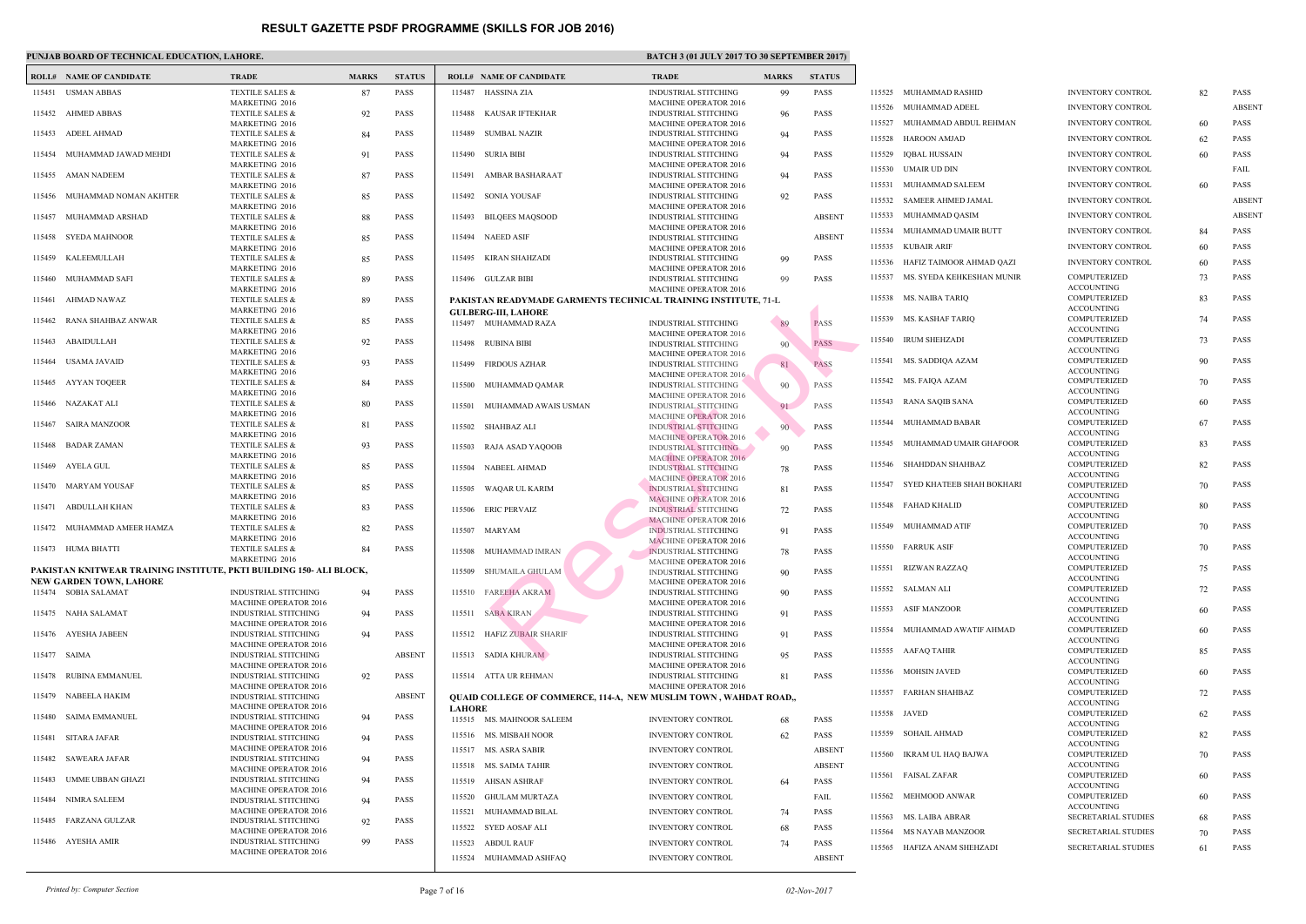|        | PUNJAB BOARD OF TECHNICAL EDUCATION, LAHORE.                                                   |                                                                |              |               |               |                                                                        | <b>BATC</b>                                |
|--------|------------------------------------------------------------------------------------------------|----------------------------------------------------------------|--------------|---------------|---------------|------------------------------------------------------------------------|--------------------------------------------|
|        | <b>ROLL# NAME OF CANDIDATE</b>                                                                 | <b>TRADE</b>                                                   | <b>MARKS</b> | <b>STATUS</b> |               | <b>ROLL# NAME OF CANDIDATE</b>                                         | <b>TRAL</b>                                |
| 115451 | <b>USMAN ABBAS</b>                                                                             | TEXTILE SALES &                                                | 87           | <b>PASS</b>   | 115487        | HASSINA ZIA                                                            | <b>INDUS</b>                               |
|        | 115452 AHMED ABBAS                                                                             | MARKETING 2016<br><b>TEXTILE SALES &amp;</b>                   | 92           | <b>PASS</b>   | 115488        | KAUSAR IFTEKHAR                                                        | <b>MACH</b><br><b>INDUS</b>                |
| 115453 | ADEEL AHMAD                                                                                    | MARKETING 2016<br><b>TEXTILE SALES &amp;</b>                   | 84           | <b>PASS</b>   | 115489        | SUMBAL NAZIR                                                           | <b>MACH</b><br><b>INDUS</b>                |
|        | 115454 MUHAMMAD JAWAD MEHDI                                                                    | <b>MARKETING 2016</b><br><b>TEXTILE SALES &amp;</b>            | 91           | <b>PASS</b>   |               | 115490 SURIA BIBI                                                      | <b>MACH</b><br><b>INDUS</b>                |
|        | 115455 AMAN NADEEM                                                                             | <b>MARKETING 2016</b><br>TEXTILE SALES &                       | 87           | <b>PASS</b>   |               | 115491 AMBAR BASHARAAT                                                 | <b>MACH</b><br><b>INDUS</b>                |
| 115456 | MUHAMMAD NOMAN AKHTER                                                                          | MARKETING 2016<br><b>TEXTILE SALES &amp;</b><br>MARKETING 2016 | 85           | <b>PASS</b>   |               | 115492 SONIA YOUSAF                                                    | <b>MACH</b><br><b>INDUS</b><br><b>MACH</b> |
| 115457 | MUHAMMAD ARSHAD                                                                                | <b>TEXTILE SALES &amp;</b><br>MARKETING 2016                   | 88           | <b>PASS</b>   | 115493        | <b>BILQEES MAQSOOD</b>                                                 | <b>INDUS</b><br><b>MACH</b>                |
| 115458 | <b>SYEDA MAHNOOR</b>                                                                           | <b>TEXTILE SALES &amp;</b><br>MARKETING 2016                   | 85           | <b>PASS</b>   |               | 115494 NAEED ASIF                                                      | <b>INDUS</b><br><b>MACH</b>                |
| 115459 | KALEEMULLAH                                                                                    | <b>TEXTILE SALES &amp;</b><br><b>MARKETING 2016</b>            | 85           | <b>PASS</b>   |               | 115495 KIRAN SHAHZADI                                                  | <b>INDUS</b><br><b>MACH</b>                |
| 115460 | MUHAMMAD SAFI                                                                                  | <b>TEXTILE SALES &amp;</b><br><b>MARKETING 2016</b>            | 89           | <b>PASS</b>   |               | 115496 GULZAR BIBI                                                     | <b>INDUS</b><br><b>MACH</b>                |
| 115461 | AHMAD NAWAZ                                                                                    | TEXTILE SALES &<br>MARKETING 2016                              | 89           | <b>PASS</b>   |               | PAKISTAN READYMADE GARMENTS TECHNICAL TI<br><b>GULBERG-III, LAHORE</b> |                                            |
| 115462 | RANA SHAHBAZ ANWAR                                                                             | <b>TEXTILE SALES &amp;</b><br>MARKETING 2016                   | 85           | <b>PASS</b>   |               | 115497 MUHAMMAD RAZA                                                   | <b>INDUS</b><br><b>MACH</b>                |
| 115463 | ABAIDULLAH                                                                                     | TEXTILE SALES &<br>MARKETING 2016                              | 92           | <b>PASS</b>   | 115498        | RUBINA BIBI                                                            | <b>INDUS</b><br><b>MACH</b>                |
| 115464 | USAMA JAVAID                                                                                   | <b>TEXTILE SALES &amp;</b><br>MARKETING 2016                   | 93           | <b>PASS</b>   |               | 115499 FIRDOUS AZHAR                                                   | <b>INDUS</b><br><b>MACH</b>                |
| 115465 | AYYAN TOQEER                                                                                   | TEXTILE SALES &<br>MARKETING 2016                              | 84           | <b>PASS</b>   |               | 115500 MUHAMMAD QAMAR                                                  | <b>INDUS</b><br><b>MACH</b>                |
| 115466 | NAZAKAT ALI                                                                                    | TEXTILE SALES &<br><b>MARKETING 2016</b>                       | 80           | <b>PASS</b>   |               | 115501 MUHAMMAD AWAIS USMAN                                            | <b>INDUS</b><br><b>MACH</b>                |
| 115467 | <b>SAIRA MANZOOR</b>                                                                           | <b>TEXTILE SALES &amp;</b><br>MARKETING 2016                   | 81           | <b>PASS</b>   |               | 115502 SHAHBAZ ALI                                                     | <b>INDUS</b><br><b>MACH</b>                |
| 115468 | BADAR ZAMAN                                                                                    | TEXTILE SALES &<br>MARKETING 2016                              | 93           | <b>PASS</b>   | 115503        | RAJA ASAD YAQOOB                                                       | <b>INDUS</b><br><b>MACH</b>                |
| 115469 | AYELA GUL                                                                                      | TEXTILE SALES &<br>MARKETING 2016                              | 85           | <b>PASS</b>   |               | 115504 NABEEL AHMAD                                                    | <b>INDUS</b><br><b>MACH</b>                |
| 115470 | MARYAM YOUSAF                                                                                  | <b>TEXTILE SALES &amp;</b><br>MARKETING 2016                   | 85           | <b>PASS</b>   | 115505        | WAQAR UL KARIM                                                         | <b>INDUS</b><br><b>MACH</b>                |
|        | 115471 ABDULLAH KHAN                                                                           | TEXTILE SALES &<br>MARKETING 2016                              | 83           | <b>PASS</b>   |               | 115506 ERIC PERVAIZ                                                    | <b>INDUS</b><br><b>MACF</b>                |
| 115472 | MUHAMMAD AMEER HAMZA                                                                           | TEXTILE SALES &<br>MARKETING 2016                              | 82           | PASS          |               | 115507 MARYAM                                                          | <b>INDU:</b><br><b>MACH</b>                |
|        | 115473 HUMA BHATTI                                                                             | <b>TEXTILE SALES &amp;</b><br>MARKETING 2016                   | 84           | PASS          |               | 115508 MUHAMMAD IMRAN                                                  | <b>INDUS</b><br><b>MACH</b>                |
|        | PAKISTAN KNITWEAR TRAINING INSTITUTE, PKTI BUILDING 150- ALI BLOCK,<br>NEW GARDEN TOWN, LAHORE |                                                                |              |               | 115509        | SHUMAILA GHULAM                                                        | <b>INDUS</b><br><b>MACH</b>                |
|        | 115474 SOBIA SALAMAT                                                                           | <b>INDUSTRIAL STITCHING</b><br><b>MACHINE OPERATOR 2016</b>    | 94           | <b>PASS</b>   |               | 115510 FAREEHA AKRAM                                                   | <b>INDUS</b><br><b>MACH</b>                |
| 115475 | NAHA SALAMAT                                                                                   | <b>INDUSTRIAL STITCHING</b><br><b>MACHINE OPERATOR 2016</b>    | 94           | <b>PASS</b>   |               | 115511 SABA KIRAN                                                      | <b>INDUS</b><br><b>MACH</b>                |
|        | 115476 AYESHA JABEEN                                                                           | <b>INDUSTRIAL STITCHING</b><br><b>MACHINE OPERATOR 2016</b>    | 94           | <b>PASS</b>   |               | 115512 HAFIZ ZUBAIR SHARIF                                             | <b>INDUS</b><br><b>MACH</b>                |
|        | 115477 SAIMA                                                                                   | <b>INDUSTRIAL STITCHING</b><br><b>MACHINE OPERATOR 2016</b>    |              | <b>ABSENT</b> |               | 115513 SADIA KHURAM                                                    | <b>INDUS</b><br><b>MACH</b>                |
| 115478 | RUBINA EMMANUEL                                                                                | <b>INDUSTRIAL STITCHING</b><br><b>MACHINE OPERATOR 2016</b>    | 92           | <b>PASS</b>   |               | 115514 ATTA UR REHMAN                                                  | <b>INDUS</b><br><b>MACH</b>                |
| 115479 | NABEELA HAKIM                                                                                  | <b>INDUSTRIAL STITCHING</b><br><b>MACHINE OPERATOR 2016</b>    |              | <b>ABSENT</b> | <b>LAHORE</b> | QUAID COLLEGE OF COMMERCE, 114-A, NEW MUSI                             |                                            |
| 115480 | <b>SAIMA EMMANUEL</b>                                                                          | INDUSTRIAL STITCHING<br><b>MACHINE OPERATOR 2016</b>           | 94           | <b>PASS</b>   |               | 115515 MS. MAHNOOR SALEEM                                              | <b>INVEN</b>                               |
| 115481 | <b>SITARA JAFAR</b>                                                                            | <b>INDUSTRIAL STITCHING</b><br><b>MACHINE OPERATOR 2016</b>    | 94           | <b>PASS</b>   |               | 115516 MS. MISBAH NOOR<br>115517 MS. ASRA SABIR                        | <b>INVEN</b><br><b>INVEN</b>               |
| 115482 | SAWEARA JAFAR                                                                                  | <b>INDUSTRIAL STITCHING</b><br><b>MACHINE OPERATOR 2016</b>    | 94           | PASS          |               | 115518 MS. SAIMA TAHIR                                                 | <b>INVEN</b>                               |
| 115483 | UMME UBBAN GHAZI                                                                               | INDUSTRIAL STITCHING<br><b>MACHINE OPERATOR 2016</b>           | 94           | <b>PASS</b>   |               | 115519 AHSAN ASHRAF                                                    | <b>INVEN</b>                               |
| 115484 | NIMRA SALEEM                                                                                   | <b>INDUSTRIAL STITCHING</b><br><b>MACHINE OPERATOR 2016</b>    | 94           | <b>PASS</b>   | 115520        | GHULAM MURTAZA<br>115521 MUHAMMAD BILAL                                | <b>INVEN</b><br><b>INVEN</b>               |
| 115485 | FARZANA GULZAR                                                                                 | <b>INDUSTRIAL STITCHING</b><br><b>MACHINE OPERATOR 2016</b>    | 92           | PASS          |               | 115522 SYED AOSAF ALI                                                  | <b>INVEN</b>                               |
| 115486 | AYESHA AMIR                                                                                    | <b>INDUSTRIAL STITCHING</b><br><b>MACHINE OPERATOR 2016</b>    | 99           | <b>PASS</b>   | 115523        | ABDUL RAUF                                                             | <b>INVEN</b>                               |
|        |                                                                                                |                                                                |              |               |               | 115524 MUHAMMAD ASHFAQ                                                 | <b>INVEN</b>                               |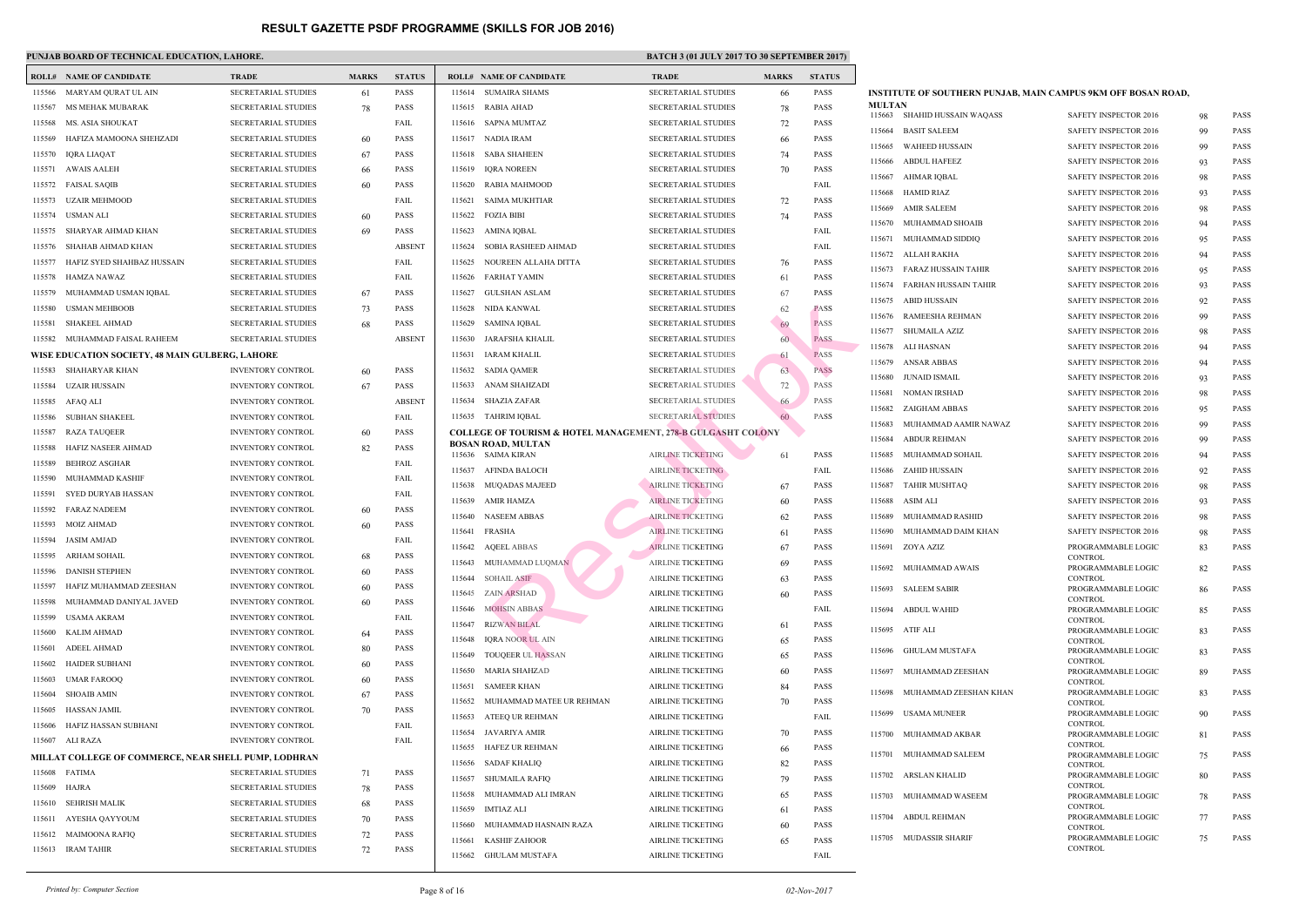## **PUNJAB BOARD OF TECHNICAL EDUCATION, LAHORE.** BATCH 3 (01 JULY 2017 TO 30 SATCH 3 (01 JULY 2017 TO 30 SATCH 3 (01 SEPTEMBER 2017) **BATCH 3 (01 SEPTEMBER 2017)**  $\mathbf{B}$

|        | <b>ROLL# NAME OF CANDIDATE</b>                       | <b>TRADE</b>               | <b>MARKS</b> | <b>STATUS</b> |        | <b>ROLL# NAME OF CANDIDATE</b>                       | <b>TRAL</b>   |
|--------|------------------------------------------------------|----------------------------|--------------|---------------|--------|------------------------------------------------------|---------------|
| 115566 | MARYAM QURAT UL AIN                                  | SECRETARIAL STUDIES        | 61           | <b>PASS</b>   | 115614 | SUMAIRA SHAMS                                        | <b>SECRE</b>  |
| 115567 | MS MEHAK MUBARAK                                     | <b>SECRETARIAL STUDIES</b> | 78           | <b>PASS</b>   | 115615 | <b>RABIA AHAD</b>                                    | <b>SECRE</b>  |
| 115568 | MS. ASIA SHOUKAT                                     | <b>SECRETARIAL STUDIES</b> |              | FAIL          | 115616 | SAPNA MUMTAZ                                         | <b>SECRE</b>  |
| 115569 | HAFIZA MAMOONA SHEHZADI                              | <b>SECRETARIAL STUDIES</b> | 60           | <b>PASS</b>   | 115617 | NADIA IRAM                                           | <b>SECRE</b>  |
| 115570 | IQRA LIAQAT                                          | <b>SECRETARIAL STUDIES</b> | 67           | <b>PASS</b>   | 115618 | SABA SHAHEEN                                         | <b>SECRE</b>  |
| 115571 | AWAIS AALEH                                          | <b>SECRETARIAL STUDIES</b> | 66           | <b>PASS</b>   | 115619 | IQRA NOREEN                                          | <b>SECRE</b>  |
| 115572 | <b>FAISAL SAQIB</b>                                  | <b>SECRETARIAL STUDIES</b> | 60           | <b>PASS</b>   | 115620 | <b>RABIA MAHMOOD</b>                                 | <b>SECRE</b>  |
| 115573 | UZAIR MEHMOOD                                        | <b>SECRETARIAL STUDIES</b> |              | FAIL          | 115621 | SAIMA MUKHTIAR                                       | <b>SECRE</b>  |
| 115574 | USMAN ALI                                            | <b>SECRETARIAL STUDIES</b> | 60           | <b>PASS</b>   | 115622 | <b>FOZIA BIBI</b>                                    | <b>SECRE</b>  |
| 115575 | SHARYAR AHMAD KHAN                                   | <b>SECRETARIAL STUDIES</b> | 69           | <b>PASS</b>   | 115623 | AMINA IQBAL                                          | <b>SECRE</b>  |
| 115576 | SHAHAB AHMAD KHAN                                    | <b>SECRETARIAL STUDIES</b> |              | <b>ABSENT</b> | 115624 | SOBIA RASHEED AHMAD                                  | <b>SECRE</b>  |
| 115577 | HAFIZ SYED SHAHBAZ HUSSAIN                           | <b>SECRETARIAL STUDIES</b> |              | FAIL          | 115625 | NOUREEN ALLAHA DITTA                                 | <b>SECRE</b>  |
| 115578 | HAMZA NAWAZ                                          | <b>SECRETARIAL STUDIES</b> |              | FAIL          | 115626 | FARHAT YAMIN                                         | <b>SECRE</b>  |
| 115579 | MUHAMMAD USMAN IQBAL                                 | <b>SECRETARIAL STUDIES</b> | 67           | <b>PASS</b>   | 115627 | GULSHAN ASLAM                                        | <b>SECRE</b>  |
| 115580 | <b>USMAN MEHBOOB</b>                                 | <b>SECRETARIAL STUDIES</b> | 73           | <b>PASS</b>   | 115628 | NIDA KANWAL                                          | <b>SECRE</b>  |
| 115581 | <b>SHAKEEL AHMAD</b>                                 | <b>SECRETARIAL STUDIES</b> | 68           | <b>PASS</b>   | 115629 | SAMINA IQBAL                                         | <b>SECRE</b>  |
|        | 115582 MUHAMMAD FAISAL RAHEEM                        | <b>SECRETARIAL STUDIES</b> |              | <b>ABSENT</b> | 115630 | JARAFSHA KHALIL                                      | <b>SECRE</b>  |
|        | WISE EDUCATION SOCIETY, 48 MAIN GULBERG, LAHORE      |                            |              |               | 115631 | IARAM KHALIL                                         | <b>SECRE</b>  |
| 115583 | SHAHARYAR KHAN                                       | <b>INVENTORY CONTROL</b>   | 60           | <b>PASS</b>   | 115632 | SADIA QAMER                                          | <b>SECRE</b>  |
| 115584 | UZAIR HUSSAIN                                        | <b>INVENTORY CONTROL</b>   | 67           | <b>PASS</b>   | 115633 | ANAM SHAHZADI                                        | <b>SECRE</b>  |
| 115585 | AFAQ ALI                                             | <b>INVENTORY CONTROL</b>   |              | <b>ABSENT</b> | 115634 | <b>SHAZIA ZAFAR</b>                                  | <b>SECRE</b>  |
| 115586 | SUBHAN SHAKEEL                                       | <b>INVENTORY CONTROL</b>   |              | FAIL          | 115635 | TAHRIM IQBAL                                         | <b>SECRE</b>  |
| 115587 | RAZA TAUQEER                                         | <b>INVENTORY CONTROL</b>   | 60           | <b>PASS</b>   |        | <b>COLLEGE OF TOURISM &amp; HOTEL MANAGEMENT, 2'</b> |               |
| 115588 | HAFIZ NASEER AHMAD                                   | <b>INVENTORY CONTROL</b>   | 82           | <b>PASS</b>   |        | <b>BOSAN ROAD, MULTAN</b>                            |               |
| 115589 | <b>BEHROZ ASGHAR</b>                                 | <b>INVENTORY CONTROL</b>   |              | FAIL          |        | 115636 SAIMA KIRAN                                   | <b>AIRLI</b>  |
| 115590 | MUHAMMAD KASHIF                                      | <b>INVENTORY CONTROL</b>   |              | FAIL          | 115637 | AFINDA BALOCH                                        | <b>AIRLI</b>  |
| 115591 | SYED DURYAB HASSAN                                   | <b>INVENTORY CONTROL</b>   |              | FAIL          | 115638 | MUQADAS MAJEED                                       | <b>AIRLI</b>  |
| 115592 | <b>FARAZ NADEEM</b>                                  | <b>INVENTORY CONTROL</b>   | 60           | <b>PASS</b>   | 115639 | AMIR HAMZA                                           | <b>AIRLI</b>  |
| 115593 | MOIZ AHMAD                                           | <b>INVENTORY CONTROL</b>   | 60           | PASS          | 115640 | <b>NASEEM ABBAS</b>                                  | <b>AIRLI</b>  |
|        | 115594 JASIM AMJAD                                   | <b>INVENTORY CONTROL</b>   |              | FAIL          | 115641 | FRASHA                                               | <b>AIRLII</b> |
| 115595 | ARHAM SOHAIL                                         | <b>INVENTORY CONTROL</b>   |              | PASS          |        | 115642 AQEEL ABBAS                                   | <b>AIRLI</b>  |
| 115596 | <b>DANISH STEPHEN</b>                                | <b>INVENTORY CONTROL</b>   | 68           | PASS          | 115643 | MUHAMMAD LUQMAN                                      | <b>AIRLI</b>  |
| 115597 | HAFIZ MUHAMMAD ZEESHAN                               | <b>INVENTORY CONTROL</b>   | 60           | <b>PASS</b>   | 115644 | <b>SOHAIL ASIF</b>                                   | <b>AIRLI</b>  |
|        |                                                      |                            | 60           |               | 115645 | <b>ZAIN ARSHAD</b>                                   | <b>AIRLI</b>  |
| 115598 | MUHAMMAD DANIYAL JAVED                               | <b>INVENTORY CONTROL</b>   | 60           | PASS<br>FAIL  | 115646 | <b>MOHSIN ABBAS</b>                                  | <b>AIRLI</b>  |
| 115599 | USAMA AKRAM                                          | <b>INVENTORY CONTROL</b>   |              |               | 115647 | <b>RIZWAN BILAL</b>                                  | <b>AIRLI</b>  |
| 115600 | <b>KALIM AHMAD</b>                                   | <b>INVENTORY CONTROL</b>   | 64           | <b>PASS</b>   | 115648 | <b>IORA NOOR UL AIN</b>                              | <b>AIRLI</b>  |
| 115601 | ADEEL AHMAD                                          | <b>INVENTORY CONTROL</b>   | 80           | PASS          | 115649 | <b>TOUQEER UL HASSAN</b>                             | <b>AIRLI</b>  |
| 115602 | <b>HAIDER SUBHANI</b>                                | <b>INVENTORY CONTROL</b>   | 60           | <b>PASS</b>   | 115650 | <b>MARIA SHAHZAD</b>                                 | <b>AIRLI</b>  |
| 115603 | <b>UMAR FAROOQ</b>                                   | <b>INVENTORY CONTROL</b>   | 60           | <b>PASS</b>   | 115651 | <b>SAMEER KHAN</b>                                   | AIRLII        |
| 115604 | <b>SHOAIB AMIN</b>                                   | <b>INVENTORY CONTROL</b>   | 67           | PASS          | 115652 | MUHAMMAD MATEE UR REHMAN                             | AIRLII        |
| 115605 | HASSAN JAMIL                                         | <b>INVENTORY CONTROL</b>   | 70           | <b>PASS</b>   | 115653 | ATEEQ UR REHMAN                                      | <b>AIRLI</b>  |
| 115606 | HAFIZ HASSAN SUBHANI                                 | <b>INVENTORY CONTROL</b>   |              | FAIL          | 115654 | JAVARIYA AMIR                                        | AIRLII        |
|        | 115607 ALI RAZA                                      | <b>INVENTORY CONTROL</b>   |              | FAIL          | 115655 | HAFEZ UR REHMAN                                      | <b>AIRLI</b>  |
|        | MILLAT COLLEGE OF COMMERCE, NEAR SHELL PUMP, LODHRAN |                            |              |               | 115656 | <b>SADAF KHALIQ</b>                                  | <b>AIRLI</b>  |
|        | 115608 FATIMA                                        | <b>SECRETARIAL STUDIES</b> | 71           | PASS          | 115657 | <b>SHUMAILA RAFIQ</b>                                | AIRLII        |
| 115609 | HAJRA                                                | <b>SECRETARIAL STUDIES</b> | 78           | PASS          | 115658 | MUHAMMAD ALI IMRAN                                   | AIRLII        |
| 115610 | <b>SEHRISH MALIK</b>                                 | <b>SECRETARIAL STUDIES</b> | 68           | <b>PASS</b>   | 115659 | <b>IMTIAZ ALI</b>                                    | <b>AIRLI</b>  |
| 115611 | AYESHA QAYYOUM                                       | <b>SECRETARIAL STUDIES</b> | 70           | <b>PASS</b>   | 115660 | MUHAMMAD HASNAIN RAZA                                | <b>AIRLI</b>  |
| 115612 | MAIMOONA RAFIQ                                       | <b>SECRETARIAL STUDIES</b> | 72           | PASS          | 115661 | KASHIF ZAHOOR                                        | AIRLII        |
|        | 115613 IRAM TAHIR                                    | <b>SECRETARIAL STUDIES</b> | 72           | <b>PASS</b>   | 115662 | <b>GHULAM MUSTAFA</b>                                | AIRLI         |
|        |                                                      |                            |              |               |        |                                                      |               |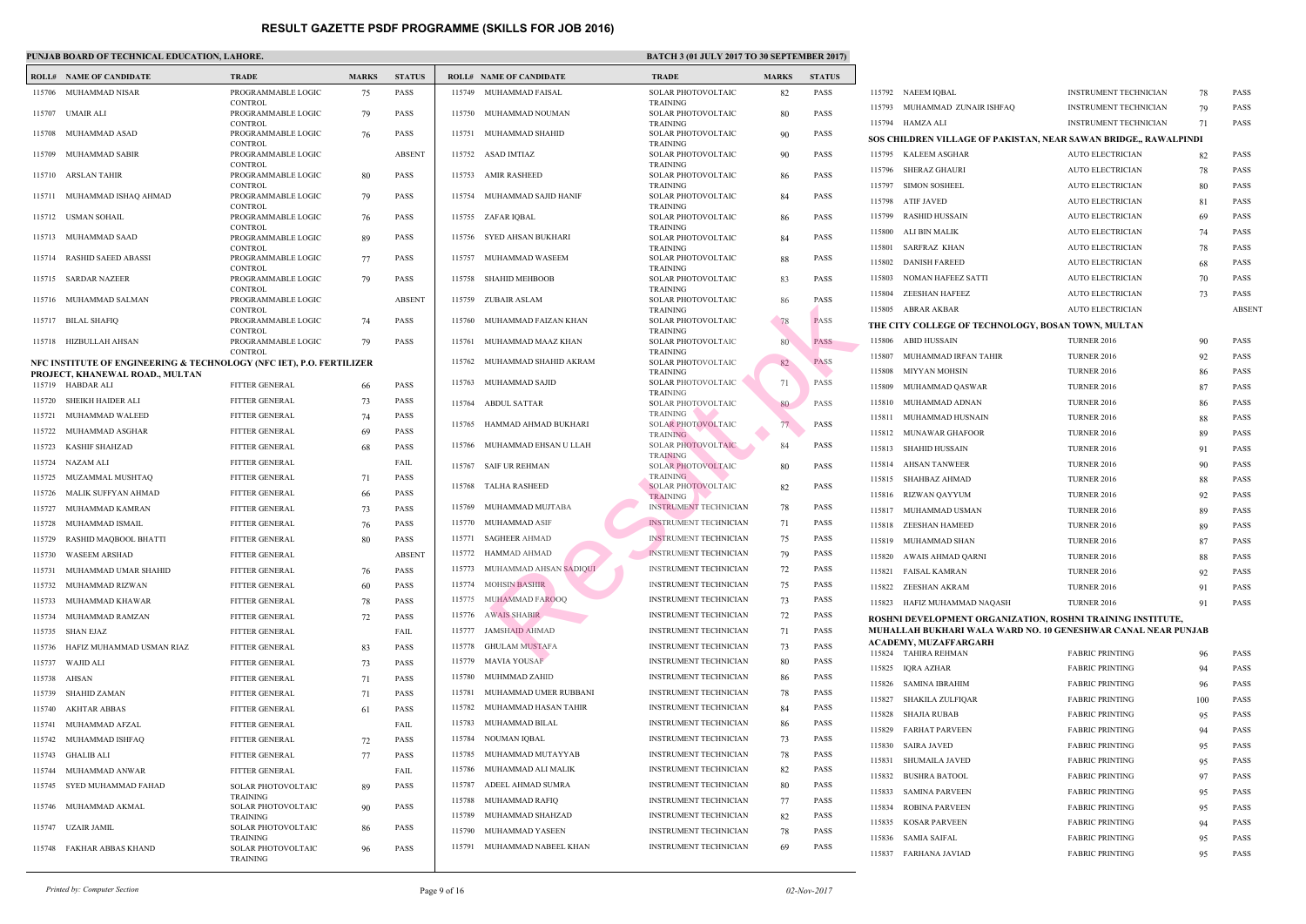|        | PUNJAB BOARD OF TECHNICAL EDUCATION, LAHORE.                         |                                                        |              |               |                  |                                     | <b>BATC</b>                                  |
|--------|----------------------------------------------------------------------|--------------------------------------------------------|--------------|---------------|------------------|-------------------------------------|----------------------------------------------|
|        | <b>ROLL# NAME OF CANDIDATE</b>                                       | <b>TRADE</b>                                           | <b>MARKS</b> | <b>STATUS</b> |                  | <b>ROLL# NAME OF CANDIDATE</b>      | <b>TRAL</b>                                  |
|        | 115706 MUHAMMAD NISAR                                                | PROGRAMMABLE LOGIC                                     | 75           | <b>PASS</b>   |                  | 115749 MUHAMMAD FAISAL              | <b>SOLAI</b>                                 |
| 115707 | UMAIR ALI                                                            | <b>CONTROL</b><br>PROGRAMMABLE LOGIC                   | 79           | <b>PASS</b>   |                  | 115750 MUHAMMAD NOUMAN              | <b>TRAIN</b><br><b>SOLAI</b>                 |
| 115708 | MUHAMMAD ASAD                                                        | <b>CONTROL</b><br>PROGRAMMABLE LOGIC                   | 76           | <b>PASS</b>   |                  | 115751 MUHAMMAD SHAHID              | <b>TRAIN</b><br><b>SOLAI</b>                 |
| 115709 | MUHAMMAD SABIR                                                       | <b>CONTROL</b><br>PROGRAMMABLE LOGIC                   |              | <b>ABSENT</b> |                  | 115752 ASAD IMTIAZ                  | <b>TRAIN</b><br><b>SOLAI</b>                 |
|        | 115710 ARSLAN TAHIR                                                  | <b>CONTROL</b><br>PROGRAMMABLE LOGIC                   | 80           | <b>PASS</b>   |                  | 115753 AMIR RASHEED                 | <b>TRAIN</b><br><b>SOLAI</b>                 |
| 115711 | MUHAMMAD ISHAQ AHMAD                                                 | <b>CONTROL</b><br>PROGRAMMABLE LOGIC                   | 79           | <b>PASS</b>   |                  | 115754 MUHAMMAD SAJID HANIF         | <b>TRAIN</b><br><b>SOLAI</b>                 |
|        | 115712 USMAN SOHAIL                                                  | CONTROL<br>PROGRAMMABLE LOGIC                          | 76           | <b>PASS</b>   |                  | 115755 ZAFAR IQBAL                  | <b>TRAIN</b><br><b>SOLAI</b>                 |
| 115713 | MUHAMMAD SAAD                                                        | <b>CONTROL</b><br>PROGRAMMABLE LOGIC<br><b>CONTROL</b> | 89           | <b>PASS</b>   |                  | 115756 SYED AHSAN BUKHARI           | <b>TRAIN</b><br><b>SOLAI</b>                 |
| 115714 | RASHID SAEED ABASSI                                                  | PROGRAMMABLE LOGIC<br><b>CONTROL</b>                   | 77           | <b>PASS</b>   |                  | 115757 MUHAMMAD WASEEM              | <b>TRAIN</b><br><b>SOLAI</b><br><b>TRAIN</b> |
|        | 115715 SARDAR NAZEER                                                 | PROGRAMMABLE LOGIC<br><b>CONTROL</b>                   | 79           | <b>PASS</b>   | 115758           | SHAHID MEHBOOB                      | <b>SOLAI</b><br><b>TRAIN</b>                 |
|        | 115716 MUHAMMAD SALMAN                                               | PROGRAMMABLE LOGIC<br><b>CONTROL</b>                   |              | <b>ABSENT</b> |                  | 115759 ZUBAIR ASLAM                 | <b>SOLAI</b><br><b>TRAIN</b>                 |
|        | 115717 BILAL SHAFIQ                                                  | PROGRAMMABLE LOGIC<br><b>CONTROL</b>                   | 74           | <b>PASS</b>   |                  | 115760 MUHAMMAD FAIZAN KHAN         | <b>SOLAI</b><br><b>TRAIN</b>                 |
| 115718 | HIZBULLAH AHSAN                                                      | PROGRAMMABLE LOGIC<br><b>CONTROL</b>                   | 79           | <b>PASS</b>   | 115761           | MUHAMMAD MAAZ KHAN                  | <b>SOLAI</b><br><b>TRAIN</b>                 |
|        | NFC INSTITUTE OF ENGINEERING & TECHNOLOGY (NFC IET), P.O. FERTILIZER |                                                        |              |               |                  | 115762 MUHAMMAD SHAHID AKRAM        | <b>SOLAI</b><br><b>TRAIN</b>                 |
|        | PROJECT, KHANEWAL ROAD., MULTAN<br>115719 HABDAR ALI                 | <b>FITTER GENERAL</b>                                  | 66           | <b>PASS</b>   | 115763           | MUHAMMAD SAJID                      | <b>SOLAI</b>                                 |
| 115720 | SHEIKH HAIDER ALI                                                    | <b>FITTER GENERAL</b>                                  | 73           | <b>PASS</b>   |                  | 115764 ABDUL SATTAR                 | <b>TRAIN</b><br><b>SOLAI</b>                 |
| 115721 | MUHAMMAD WALEED                                                      | <b>FITTER GENERAL</b>                                  | 74           | <b>PASS</b>   |                  |                                     | <b>TRAIN</b>                                 |
| 115722 | MUHAMMAD ASGHAR                                                      | FITTER GENERAL                                         | 69           | <b>PASS</b>   | 115765           | HAMMAD AHMAD BUKHARI                | <b>SOLA</b><br><b>TRAIN</b>                  |
| 115723 | KASHIF SHAHZAD                                                       | FITTER GENERAL                                         | 68           | <b>PASS</b>   |                  | 115766 MUHAMMAD EHSAN U LLAH        | SOLAI<br><b>TRAIN</b>                        |
| 115724 | NAZAM ALI                                                            | <b>FITTER GENERAL</b>                                  |              | FAIL          |                  | 115767 SAIF UR REHMAN               | <b>SOLAI</b>                                 |
| 115725 | MUZAMMAL MUSHTAQ                                                     | <b>FITTER GENERAL</b>                                  | 71           | <b>PASS</b>   |                  | 115768 TALHA RASHEED                | <b>TRAIN</b><br><b>SOLAI</b>                 |
| 115726 | MALIK SUFFYAN AHMAD                                                  | <b>FITTER GENERAL</b>                                  | 66           | <b>PASS</b>   |                  |                                     | <b>TRAIN</b>                                 |
| 115727 | MUHAMMAD KAMRAN                                                      | FITTER GENERAL                                         | 73           | <b>PASS</b>   | 115769           | MUHAMMAD MUJTABA                    | <b>INSTR</b>                                 |
| 115728 | MUHAMMAD ISMAIL                                                      | <b>FITTER GENERAL</b>                                  | 76           | <b>PASS</b>   | 115770           | MUHAMMAD ASIF                       | <b>INSTR</b>                                 |
| 115729 | RASHID MAQBOOL BHATTI                                                | <b>FITTER GENERAL</b>                                  | 80           | <b>PASS</b>   |                  | 115771 SAGHEER AHMAD                | <b>INSTR</b>                                 |
| 115730 | <b>WASEEM ARSHAD</b>                                                 | <b>FITTER GENERAL</b>                                  |              | <b>ABSENT</b> | 115772           | HAMMAD AHMAD                        | <b>INSTR</b>                                 |
| 115731 | MUHAMMAD UMAR SHAHID                                                 | <b>FITTER GENERAL</b>                                  | 76           | <b>PASS</b>   | 115773           | MUHAMMAD AHSAN SADIQUI              | <b>INSTR</b>                                 |
| 115732 | MUHAMMAD RIZWAN                                                      | <b>FITTER GENERAL</b>                                  | 60           | PASS          | 115774           | <b>MOHSIN BASHIR</b>                | <b>INSTR</b>                                 |
| 115733 | MUHAMMAD KHAWAR                                                      | <b>FITTER GENERAL</b>                                  | 78           | PASS          | 115775           | <b>MUHAMMAD FAROOQ</b>              | <b>INSTR</b>                                 |
| 115734 | MUHAMMAD RAMZAN                                                      | <b>FITTER GENERAL</b>                                  | 72           | PASS          | 115776           | <b>AWAIS SHABIR</b>                 | <b>INSTR</b>                                 |
| 115735 | SHAN EJAZ                                                            | <b>FITTER GENERAL</b>                                  |              | FAIL          | 115777           | <b>JAMSHAID AHMAD</b>               | <b>INSTR</b>                                 |
| 115736 | HAFIZ MUHAMMAD USMAN RIAZ                                            | <b>FITTER GENERAL</b>                                  | 83           | <b>PASS</b>   | 115778           | <b>GHULAM MUSTAFA</b>               | <b>INSTR</b>                                 |
| 115737 | WAJID ALI                                                            | <b>FITTER GENERAL</b>                                  | 73           | <b>PASS</b>   | 115779           | <b>MAVIA YOUSAF</b>                 | <b>INSTR</b>                                 |
| 115738 | AHSAN                                                                | <b>FITTER GENERAL</b>                                  | 71           | PASS          | 115780           | MUHMMAD ZAHID                       | <b>INSTR</b>                                 |
| 115739 | SHAHID ZAMAN                                                         | <b>FITTER GENERAL</b>                                  | 71           | PASS          | 115781           | MUHAMMAD UMER RUBBANI               | <b>INSTR</b>                                 |
| 115740 | <b>AKHTAR ABBAS</b>                                                  | <b>FITTER GENERAL</b>                                  | 61           | PASS          | 115782           | MUHAMMAD HASAN TAHIR                | <b>INSTR</b>                                 |
| 115741 | MUHAMMAD AFZAL                                                       | <b>FITTER GENERAL</b>                                  |              | FAIL          | 115783           | MUHAMMAD BILAL                      | <b>INSTR</b>                                 |
| 115742 | MUHAMMAD ISHFAQ                                                      | FITTER GENERAL                                         | 72           | <b>PASS</b>   | 115784           | NOUMAN IQBAL                        | <b>INSTR</b>                                 |
| 115743 | <b>GHALIB ALI</b>                                                    | <b>FITTER GENERAL</b>                                  | 77           | <b>PASS</b>   | 115785           | MUHAMMAD MUTAYYAB                   | <b>INSTR</b>                                 |
| 115744 | MUHAMMAD ANWAR                                                       | <b>FITTER GENERAL</b>                                  |              | FAIL          | 115786           | MUHAMMAD ALI MALIK                  | <b>INSTR</b>                                 |
| 115745 | SYED MUHAMMAD FAHAD                                                  | SOLAR PHOTOVOLTAIC<br><b>TRAINING</b>                  | 89           | PASS          | 115787<br>115788 | ADEEL AHMAD SUMRA<br>MUHAMMAD RAFIQ | <b>INSTR</b><br><b>INSTR</b>                 |
| 115746 | MUHAMMAD AKMAL                                                       | SOLAR PHOTOVOLTAIC<br><b>TRAINING</b>                  | 90           | PASS          | 115789           | MUHAMMAD SHAHZAD                    | <b>INSTR</b>                                 |
| 115747 | UZAIR JAMIL                                                          | SOLAR PHOTOVOLTAIC<br><b>TRAINING</b>                  | 86           | PASS          | 115790           | MUHAMMAD YASEEN                     | <b>INSTR</b>                                 |
| 115748 | FAKHAR ABBAS KHAND                                                   | SOLAR PHOTOVOLTAIC<br>TRAINING                         | 96           | PASS          |                  | 115791 MUHAMMAD NABEEL KHAN         | <b>INSTR</b>                                 |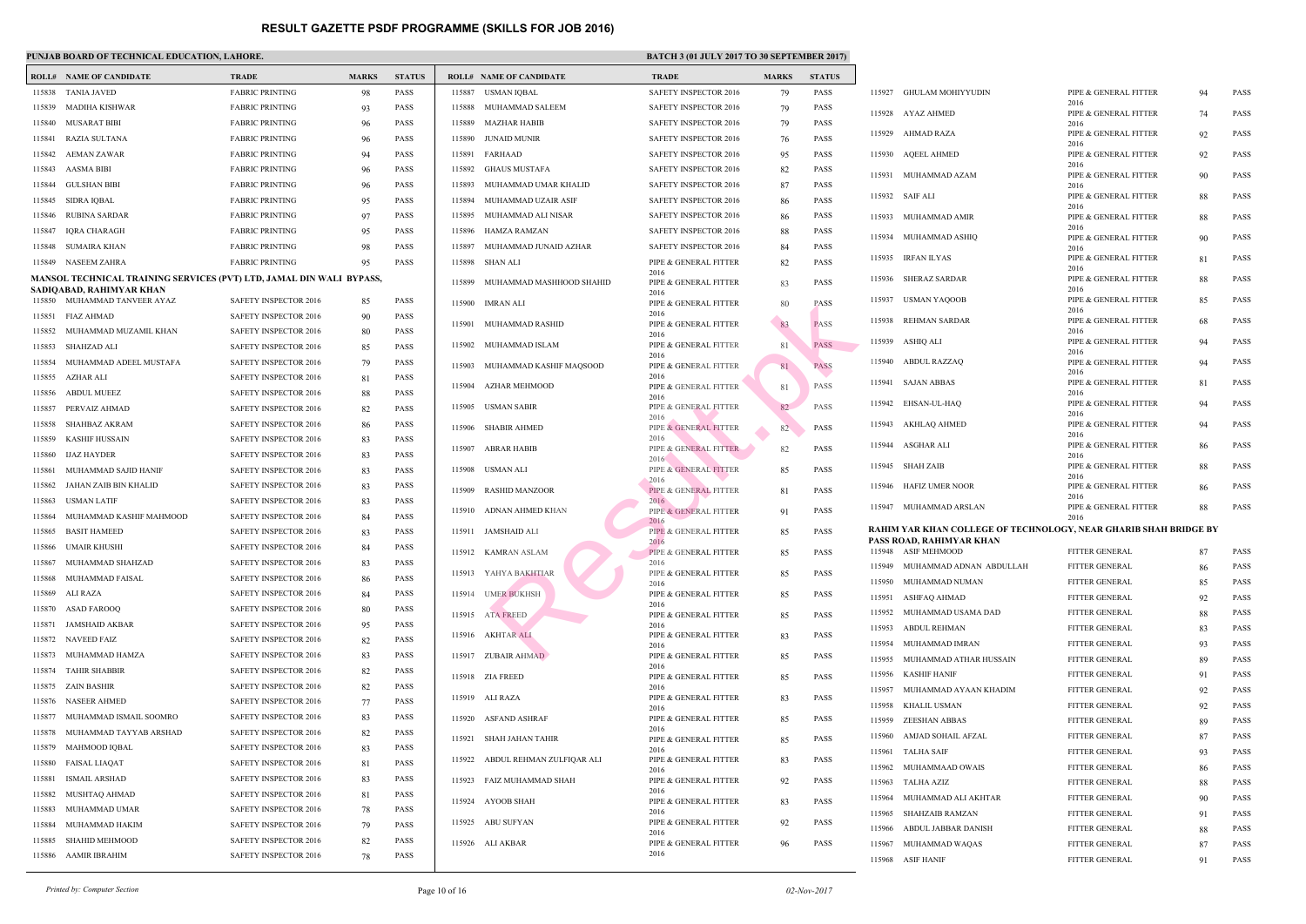|        | <b>ROLL# NAME OF CANDIDATE</b>                                        | <b>TRADE</b>                 | <b>MARKS</b> | <b>STATUS</b> |        | <b>ROLL# NAME OF CANDIDATE</b> | TRAD           |
|--------|-----------------------------------------------------------------------|------------------------------|--------------|---------------|--------|--------------------------------|----------------|
|        | 115838 TANIA JAVED                                                    | <b>FABRIC PRINTING</b>       | 98           | <b>PASS</b>   | 115887 | USMAN IQBAL                    | <b>SAFET</b>   |
| 115839 | MADIHA KISHWAR                                                        | <b>FABRIC PRINTING</b>       | 93           | <b>PASS</b>   | 115888 | MUHAMMAD SALEEM                | <b>SAFET</b>   |
|        | 115840 MUSARAT BIBI                                                   | <b>FABRIC PRINTING</b>       | 96           | <b>PASS</b>   | 115889 | <b>MAZHAR HABIB</b>            | <b>SAFET</b>   |
| 115841 | <b>RAZIA SULTANA</b>                                                  | <b>FABRIC PRINTING</b>       | 96           | <b>PASS</b>   | 115890 | JUNAID MUNIR                   | <b>SAFET</b>   |
| 115842 | AEMAN ZAWAR                                                           | <b>FABRIC PRINTING</b>       | 94           | <b>PASS</b>   | 115891 | FARHAAD                        | <b>SAFET</b>   |
| 115843 | AASMA BIBI                                                            | <b>FABRIC PRINTING</b>       | 96           | <b>PASS</b>   | 115892 | GHAUS MUSTAFA                  | <b>SAFET</b>   |
| 115844 | <b>GULSHAN BIBI</b>                                                   | <b>FABRIC PRINTING</b>       | 96           | <b>PASS</b>   | 115893 | MUHAMMAD UMAR KHALID           | <b>SAFET</b>   |
| 115845 | SIDRA IQBAL                                                           | <b>FABRIC PRINTING</b>       | 95           | <b>PASS</b>   | 115894 | MUHAMMAD UZAIR ASIF            | <b>SAFET</b>   |
| 115846 | RUBINA SARDAR                                                         | <b>FABRIC PRINTING</b>       | 97           | <b>PASS</b>   | 115895 | MUHAMMAD ALI NISAR             | <b>SAFET</b>   |
| 115847 | IQRA CHARAGH                                                          | <b>FABRIC PRINTING</b>       | 95           | <b>PASS</b>   | 115896 | HAMZA RAMZAN                   | <b>SAFET</b>   |
| 115848 | SUMAIRA KHAN                                                          | <b>FABRIC PRINTING</b>       | 98           | <b>PASS</b>   | 115897 | MUHAMMAD JUNAID AZHAR          | <b>SAFET</b>   |
|        | 115849 NASEEM ZAHRA                                                   | <b>FABRIC PRINTING</b>       | 95           | <b>PASS</b>   | 115898 | SHAN ALI                       | PIPE &         |
|        | MANSOL TECHNICAL TRAINING SERVICES (PVT) LTD, JAMAL DIN WALI  BYPASS, |                              |              |               |        |                                | 2016           |
|        | SADIQABAD, RAHIMYAR KHAN                                              |                              |              |               | 115899 | MUHAMMAD MASHHOOD SHAHID       | PIPE &<br>2016 |
|        | 115850 MUHAMMAD TANVEER AYAZ                                          | <b>SAFETY INSPECTOR 2016</b> | 85           | <b>PASS</b>   | 115900 | <b>IMRAN ALI</b>               | PIPE &         |
|        | 115851 FIAZ AHMAD                                                     | <b>SAFETY INSPECTOR 2016</b> | 90           | <b>PASS</b>   | 115901 | MUHAMMAD RASHID                | 2016<br>PIPE & |
|        | 115852 MUHAMMAD MUZAMIL KHAN                                          | <b>SAFETY INSPECTOR 2016</b> | 80           | <b>PASS</b>   |        |                                | 2016           |
| 115853 | SHAHZAD ALI                                                           | SAFETY INSPECTOR 2016        | 85           | <b>PASS</b>   | 115902 | MUHAMMAD ISLAM                 | PIPE &<br>2016 |
| 115854 | MUHAMMAD ADEEL MUSTAFA                                                | <b>SAFETY INSPECTOR 2016</b> | 79           | <b>PASS</b>   | 115903 | MUHAMMAD KASHIF MAQSOOD        | PIPE &         |
|        | 115855 AZHAR ALI                                                      | <b>SAFETY INSPECTOR 2016</b> | 81           | <b>PASS</b>   |        |                                | 2016<br>PIPE & |
|        | 115856 ABDUL MUEEZ                                                    | <b>SAFETY INSPECTOR 2016</b> | 88           | <b>PASS</b>   |        | 115904 AZHAR MEHMOOD           | 2016           |
| 115857 | PERVAIZ AHMAD                                                         | <b>SAFETY INSPECTOR 2016</b> | 82           | <b>PASS</b>   | 115905 | <b>USMAN SABIR</b>             | PIPE &         |
| 115858 | SHAHBAZ AKRAM                                                         | <b>SAFETY INSPECTOR 2016</b> | 86           | <b>PASS</b>   |        | 115906 SHABIR AHMED            | 2016<br>PIPE & |
| 115859 | KASHIF HUSSAIN                                                        | SAFETY INSPECTOR 2016        | 83           | <b>PASS</b>   |        |                                | 2016           |
| 115860 | <b>IJAZ HAYDER</b>                                                    | <b>SAFETY INSPECTOR 2016</b> | 83           | <b>PASS</b>   | 115907 | ABRAR HABIB                    | PIPE &<br>2016 |
| 115861 | MUHAMMAD SAJID HANIF                                                  | <b>SAFETY INSPECTOR 2016</b> | 83           | <b>PASS</b>   | 115908 | USMAN ALI                      | PIPE &         |
| 115862 | JAHAN ZAIB BIN KHALID                                                 | <b>SAFETY INSPECTOR 2016</b> | 83           | <b>PASS</b>   | 115909 | <b>RASHID MANZOOR</b>          | 2016<br>PIPE & |
| 115863 | USMAN LATIF                                                           | <b>SAFETY INSPECTOR 2016</b> | 83           | <b>PASS</b>   |        |                                | 2016           |
| 115864 | MUHAMMAD KASHIF MAHMOOD                                               | <b>SAFETY INSPECTOR 2016</b> | 84           | <b>PASS</b>   | 115910 | ADNAN AHMED KHAN               | PIPE &<br>2016 |
| 115865 | <b>BASIT HAMEED</b>                                                   | SAFETY INSPECTOR 2016        | 83           | <b>PASS</b>   |        | 115911 JAMSHAID ALI            | PIPE &         |
|        | 115866 UMAIR KHUSHI                                                   | SAFETY INSPECTOR 2016        | 84           | <b>PASS</b>   |        | 115912 KAMRAN ASLAM            | 2016<br>PIPE & |
| 115867 | MUHAMMAD SHAHZAD                                                      | SAFETY INSPECTOR 2016        | 83           | <b>PASS</b>   |        |                                | 2016           |
| 115868 | MUHAMMAD FAISAL                                                       | <b>SAFETY INSPECTOR 2016</b> | 86           | <b>PASS</b>   |        | 115913 YAHYA BAKHTIAR          | PIPE &<br>2016 |
| 115869 | <b>ALI RAZA</b>                                                       | <b>SAFETY INSPECTOR 2016</b> | 84           | <b>PASS</b>   | 115914 | <b>UMER BUKHSH</b>             | PIPE &         |
| 115870 | <b>ASAD FAROOO</b>                                                    | <b>SAFETY INSPECTOR 2016</b> | 80           | <b>PASS</b>   |        | 115915 ATA FREED               | 2016<br>PIPE & |
| 115871 | <b>JAMSHAID AKBAR</b>                                                 | SAFETY INSPECTOR 2016        | 95           | <b>PASS</b>   |        |                                | 2016           |
| 115872 | <b>NAVEED FAIZ</b>                                                    | <b>SAFETY INSPECTOR 2016</b> | 82           | <b>PASS</b>   |        | 115916 AKHTAR ALI              | PIPE &<br>2016 |
| 115873 | MUHAMMAD HAMZA                                                        | <b>SAFETY INSPECTOR 2016</b> | 83           | PASS          |        | 115917 ZUBAIR AHMAD            | PIPE &         |
| 115874 | <b>TAHIR SHABBIR</b>                                                  | SAFETY INSPECTOR 2016        | 82           | PASS          |        |                                | 2016<br>PIPE & |
| 115875 | <b>ZAIN BASHIR</b>                                                    | <b>SAFETY INSPECTOR 2016</b> | 82           | <b>PASS</b>   |        | 115918 ZIA FREED               | 2016           |
| 115876 | <b>NASEER AHMED</b>                                                   | <b>SAFETY INSPECTOR 2016</b> | 77           | <b>PASS</b>   |        | 115919 ALI RAZA                | PIPE &         |
| 115877 | MUHAMMAD ISMAIL SOOMRO                                                | <b>SAFETY INSPECTOR 2016</b> | 83           | PASS          | 115920 | <b>ASFAND ASHRAF</b>           | 2016<br>PIPE & |
| 115878 | MUHAMMAD TAYYAB ARSHAD                                                | <b>SAFETY INSPECTOR 2016</b> | 82           | <b>PASS</b>   |        |                                | 2016           |
| 115879 | MAHMOOD IQBAL                                                         | <b>SAFETY INSPECTOR 2016</b> | 83           | <b>PASS</b>   | 115921 | SHAH JAHAN TAHIR               | PIPE &<br>2016 |
| 115880 | <b>FAISAL LIAQAT</b>                                                  | SAFETY INSPECTOR 2016        | 81           | <b>PASS</b>   | 115922 | ABDUL REHMAN ZULFIQAR ALI      | PIPE &         |
| 115881 | <b>ISMAIL ARSHAD</b>                                                  | <b>SAFETY INSPECTOR 2016</b> | 83           | <b>PASS</b>   | 115923 | FAIZ MUHAMMAD SHAH             | 2016<br>PIPE & |
| 115882 | MUSHTAQ AHMAD                                                         | <b>SAFETY INSPECTOR 2016</b> | 81           | PASS          |        |                                | 2016           |
| 115883 | MUHAMMAD UMAR                                                         | <b>SAFETY INSPECTOR 2016</b> | 78           | <b>PASS</b>   |        | 115924 AYOOB SHAH              | PIPE &<br>2016 |
| 115884 | MUHAMMAD HAKIM                                                        | SAFETY INSPECTOR 2016        | 79           | <b>PASS</b>   |        | 115925 ABU SUFYAN              | PIPE &         |
| 115885 | SHAHID MEHMOOD                                                        | SAFETY INSPECTOR 2016        | 82           | PASS          |        | 115926 ALI AKBAR               | 2016<br>PIPE & |
|        | 115886 AAMIR IBRAHIM                                                  | SAFETY INSPECTOR 2016        | 78           | PASS          |        |                                | 2016           |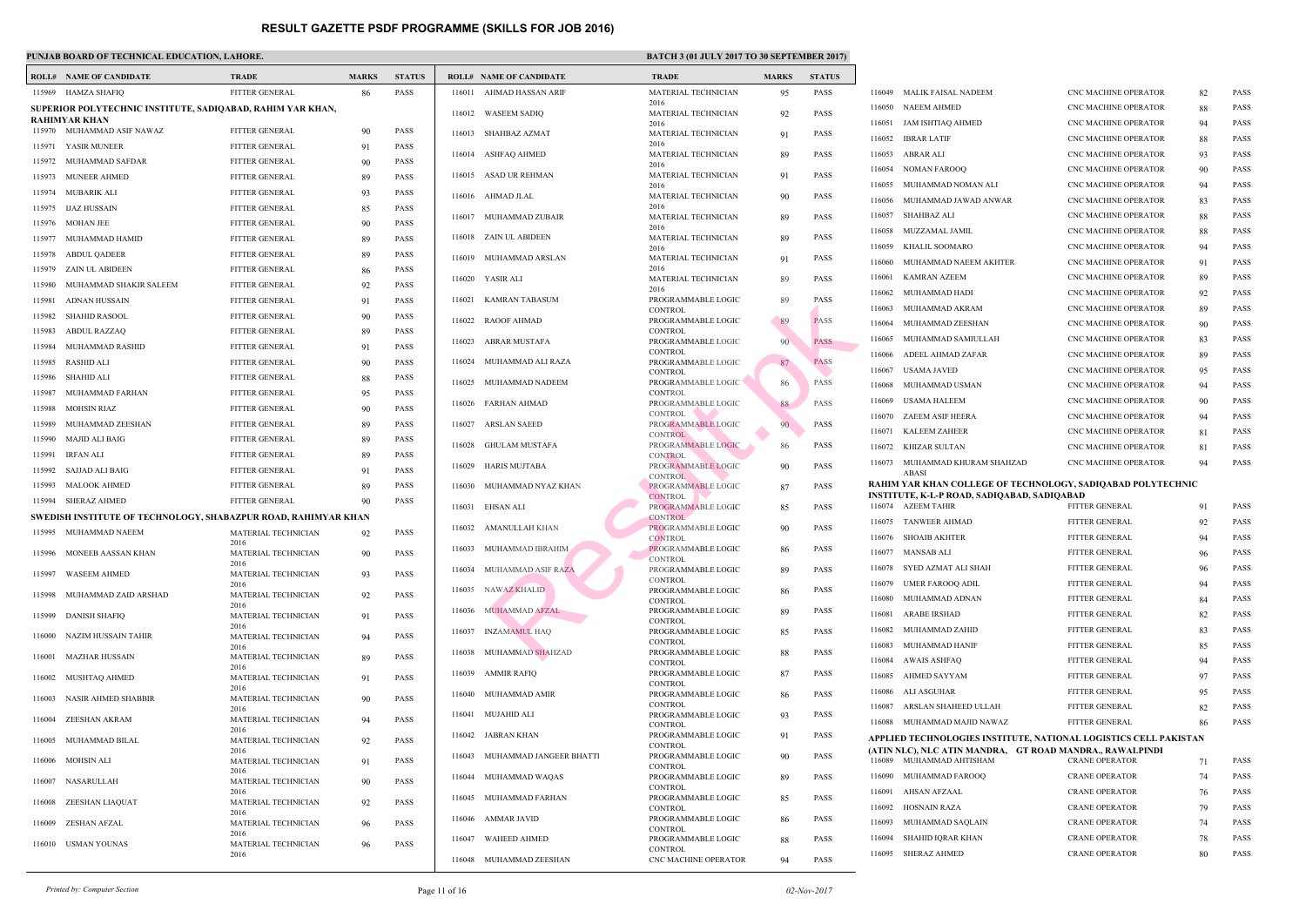|        | <b>ROLL# NAME OF CANDIDATE</b>                                 | <b>TRADE</b>                                   | <b>MARKS</b> | <b>STATUS</b>              |        | <b>ROLL# NAME OF CANDIDATE</b> | <b>TRAL</b>                  |
|--------|----------------------------------------------------------------|------------------------------------------------|--------------|----------------------------|--------|--------------------------------|------------------------------|
|        | 115969 HAMZA SHAFIQ                                            | FITTER GENERAL                                 | 86           | <b>PASS</b>                |        | 116011 AHMAD HASSAN ARIF       | <b>MATE</b>                  |
|        | SUPERIOR POLYTECHNIC INSTITUTE, SADIQABAD, RAHIM YAR KHAN,     |                                                |              |                            |        | 116012 WASEEM SADIQ            | 2016<br><b>MATE</b>          |
|        | RAHIMYAR KHAN                                                  |                                                |              |                            |        |                                | 2016                         |
|        | 115970 MUHAMMAD ASIF NAWAZ                                     | FITTER GENERAL                                 | 90           | <b>PASS</b>                | 116013 | SHAHBAZ AZMAT                  | <b>MATE</b><br>2016          |
|        | 115971 YASIR MUNEER                                            | FITTER GENERAL                                 | 91           | <b>PASS</b>                |        | 116014 ASHFAQ AHMED            | <b>MATE</b>                  |
| 115972 | MUHAMMAD SAFDAR                                                | <b>FITTER GENERAL</b>                          | 90           | <b>PASS</b>                | 116015 | ASAD UR REHMAN                 | 2016<br><b>MATE</b>          |
| 115973 | <b>MUNEER AHMED</b>                                            | FITTER GENERAL                                 | 89           | <b>PASS</b>                |        |                                | 2016                         |
| 115975 | 115974 MUBARIK ALI<br><b>IJAZ HUSSAIN</b>                      | FITTER GENERAL<br><b>FITTER GENERAL</b>        | 93           | <b>PASS</b><br><b>PASS</b> |        | 116016 AHMAD JLAL              | <b>MATE</b><br>2016          |
|        |                                                                |                                                | 85           |                            | 116017 | MUHAMMAD ZUBAIR                | <b>MATE</b>                  |
|        | 115976 MOHAN JEE<br>MUHAMMAD HAMID                             | <b>FITTER GENERAL</b><br><b>FITTER GENERAL</b> | 90           | <b>PASS</b><br><b>PASS</b> |        | 116018 ZAIN UL ABIDEEN         | 2016<br><b>MATE</b>          |
| 115977 |                                                                |                                                | 89           |                            |        |                                | 2016                         |
| 115978 | <b>ABDUL QADEER</b>                                            | FITTER GENERAL                                 | 89           | <b>PASS</b>                |        | 116019 MUHAMMAD ARSLAN         | <b>MATE</b><br>2016          |
| 115979 | ZAIN UL ABIDEEN                                                | FITTER GENERAL                                 | 86           | <b>PASS</b>                |        | 116020 YASIR ALI               | <b>MATE</b>                  |
| 115980 | MUHAMMAD SHAKIR SALEEM                                         | <b>FITTER GENERAL</b>                          | 92           | <b>PASS</b>                |        |                                | 2016                         |
| 115981 | ADNAN HUSSAIN                                                  | FITTER GENERAL                                 | 91           | <b>PASS</b>                | 116021 | KAMRAN TABASUM                 | <b>PROGI</b><br><b>CONTI</b> |
| 115982 | <b>SHAHID RASOOL</b>                                           | <b>FITTER GENERAL</b>                          | 90           | <b>PASS</b>                | 116022 | <b>RAOOF AHMAD</b>             | <b>PROGI</b>                 |
| 115983 | ABDUL RAZZAQ                                                   | <b>FITTER GENERAL</b>                          | 89           | <b>PASS</b>                | 116023 | ABRAR MUSTAFA                  | <b>CONTI</b><br><b>PROGI</b> |
| 115984 | MUHAMMAD RASHID                                                | FITTER GENERAL                                 | 91           | <b>PASS</b>                |        |                                | <b>CONTI</b>                 |
| 115985 | RASHID ALI                                                     | <b>FITTER GENERAL</b>                          | 90           | <b>PASS</b>                |        | 116024 MUHAMMAD ALI RAZA       | <b>PROGI</b><br><b>CONTI</b> |
| 115986 | <b>SHAHID ALI</b>                                              | <b>FITTER GENERAL</b>                          | 88           | <b>PASS</b>                | 116025 | MUHAMMAD NADEEM                | <b>PROGI</b>                 |
| 115987 | MUHAMMAD FARHAN                                                | FITTER GENERAL                                 | 95           | <b>PASS</b>                |        | 116026 FARHAN AHMAD            | <b>CONTI</b><br>PROGI        |
| 115988 | MOHSIN RIAZ                                                    | <b>FITTER GENERAL</b>                          | 90           | <b>PASS</b>                |        |                                | <b>CONTI</b>                 |
| 115989 | MUHAMMAD ZEESHAN                                               | FITTER GENERAL                                 | 89           | <b>PASS</b>                | 116027 | <b>ARSLAN SAEED</b>            | PROGI<br><b>CONTI</b>        |
| 115990 | MAJID ALI BAIG                                                 | FITTER GENERAL                                 | 89           | <b>PASS</b>                | 116028 | GHULAM MUSTAFA                 | PROGI                        |
| 115991 | IRFAN ALI                                                      | <b>FITTER GENERAL</b>                          | 89           | <b>PASS</b>                | 116029 | HARIS MUJTABA                  | <b>CONTI</b><br><b>PROGI</b> |
| 115992 | SAJJAD ALI BAIG                                                | <b>FITTER GENERAL</b>                          | 91           | <b>PASS</b>                |        |                                | <b>CONT</b>                  |
| 115993 | <b>MALOOK AHMED</b>                                            | FITTER GENERAL                                 | 89           | <b>PASS</b>                | 116030 | MUHAMMAD NYAZ KHAN             | <b>PROGI</b><br><b>CONT</b>  |
|        | 115994 SHERAZ AHMED                                            | FITTER GENERAL                                 | 90           | <b>PASS</b>                |        | 116031 EHSAN ALI               | PROGI                        |
|        | SWEDISH INSTITUTE OF TECHNOLOGY, SHABAZPUR ROAD, RAHIMYAR KHAN |                                                |              |                            |        |                                | <b>CONT</b><br><b>PROGI</b>  |
|        | 115995 MUHAMMAD NAEEM                                          | MATERIAL TECHNICIAN<br>2016                    | 92           | <b>PASS</b>                |        | 116032 AMANULLAH KHAN          | <b>CONT</b>                  |
|        | 115996 MONEEB AASSAN KHAN                                      | MATERIAL TECHNICIAN                            | 90           | <b>PASS</b>                |        | 116033 MUHAMMAD IBRAHIM        | <b>PROGI</b>                 |
|        | <b>WASEEM AHMED</b>                                            | 2016<br>MATERIAL TECHNICIAN                    |              | <b>PASS</b>                | 116034 | MUHAMMAD ASIF RAZA             | <b>CONT</b><br><b>PROGI</b>  |
| 115997 |                                                                | 2016                                           | 93           |                            |        |                                | <b>CONTI</b>                 |
| 115998 | MUHAMMAD ZAID ARSHAD                                           | MATERIAL TECHNICIAN                            | 92           | PASS                       | 116035 | NAWAZ KHALID                   | <b>PROGI</b><br><b>CONTI</b> |
| 115999 | <b>DANISH SHAFIQ</b>                                           | 2016<br>MATERIAL TECHNICIAN                    | 91           | <b>PASS</b>                | 116036 | MUHAMMAD AFZAL                 | <b>PROGI</b>                 |
|        |                                                                | 2016                                           |              |                            | 116037 | <b>INZAMAMUL HAQ</b>           | <b>CONTI</b><br>PROGI        |
| 116000 | NAZIM HUSSAIN TAHIR                                            | MATERIAL TECHNICIAN<br>2016                    | 94           | <b>PASS</b>                |        |                                | <b>CONTI</b>                 |
| 116001 | MAZHAR HUSSAIN                                                 | MATERIAL TECHNICIAN                            | 89           | PASS                       | 116038 | MUHAMMAD SHAHZAD               | <b>PROGI</b><br><b>CONTI</b> |
| 116002 | MUSHTAQ AHMED                                                  | 2016<br>MATERIAL TECHNICIAN                    | 91           | PASS                       | 116039 | AMMIR RAFIQ                    | <b>PROGI</b>                 |
|        |                                                                | 2016                                           |              |                            | 116040 | MUHAMMAD AMIR                  | <b>CONTI</b><br><b>PROGI</b> |
| 116003 | <b>NASIR AHMED SHABBIR</b>                                     | MATERIAL TECHNICIAN<br>2016                    | 90           | <b>PASS</b>                |        |                                | <b>CONTI</b>                 |
| 116004 | ZEESHAN AKRAM                                                  | MATERIAL TECHNICIAN                            | 94           | PASS                       | 116041 | MUJAHID ALI                    | <b>PROGI</b><br><b>CONTI</b> |
| 116005 | MUHAMMAD BILAL                                                 | 2016<br>MATERIAL TECHNICIAN                    | 92           | <b>PASS</b>                | 116042 | JABRAN KHAN                    | <b>PROGI</b>                 |
|        |                                                                | 2016                                           |              |                            | 116043 | MUHAMMAD JANGEER BHATTI        | <b>CONTI</b><br><b>PROGI</b> |
| 116006 | MOHSIN ALI                                                     | MATERIAL TECHNICIAN<br>2016                    | 91           | PASS                       |        |                                | <b>CONTI</b>                 |
| 116007 | NASARULLAH                                                     | MATERIAL TECHNICIAN                            | 90           | <b>PASS</b>                | 116044 | MUHAMMAD WAQAS                 | <b>PROGI</b><br><b>CONTI</b> |
| 116008 | ZEESHAN LIAQUAT                                                | 2016<br>MATERIAL TECHNICIAN                    | 92           | PASS                       | 116045 | MUHAMMAD FARHAN                | <b>PROGI</b>                 |
|        |                                                                | 2016                                           |              |                            |        | 116046 AMMAR JAVID             | <b>CONTI</b><br><b>PROGI</b> |
| 116009 | ZESHAN AFZAL                                                   | MATERIAL TECHNICIAN<br>2016                    | 96           | PASS                       |        |                                | <b>CONTI</b>                 |
|        | 116010 USMAN YOUNAS                                            | MATERIAL TECHNICIAN                            | 96           | PASS                       | 116047 | <b>WAHEED AHMED</b>            | <b>PROGI</b><br><b>CONTI</b> |
|        |                                                                | 2016                                           |              |                            | 116048 | MUHAMMAD ZEESHAN               | CNC <sub>N</sub>             |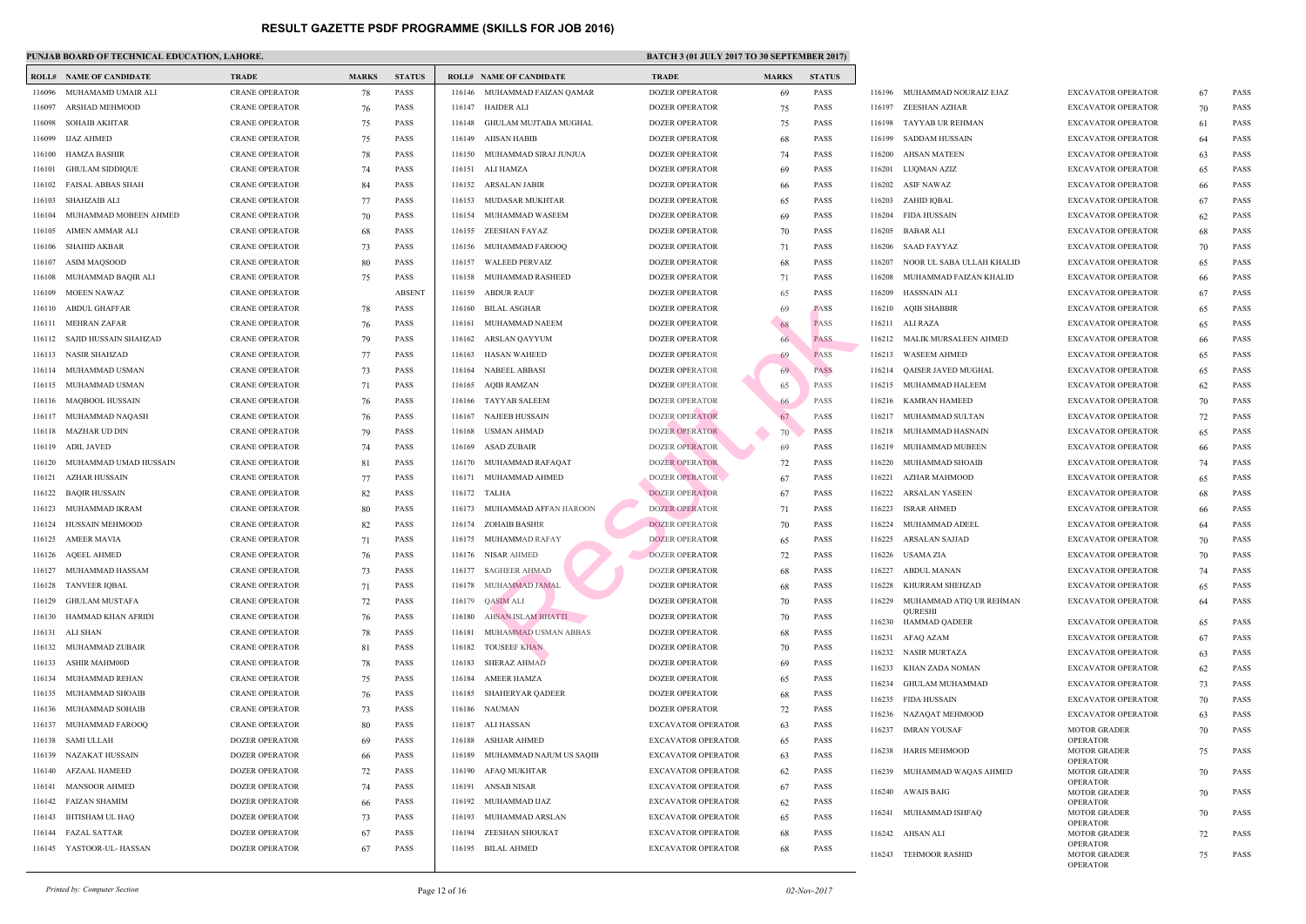|        | <b>ROLL# NAME OF CANDIDATE</b> | <b>TRADE</b>          | <b>MARKS</b> | <b>STATUS</b> |        | <b>ROLL# NAME OF CANDIDATE</b> | <b>TRAD</b>  |
|--------|--------------------------------|-----------------------|--------------|---------------|--------|--------------------------------|--------------|
| 116096 | MUHAMAMD UMAIR ALI             | <b>CRANE OPERATOR</b> | 78           | <b>PASS</b>   |        | 116146 MUHAMMAD FAIZAN QAMAR   | <b>DOZEI</b> |
| 116097 | ARSHAD MEHMOOD                 | <b>CRANE OPERATOR</b> | 76           | <b>PASS</b>   | 116147 | <b>HAIDER ALI</b>              | <b>DOZEI</b> |
| 116098 | SOHAIB AKHTAR                  | <b>CRANE OPERATOR</b> | 75           | PASS          | 116148 | GHULAM MUJTABA MUGHAL          | <b>DOZEI</b> |
| 116099 | <b>IJAZ AHMED</b>              | <b>CRANE OPERATOR</b> | 75           | <b>PASS</b>   | 116149 | AHSAN HABIB                    | <b>DOZEI</b> |
| 116100 | HAMZA BASHIR                   | <b>CRANE OPERATOR</b> | 78           | <b>PASS</b>   | 116150 | MUHAMMAD SIRAJ JUNJUA          | <b>DOZEI</b> |
| 116101 | <b>GHULAM SIDDIQUE</b>         | <b>CRANE OPERATOR</b> | 74           | <b>PASS</b>   | 116151 | ALI HAMZA                      | <b>DOZEI</b> |
| 116102 | FAISAL ABBAS SHAH              | <b>CRANE OPERATOR</b> | 84           | <b>PASS</b>   | 116152 | ARSALAN JABIR                  | <b>DOZEI</b> |
| 116103 | SHAHZAIB ALI                   | <b>CRANE OPERATOR</b> | 77           | <b>PASS</b>   | 116153 | MUDASAR MUKHTAR                | <b>DOZEI</b> |
| 116104 | MUHAMMAD MOBEEN AHMED          | <b>CRANE OPERATOR</b> | 70           | <b>PASS</b>   | 116154 | MUHAMMAD WASEEM                | <b>DOZEI</b> |
| 116105 | AIMEN AMMAR ALI                | <b>CRANE OPERATOR</b> | 68           | <b>PASS</b>   |        | 116155 ZEESHAN FAYAZ           | <b>DOZEI</b> |
| 116106 | SHAHID AKBAR                   | <b>CRANE OPERATOR</b> | 73           | <b>PASS</b>   | 116156 | MUHAMMAD FAROOQ                | <b>DOZEI</b> |
| 116107 | ASIM MAQSOOD                   | <b>CRANE OPERATOR</b> | 80           | <b>PASS</b>   | 116157 | <b>WALEED PERVAIZ</b>          | <b>DOZEI</b> |
| 116108 | MUHAMMAD BAQIR ALI             | <b>CRANE OPERATOR</b> | 75           | <b>PASS</b>   | 116158 | MUHAMMAD RASHEED               | <b>DOZEI</b> |
| 116109 | MOEEN NAWAZ                    | <b>CRANE OPERATOR</b> |              | <b>ABSENT</b> | 116159 | <b>ABDUR RAUF</b>              | <b>DOZEI</b> |
| 116110 | ABDUL GHAFFAR                  | <b>CRANE OPERATOR</b> | 78           | <b>PASS</b>   | 116160 | BILAL ASGHAR                   | <b>DOZEI</b> |
| 116111 | MEHRAN ZAFAR                   | <b>CRANE OPERATOR</b> | 76           | <b>PASS</b>   | 116161 | MUHAMMAD NAEEM                 | <b>DOZEI</b> |
| 116112 | SAJID HUSSAIN SHAHZAD          | <b>CRANE OPERATOR</b> | 79           | <b>PASS</b>   | 116162 | ARSLAN QAYYUM                  | <b>DOZEI</b> |
| 116113 | NASIR SHAHZAD                  | <b>CRANE OPERATOR</b> | 77           | <b>PASS</b>   | 116163 | <b>HASAN WAHEED</b>            | <b>DOZEI</b> |
| 116114 | MUHAMMAD USMAN                 | <b>CRANE OPERATOR</b> | 73           | <b>PASS</b>   | 116164 | NABEEL ABBASI                  | <b>DOZEI</b> |
| 116115 | MUHAMMAD USMAN                 | <b>CRANE OPERATOR</b> | 71           | <b>PASS</b>   | 116165 | AQIB RAMZAN                    | <b>DOZEI</b> |
| 116116 | MAQBOOL HUSSAIN                | <b>CRANE OPERATOR</b> | 76           | <b>PASS</b>   | 116166 | TAYYAB SALEEM                  | <b>DOZEI</b> |
| 116117 | MUHAMMAD NAQASH                | <b>CRANE OPERATOR</b> | 76           | <b>PASS</b>   | 116167 | NAJEEB HUSSAIN                 | <b>DOZEI</b> |
| 116118 | <b>MAZHAR UD DIN</b>           | <b>CRANE OPERATOR</b> | 79           | <b>PASS</b>   | 116168 | USMAN AHMAD                    | <b>DOZEI</b> |
| 116119 | ADIL JAVED                     | <b>CRANE OPERATOR</b> | 74           | <b>PASS</b>   | 116169 | ASAD ZUBAIR                    | <b>DOZEI</b> |
| 116120 | MUHAMMAD UMAD HUSSAIN          | <b>CRANE OPERATOR</b> | 81           | <b>PASS</b>   | 116170 | MUHAMMAD RAFAQAT               | <b>DOZEI</b> |
| 116121 | AZHAR HUSSAIN                  | <b>CRANE OPERATOR</b> | 77           | <b>PASS</b>   | 116171 | MUHAMMAD AHMED                 | <b>DOZEI</b> |
| 116122 | <b>BAQIR HUSSAIN</b>           | <b>CRANE OPERATOR</b> | 82           | <b>PASS</b>   |        | 116172 TALHA                   | <b>DOZEI</b> |
| 116123 | MUHAMMAD IKRAM                 | <b>CRANE OPERATOR</b> | 80           | <b>PASS</b>   | 116173 | MUHAMMAD AFFAN HAROON          | <b>DOZEI</b> |
| 116124 | HUSSAIN MEHMOOD                | <b>CRANE OPERATOR</b> | 82           | <b>PASS</b>   | 116174 | ZOHAIB BASHIR                  | <b>DOZEI</b> |
| 116125 | <b>AMEER MAVIA</b>             | <b>CRANE OPERATOR</b> | 71           | <b>PASS</b>   |        | 116175 MUHAMMAD RAFAY          | <b>DOZE</b>  |
|        | 116126 AQEEL AHMED             | <b>CRANE OPERATOR</b> | 76           | <b>PASS</b>   |        | 116176 NISAR AHMED             | <b>DOZEI</b> |
| 116127 | MUHAMMAD HASSAM                | <b>CRANE OPERATOR</b> | 73           | <b>PASS</b>   | 116177 | <b>SAGHEER AHMAD</b>           | <b>DOZEI</b> |
| 116128 | <b>TANVEER IQBAL</b>           | <b>CRANE OPERATOR</b> | 71           | PASS          | 116178 | MUHAMMAD JAMAL                 | <b>DOZEI</b> |
| 116129 | <b>GHULAM MUSTAFA</b>          | <b>CRANE OPERATOR</b> | 72           | <b>PASS</b>   | 116179 | <b>QASIM ALI</b>               | <b>DOZEI</b> |
| 116130 | HAMMAD KHAN AFRIDI             | <b>CRANE OPERATOR</b> | 76           | <b>PASS</b>   | 116180 | AHSAN ISLAM BHATTI             | <b>DOZEI</b> |
| 116131 | ALI SHAN                       | <b>CRANE OPERATOR</b> | 78           | PASS          | 116181 | MUHAMMAD USMAN ABBAS           | <b>DOZEI</b> |
| 116132 | MUHAMMAD ZUBAIR                | <b>CRANE OPERATOR</b> | 81           | PASS          | 116182 | <b>TOUSEEF KHAN</b>            | <b>DOZEI</b> |
| 116133 | <b>ASHIR MAHM00D</b>           | <b>CRANE OPERATOR</b> | 78           | PASS          | 116183 | <b>SHERAZ AHMAD</b>            | <b>DOZEI</b> |
| 116134 | MUHAMMAD REHAN                 | <b>CRANE OPERATOR</b> | 75           | <b>PASS</b>   | 116184 | <b>AMEER HAMZA</b>             | <b>DOZEI</b> |
| 116135 | MUHAMMAD SHOAIB                | <b>CRANE OPERATOR</b> | 76           | <b>PASS</b>   | 116185 | <b>SHAHERYAR QADEER</b>        | <b>DOZEI</b> |
| 116136 | MUHAMMAD SOHAIB                | <b>CRANE OPERATOR</b> | 73           | PASS          | 116186 | NAUMAN                         | <b>DOZEI</b> |
| 116137 | MUHAMMAD FAROOQ                | <b>CRANE OPERATOR</b> | 80           | <b>PASS</b>   | 116187 | ALI HASSAN                     | EXCA'        |
| 116138 | SAMI ULLAH                     | <b>DOZER OPERATOR</b> | 69           | <b>PASS</b>   | 116188 | ASHJAR AHMED                   | EXCA'        |
| 116139 | NAZAKAT HUSSAIN                | DOZER OPERATOR        | 66           | PASS          | 116189 | MUHAMMAD NAJUM US SAQIB        | EXCA'        |
| 116140 | AFZAAL HAMEED                  | DOZER OPERATOR        | 72           | <b>PASS</b>   | 116190 | AFAQ MUKHTAR                   | EXCA'        |
| 116141 | <b>MANSOOR AHMED</b>           | <b>DOZER OPERATOR</b> | 74           | <b>PASS</b>   | 116191 | <b>ANSAB NISAR</b>             | EXCA'        |
| 116142 | <b>FAIZAN SHAMIM</b>           | <b>DOZER OPERATOR</b> | 66           | PASS          | 116192 | MUHAMMAD IJAZ                  | EXCA'        |
| 116143 | <b>IHTISHAM UL HAQ</b>         | DOZER OPERATOR        | 73           | <b>PASS</b>   | 116193 | MUHAMMAD ARSLAN                | EXCA'        |
| 116144 | <b>FAZAL SATTAR</b>            | DOZER OPERATOR        | 67           | PASS          | 116194 | ZEESHAN SHOUKAT                | EXCA'        |
|        | 116145 YASTOOR-UL-HASSAN       | DOZER OPERATOR        | 67           | PASS          |        | 116195 BILAL AHMED             | EXCA'        |
|        |                                |                       |              |               |        |                                |              |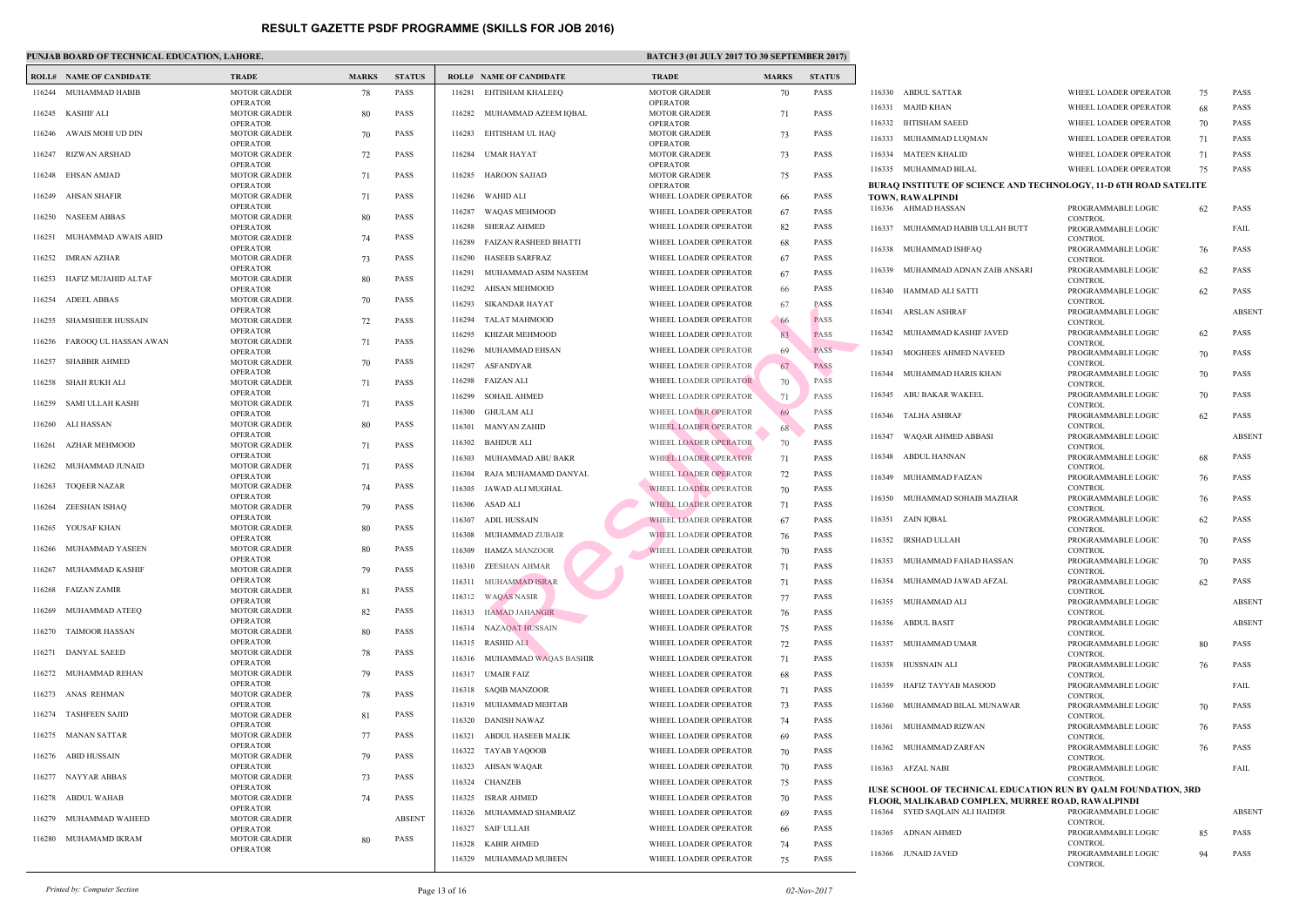### **PUNJAB BOARD OF TECHNICAL EDUCATION, LAHORE.** BATCH 3 (01 JULY 2017 TO 30 SEPTEMBER 2017 TO 30 SEPTEMBER 2017 TO 30 SEPTEMBER 2017 1

|        | <b>ROLL# NAME OF CANDIDATE</b> | <b>TRADE</b>                           | <b>MARKS</b> | <b>STATUS</b> |        | <b>ROLL# NAME OF CANDIDATE</b> | <b>TRAL</b>          |
|--------|--------------------------------|----------------------------------------|--------------|---------------|--------|--------------------------------|----------------------|
|        | 116244 MUHAMMAD HABIB          | <b>MOTOR GRADER</b>                    | 78           | <b>PASS</b>   |        | 116281 EHTISHAM KHALEEQ        | <b>MOTO</b>          |
|        |                                | <b>OPERATOR</b>                        |              |               |        |                                | OPER/                |
| 116245 | KASHIF ALI                     | <b>MOTOR GRADER</b><br><b>OPERATOR</b> | 80           | <b>PASS</b>   | 116282 | MUHAMMAD AZEEM IQBAL           | <b>MOTO</b><br>OPER/ |
|        | 116246 AWAIS MOHI UD DIN       | <b>MOTOR GRADER</b>                    | 70           | <b>PASS</b>   | 116283 | EHTISHAM UL HAQ                | <b>MOTO</b>          |
|        |                                | <b>OPERATOR</b>                        |              |               |        |                                | OPER/                |
| 116247 | <b>RIZWAN ARSHAD</b>           | <b>MOTOR GRADER</b><br><b>OPERATOR</b> | 72           | <b>PASS</b>   |        | 116284 UMAR HAYAT              | <b>MOTO</b><br>OPER/ |
| 116248 | EHSAN AMJAD                    | <b>MOTOR GRADER</b>                    | 71           | <b>PASS</b>   | 116285 | <b>HAROON SAJJAD</b>           | <b>MOTO</b>          |
|        |                                | <b>OPERATOR</b>                        |              |               |        |                                | OPER/                |
| 116249 | AHSAN SHAFIR                   | <b>MOTOR GRADER</b><br><b>OPERATOR</b> | 71           | <b>PASS</b>   | 116286 | WAHID ALI                      | <b>WHEE</b>          |
| 116250 | <b>NASEEM ABBAS</b>            | <b>MOTOR GRADER</b>                    | 80           | <b>PASS</b>   | 116287 | WAQAS MEHMOOD                  | <b>WHEE</b>          |
|        |                                | <b>OPERATOR</b>                        |              |               | 116288 | <b>SHERAZ AHMED</b>            | <b>WHEE</b>          |
| 116251 | MUHAMMAD AWAIS ABID            | <b>MOTOR GRADER</b>                    | 74           | <b>PASS</b>   | 116289 | <b>FAIZAN RASHEED BHATTI</b>   | <b>WHEE</b>          |
| 116252 | <b>IMRAN AZHAR</b>             | <b>OPERATOR</b><br><b>MOTOR GRADER</b> | 73           | <b>PASS</b>   | 116290 | <b>HASEEB SARFRAZ</b>          | <b>WHEE</b>          |
|        |                                | <b>OPERATOR</b>                        |              |               | 116291 | MUHAMMAD ASIM NASEEM           | <b>WHEE</b>          |
| 116253 | HAFIZ MUJAHID ALTAF            | <b>MOTOR GRADER</b>                    | 80           | <b>PASS</b>   | 116292 | AHSAN MEHMOOD                  | <b>WHEE</b>          |
|        | 116254 ADEEL ABBAS             | <b>OPERATOR</b><br><b>MOTOR GRADER</b> | 70           | <b>PASS</b>   |        |                                |                      |
|        |                                | <b>OPERATOR</b>                        |              |               | 116293 | <b>SIKANDAR HAYAT</b>          | <b>WHEE</b>          |
| 116255 | <b>SHAMSHEER HUSSAIN</b>       | <b>MOTOR GRADER</b>                    | 72           | <b>PASS</b>   | 116294 | TALAT MAHMOOD                  | <b>WHEE</b>          |
| 116256 | FAROOQ UL HASSAN AWAN          | <b>OPERATOR</b><br><b>MOTOR GRADER</b> | 71           | <b>PASS</b>   | 116295 | KHIZAR MEHMOOD                 | <b>WHEE</b>          |
|        |                                | <b>OPERATOR</b>                        |              |               | 116296 | MUHAMMAD EHSAN                 | <b>WHEE</b>          |
| 116257 | <b>SHABBIR AHMED</b>           | <b>MOTOR GRADER</b>                    | 70           | <b>PASS</b>   | 116297 | ASFANDYAR                      | <b>WHEE</b>          |
| 116258 | SHAH RUKH ALI                  | <b>OPERATOR</b><br><b>MOTOR GRADER</b> |              | <b>PASS</b>   | 116298 | <b>FAIZAN ALI</b>              | <b>WHEE</b>          |
|        |                                | <b>OPERATOR</b>                        | 71           |               | 116299 | <b>SOHAIL AHMED</b>            | <b>WHEE</b>          |
| 116259 | SAMI ULLAH KASHI               | <b>MOTOR GRADER</b>                    | 71           | <b>PASS</b>   |        |                                |                      |
|        |                                | <b>OPERATOR</b>                        |              |               | 116300 | GHULAM ALI                     | <b>WHEE</b>          |
|        | 116260 ALI HASSAN              | <b>MOTOR GRADER</b><br><b>OPERATOR</b> | 80           | <b>PASS</b>   | 116301 | MANYAN ZAHID                   | WHEE                 |
| 116261 | AZHAR MEHMOOD                  | <b>MOTOR GRADER</b>                    | 71           | <b>PASS</b>   | 116302 | <b>BAHDUR ALI</b>              | <b>WHEE</b>          |
|        |                                | <b>OPERATOR</b>                        |              |               | 116303 | MUHAMMAD ABU BAKR              | <b>WHEE</b>          |
| 116262 | MUHAMMAD JUNAID                | <b>MOTOR GRADER</b><br><b>OPERATOR</b> | 71           | <b>PASS</b>   | 116304 | RAJA MUHAMAMD DANYAL           | <b>WHEE</b>          |
| 116263 | <b>TOQEER NAZAR</b>            | <b>MOTOR GRADER</b>                    | 74           | <b>PASS</b>   | 116305 | JAWAD ALI MUGHAL               | <b>WHEE</b>          |
|        |                                | <b>OPERATOR</b>                        |              |               | 116306 | ASAD ALI                       | <b>WHEE</b>          |
| 116264 | ZEESHAN ISHAQ                  | <b>MOTOR GRADER</b><br><b>OPERATOR</b> | 79           | <b>PASS</b>   |        |                                |                      |
| 116265 | YOUSAF KHAN                    | <b>MOTOR GRADER</b>                    | 80           | <b>PASS</b>   | 116307 | ADIL HUSSAIN                   | <b>WHEE</b>          |
|        |                                | <b>OPERATOR</b>                        |              |               | 116308 | MUHAMMAD ZUBAIR                | <b>WHEE</b>          |
|        | 116266 MUHAMMAD YASEEN         | <b>MOTOR GRADER</b><br><b>OPERATOR</b> | 80           | <b>PASS</b>   |        | 116309 HAMZA MANZOOR           | <b>WHEE</b>          |
|        | 116267 MUHAMMAD KASHIF         | <b>MOTOR GRADER</b>                    | 79           | <b>PASS</b>   | 116310 | ZEESHAN AHMAR                  | <b>WHEE</b>          |
|        |                                | <b>OPERATOR</b>                        |              |               | 116311 | MUHAMMAD ISRAR                 | <b>WHEE</b>          |
| 116268 | FAIZAN ZAMIR                   | <b>MOTOR GRADER</b><br><b>OPERATOR</b> | 81           | <b>PASS</b>   | 116312 | <b>WAQAS NASIR</b>             | <b>WHEE</b>          |
| 116269 | MUHAMMAD ATEEO                 | <b>MOTOR GRADER</b>                    | 82           | <b>PASS</b>   | 116313 | <b>HAMAD JAHANGIR</b>          | <b>WHEE</b>          |
|        |                                | <b>OPERATOR</b>                        |              |               | 116314 | <b>NAZAQAT HUSSAIN</b>         | <b>WHEE</b>          |
| 116270 | <b>TAIMOOR HASSAN</b>          | <b>MOTOR GRADER</b><br><b>OPERATOR</b> | 80           | <b>PASS</b>   |        |                                |                      |
| 116271 | DANYAL SAEED                   | <b>MOTOR GRADER</b>                    | 78           | PASS          | 116315 | <b>RASHID ALI</b>              | <b>WHEE</b>          |
|        |                                | <b>OPERATOR</b>                        |              |               | 116316 | MUHAMMAD WAQAS BASHIR          | <b>WHEE</b>          |
| 116272 | MUHAMMAD REHAN                 | <b>MOTOR GRADER</b>                    | 79           | <b>PASS</b>   | 116317 | <b>UMAIR FAIZ</b>              | <b>WHEE</b>          |
|        | 116273 ANAS REHMAN             | <b>OPERATOR</b><br><b>MOTOR GRADER</b> | 78           | <b>PASS</b>   | 116318 | <b>SAQIB MANZOOR</b>           | <b>WHEE</b>          |
|        |                                | <b>OPERATOR</b>                        |              |               | 116319 | MUHAMMAD MEHTAB                | <b>WHEE</b>          |
|        | 116274 TASHFEEN SAJID          | <b>MOTOR GRADER</b>                    | 81           | PASS          | 116320 | DANISH NAWAZ                   | <b>WHEE</b>          |
| 116275 | MANAN SATTAR                   | <b>OPERATOR</b><br><b>MOTOR GRADER</b> | 77           | <b>PASS</b>   | 116321 | ABDUL HASEEB MALIK             | <b>WHEE</b>          |
|        |                                | <b>OPERATOR</b>                        |              |               |        |                                |                      |
|        | 116276 ABID HUSSAIN            | <b>MOTOR GRADER</b>                    | 79           | <b>PASS</b>   | 116322 | TAYAB YAQOOB                   | <b>WHEE</b>          |
|        |                                | <b>OPERATOR</b>                        |              |               | 116323 | AHSAN WAQAR                    | <b>WHEE</b>          |
| 116277 | <b>NAYYAR ABBAS</b>            | <b>MOTOR GRADER</b><br><b>OPERATOR</b> | 73           | <b>PASS</b>   | 116324 | <b>CHANZEB</b>                 | <b>WHEE</b>          |
| 116278 | <b>ABDUL WAHAB</b>             | <b>MOTOR GRADER</b>                    | 74           | PASS          | 116325 | ISRAR AHMED                    | <b>WHEE</b>          |
|        |                                | <b>OPERATOR</b>                        |              |               | 116326 | MUHAMMAD SHAMRAIZ              | <b>WHEE</b>          |
| 116279 | MUHAMMAD WAHEED                | <b>MOTOR GRADER</b><br><b>OPERATOR</b> |              | <b>ABSENT</b> | 116327 | <b>SAIF ULLAH</b>              | <b>WHEE</b>          |
|        | 116280 MUHAMAMD IKRAM          | <b>MOTOR GRADER</b>                    | 80           | <b>PASS</b>   |        | <b>KABIR AHMED</b>             | <b>WHEE</b>          |
|        |                                | <b>OPERATOR</b>                        |              |               | 116328 |                                |                      |
|        |                                |                                        |              |               |        | 116329 MUHAMMAD MUBEEN         | <b>WHEE</b>          |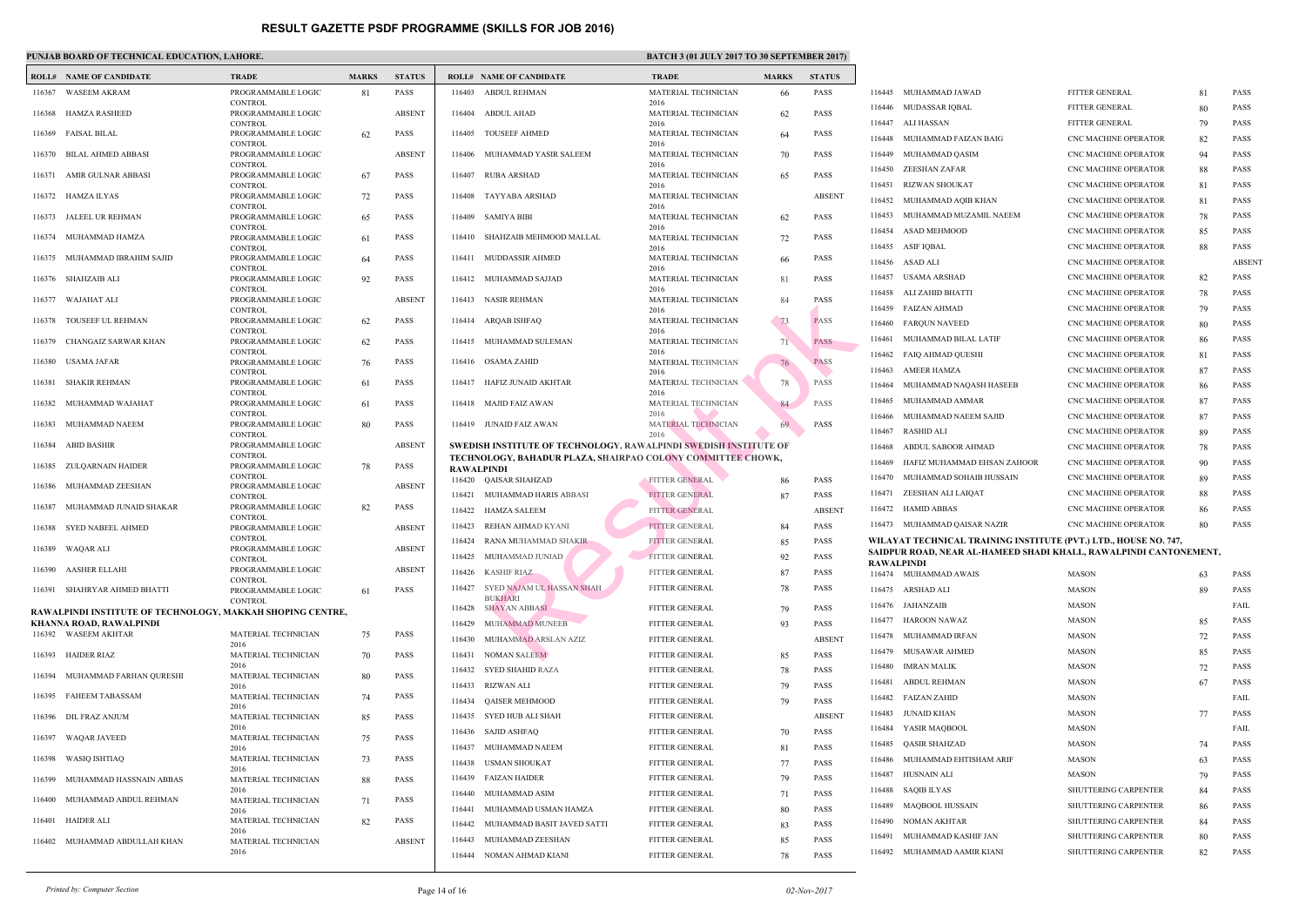### **PUNJAB BOARD OF TECHNICAL EDUCATION, LAHORE.** BATCH 3 (01 JULY 2017 TO 30 SEPTEMBER 2017 TO 30 SEPTEMBER 2017 TO 30 SEPTEMBER 2017 2017 13:30 SATCH 3 (01 JULY 2017 TO 30 SEPTEMBER 2017 TO 30 SEPTEMBER 2017 TO 30 SEPTEMBER

|        | <b>ROLL# NAME OF CANDIDATE</b>                             | <b>TRADE</b>                                           | <b>MARKS</b> | <b>STATUS</b> |                   | <b>ROLL# NAME OF CANDIDATE</b>                                                        | <b>TRAL</b>                    |
|--------|------------------------------------------------------------|--------------------------------------------------------|--------------|---------------|-------------------|---------------------------------------------------------------------------------------|--------------------------------|
| 116367 | <b>WASEEM AKRAM</b>                                        | PROGRAMMABLE LOGIC                                     | 81           | PASS          |                   | 116403 ABDUL REHMAN                                                                   | <b>MATE</b>                    |
| 116368 | HAMZA RASHEED                                              | <b>CONTROL</b><br>PROGRAMMABLE LOGIC<br><b>CONTROL</b> |              | <b>ABSENT</b> | 116404            | ABDUL AHAD                                                                            | 2016<br><b>MATE</b><br>2016    |
| 116369 | FAISAL BILAL                                               | PROGRAMMABLE LOGIC                                     | 62           | <b>PASS</b>   |                   | 116405 TOUSEEF AHMED                                                                  | <b>MATE</b>                    |
| 116370 | BILAL AHMED ABBASI                                         | <b>CONTROL</b><br>PROGRAMMABLE LOGIC<br><b>CONTROL</b> |              | <b>ABSENT</b> |                   | 116406 MUHAMMAD YASIR SALEEM                                                          | 2016<br><b>MATE</b><br>2016    |
| 116371 | AMIR GULNAR ABBASI                                         | PROGRAMMABLE LOGIC<br><b>CONTROL</b>                   | 67           | <b>PASS</b>   | 116407            | RUBA ARSHAD                                                                           | <b>MATE</b><br>2016            |
|        | 116372 HAMZA ILYAS                                         | PROGRAMMABLE LOGIC<br><b>CONTROL</b>                   | 72           | <b>PASS</b>   | 116408            | TAYYABA ARSHAD                                                                        | <b>MATE</b><br>2016            |
| 116373 | JALEEL UR REHMAN                                           | PROGRAMMABLE LOGIC<br><b>CONTROL</b>                   | 65           | <b>PASS</b>   | 116409            | <b>SAMIYA BIBI</b>                                                                    | <b>MATE</b><br>2016            |
| 116374 | MUHAMMAD HAMZA                                             | PROGRAMMABLE LOGIC<br><b>CONTROL</b>                   | 61           | <b>PASS</b>   | 116410            | SHAHZAIB MEHMOOD MALLAL                                                               | <b>MATE</b><br>2016            |
| 116375 | MUHAMMAD IBRAHIM SAJID                                     | PROGRAMMABLE LOGIC<br><b>CONTROL</b>                   | 64           | <b>PASS</b>   | 116411            | MUDDASSIR AHMED                                                                       | <b>MATE</b><br>2016            |
|        | 116376 SHAHZAIB ALI                                        | PROGRAMMABLE LOGIC<br><b>CONTROL</b>                   | 92           | <b>PASS</b>   |                   | 116412 MUHAMMAD SAJJAD                                                                | <b>MATE</b><br>2016            |
| 116377 | WAJAHAT ALI                                                | PROGRAMMABLE LOGIC<br><b>CONTROL</b>                   |              | <b>ABSENT</b> |                   | 116413 NASIR REHMAN                                                                   | <b>MATE</b><br>2016            |
| 116378 | TOUSEEF UL REHMAN                                          | PROGRAMMABLE LOGIC<br><b>CONTROL</b>                   | 62           | <b>PASS</b>   |                   | 116414 ARQAB ISHFAQ                                                                   | <b>MATE</b><br>2016            |
| 116379 | CHANGAIZ SARWAR KHAN                                       | PROGRAMMABLE LOGIC<br><b>CONTROL</b>                   | 62           | <b>PASS</b>   |                   | 116415 MUHAMMAD SULEMAN                                                               | <b>MATE</b><br>2016            |
| 116380 | USAMA JAFAR                                                | PROGRAMMABLE LOGIC<br><b>CONTROL</b>                   | 76           | <b>PASS</b>   |                   | 116416 OSAMA ZAHID                                                                    | <b>MATE</b><br>2016            |
| 116381 | SHAKIR REHMAN                                              | PROGRAMMABLE LOGIC<br><b>CONTROL</b>                   | 61           | PASS          |                   | 116417 HAFIZ JUNAID AKHTAR                                                            | <b>MATE</b><br>2016            |
| 116382 | MUHAMMAD WAJAHAT                                           | PROGRAMMABLE LOGIC<br><b>CONTROL</b>                   | 61           | <b>PASS</b>   | 116418            | MAJID FAIZ AWAN                                                                       | <b>MATE</b><br>2016            |
| 116383 | MUHAMMAD NAEEM                                             | PROGRAMMABLE LOGIC<br><b>CONTROL</b>                   | 80           | <b>PASS</b>   |                   | 116419 JUNAID FAIZ AWAN                                                               | <b>MATE</b><br>2016            |
| 116384 | ABID BASHIR                                                | PROGRAMMABLE LOGIC<br><b>CONTROL</b>                   |              | <b>ABSENT</b> |                   | SWEDISH INSTITUTE OF TECHNOLOGY, RAWALPIN<br>TECHNOLOGY, BAHADUR PLAZA, SHAIRPAO COLO |                                |
| 116385 | ZULQARNAIN HAIDER                                          | PROGRAMMABLE LOGIC<br><b>CONTROL</b>                   | 78           | PASS          | <b>RAWALPINDI</b> |                                                                                       |                                |
| 116386 | MUHAMMAD ZEESHAN                                           | PROGRAMMABLE LOGIC<br><b>CONTROL</b>                   |              | <b>ABSENT</b> |                   | 116420 QAISAR SHAHZAD<br>116421 MUHAMMAD HARIS ABBASI                                 | <b>FITTEI</b><br><b>FITTEI</b> |
| 116387 | MUHAMMAD JUNAID SHAKAR                                     | PROGRAMMABLE LOGIC<br><b>CONTROL</b>                   | 82           | PASS          |                   | 116422 HAMZA SALEEM                                                                   | <b>FITTEI</b>                  |
| 116388 | SYED NABEEL AHMED                                          | PROGRAMMABLE LOGIC<br><b>CONTROL</b>                   |              | <b>ABSENT</b> | 116423<br>116424  | REHAN AHMAD KYANI<br>RANA MUHAMMAD SHAKIR                                             | <b>FITTEI</b><br><b>FITTEI</b> |
|        | 116389 WAQAR ALI                                           | PROGRAMMABLE LOGIC<br><b>CONTROL</b>                   |              | <b>ABSENT</b> | 116425            | MUHAMMAD JUNIAD                                                                       | <b>FITTEI</b>                  |
|        | 116390 AASHER ELLAHI                                       | PROGRAMMABLE LOGIC<br><b>CONTROL</b>                   |              | <b>ABSENT</b> | 116426            | <b>KASHIF RIAZ</b>                                                                    | <b>FITTEI</b>                  |
| 116391 | SHAHRYAR AHMED BHATTI                                      | PROGRAMMABLE LOGIC<br><b>CONTROL</b>                   | 61           | PASS          | 116427            | SYED NAJAM UL HASSAN SHAH<br><b>BUKHARI</b>                                           | <b>FITTEI</b>                  |
|        | RAWALPINDI INSTITUTE OF TECHNOLOGY, MAKKAH SHOPING CENTRE, |                                                        |              |               | 116428            | <b>SHAYAN ABBASI</b>                                                                  | <b>FITTEI</b>                  |
|        | KHANNA ROAD, RAWALPINDI<br>116392 WASEEM AKHTAR            | MATERIAL TECHNICIAN                                    | 75           | <b>PASS</b>   | 116429            | <b>MUHAMMAD MUNEEB</b>                                                                | <b>FITTEI</b>                  |
|        |                                                            | 2016                                                   |              |               | 116430            | MUHAMMAD ARSLAN AZIZ                                                                  | <b>FITTEI</b>                  |
| 116393 | HAIDER RIAZ                                                | MATERIAL TECHNICIAN<br>2016                            | 70           | <b>PASS</b>   | 116431<br>116432  | <b>NOMAN SALEEM</b><br>SYED SHAHID RAZA                                               | <b>FITTEI</b><br><b>FITTEI</b> |
| 116394 | MUHAMMAD FARHAN QURESHI                                    | MATERIAL TECHNICIAN<br>2016                            | 80           | PASS          | 116433            | RIZWAN ALI                                                                            | <b>FITTEI</b>                  |
| 116395 | <b>FAHEEM TABASSAM</b>                                     | MATERIAL TECHNICIAN<br>2016                            | 74           | <b>PASS</b>   | 116434            | <b>QAISER MEHMOOD</b><br>SYED HUB ALI SHAH                                            | <b>FITTEI</b><br><b>FITTEI</b> |
| 116396 | DIL FRAZ ANJUM                                             | MATERIAL TECHNICIAN<br>2016                            | 85           | PASS          | 116435<br>116436  | <b>SAJID ASHFAQ</b>                                                                   | <b>FITTEI</b>                  |
| 116397 | <b>WAQAR JAVEED</b>                                        | MATERIAL TECHNICIAN<br>2016                            | 75           | <b>PASS</b>   | 116437            | MUHAMMAD NAEEM                                                                        | <b>FITTEI</b>                  |
| 116398 | <b>WASIQ ISHTIAQ</b>                                       | MATERIAL TECHNICIAN<br>2016                            | 73           | PASS          | 116438            | <b>USMAN SHOUKAT</b>                                                                  | <b>FITTEI</b>                  |
| 116399 | MUHAMMAD HASSNAIN ABBAS                                    | MATERIAL TECHNICIAN<br>2016                            | 88           | <b>PASS</b>   | 116439<br>116440  | <b>FAIZAN HAIDER</b><br>MUHAMMAD ASIM                                                 | <b>FITTEI</b><br><b>FITTEI</b> |
| 116400 | MUHAMMAD ABDUL REHMAN                                      | MATERIAL TECHNICIAN<br>2016                            | 71           | PASS          | 116441            | MUHAMMAD USMAN HAMZA                                                                  | <b>FITTEI</b>                  |
| 116401 | <b>HAIDER ALI</b>                                          | MATERIAL TECHNICIAN<br>2016                            | 82           | PASS          | 116442            | MUHAMMAD BASIT JAVED SATTI                                                            | <b>FITTEI</b>                  |
| 116402 | MUHAMMAD ABDULLAH KHAN                                     | MATERIAL TECHNICIAN<br>2016                            |              | <b>ABSENT</b> | 116443            | MUHAMMAD ZEESHAN                                                                      | <b>FITTEI</b>                  |
|        |                                                            |                                                        |              |               |                   | 116444 NOMAN AHMAD KIANI                                                              | <b>FITTE</b>                   |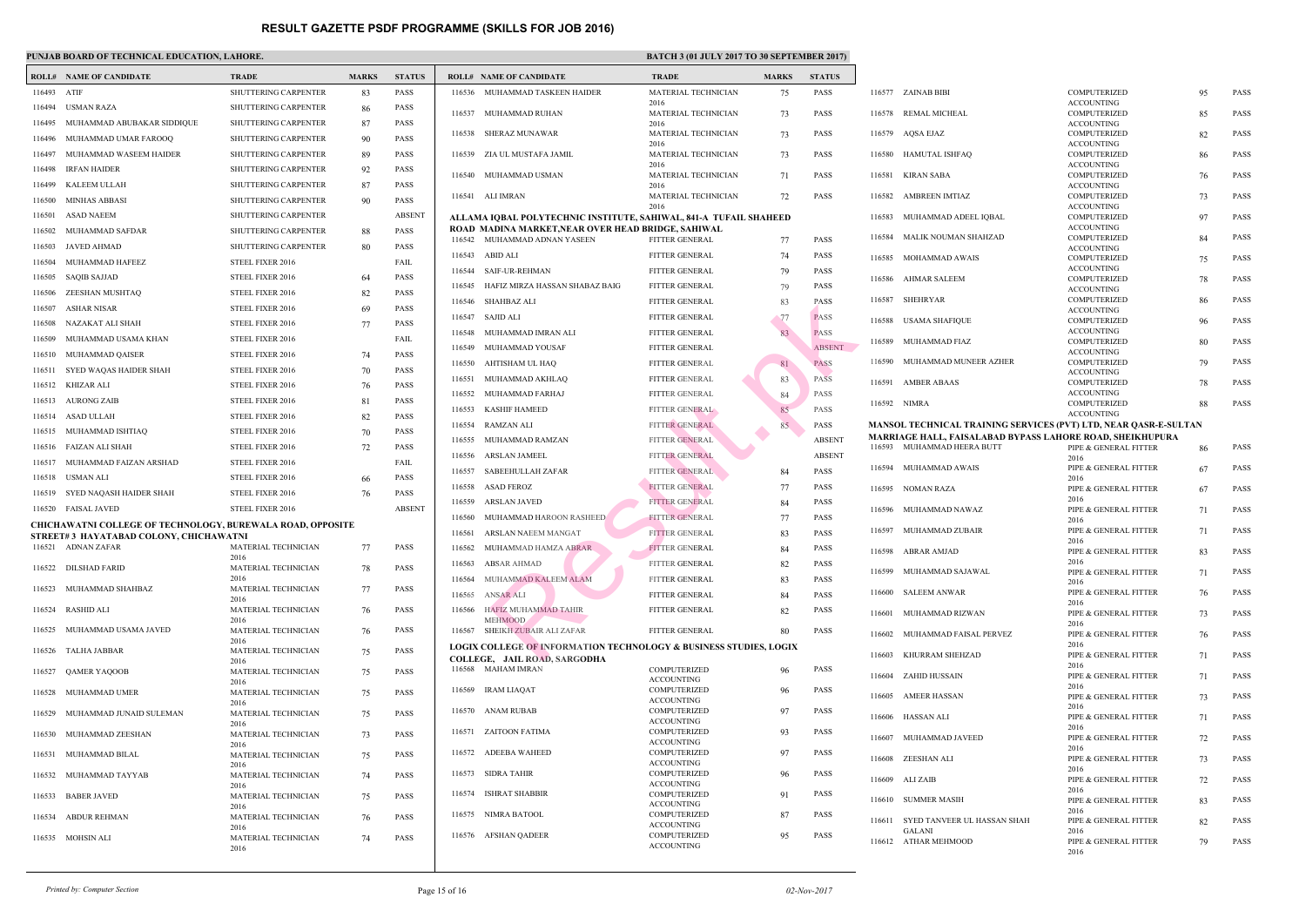### **PUNJAB BOARD OF TECHNICAL EDUCATION, LAHORE.** BATCH 3 (01 JULY 2017 TO 30 SEPTEMBER 2017 TO 30 SEPTEMBER 2017 TO 30 SEPTEMBER 2017 2017 13:30 SEPTEMBER 30 SEPTEMBER 30 SEPTEMBER 30 SEPTEMBER 30 SEPTEMBER 30 SEPTEMBER 30 S

|             | <b>ROLL# NAME OF CANDIDATE</b>                                    | <b>TRADE</b>                | <b>MARKS</b> | <b>STATUS</b> |        | <b>ROLL# NAME OF CANDIDATE</b>                     | <b>TRAL</b>                |
|-------------|-------------------------------------------------------------------|-----------------------------|--------------|---------------|--------|----------------------------------------------------|----------------------------|
| 116493 ATIF |                                                                   | SHUTTERING CARPENTER        | 83           | <b>PASS</b>   |        | 116536 MUHAMMAD TASKEEN HAIDER                     | <b>MATE</b>                |
| 116494      | USMAN RAZA                                                        | SHUTTERING CARPENTER        | 86           | PASS          | 116537 | MUHAMMAD RUHAN                                     | 2016<br><b>MATE</b>        |
| 116495      | MUHAMMAD ABUBAKAR SIDDIQUE                                        | <b>SHUTTERING CARPENTER</b> | 87           | PASS          |        |                                                    | 2016                       |
| 116496      | MUHAMMAD UMAR FAROOQ                                              | <b>SHUTTERING CARPENTER</b> | 90           | PASS          |        | 116538 SHERAZ MUNAWAR                              | <b>MATE</b><br>2016        |
| 116497      | MUHAMMAD WASEEM HAIDER                                            | <b>SHUTTERING CARPENTER</b> | 89           | <b>PASS</b>   |        | 116539 ZIA UL MUSTAFA JAMIL                        | <b>MATE</b>                |
| 116498      | IRFAN HAIDER                                                      | <b>SHUTTERING CARPENTER</b> | 92           | <b>PASS</b>   |        | 116540 MUHAMMAD USMAN                              | 2016<br><b>MATE</b>        |
| 116499      | KALEEM ULLAH                                                      | <b>SHUTTERING CARPENTER</b> | 87           | <b>PASS</b>   |        |                                                    | 2016                       |
| 116500      | MINHAS ABBASI                                                     | <b>SHUTTERING CARPENTER</b> | 90           | PASS          |        | 116541 ALI IMRAN                                   | <b>MATE</b>                |
| 116501      | <b>ASAD NAEEM</b>                                                 | <b>SHUTTERING CARPENTER</b> |              | <b>ABSENT</b> |        | ALLAMA IOBAL POLYTECHNIC INSTITUTE, SAHIW.         | 2016                       |
| 116502      | MUHAMMAD SAFDAR                                                   | <b>SHUTTERING CARPENTER</b> | 88           | <b>PASS</b>   |        | ROAD MADINA MARKET, NEAR OVER HEAD BRIDG           |                            |
| 116503      | <b>JAVED AHMAD</b>                                                | SHUTTERING CARPENTER        | 80           | PASS          |        | 116542 MUHAMMAD ADNAN YASEEN                       | <b>FITTEI</b>              |
| 116504      | MUHAMMAD HAFEEZ                                                   | STEEL FIXER 2016            |              | FAIL          | 116543 | ABID ALI                                           | <b>FITTEI</b>              |
| 116505      | SAQIB SAJJAD                                                      | STEEL FIXER 2016            | 64           | PASS          | 116544 | SAIF-UR-REHMAN                                     | <b>FITTEI</b>              |
| 116506      | ZEESHAN MUSHTAQ                                                   | STEEL FIXER 2016            | 82           | PASS          | 116545 | HAFIZ MIRZA HASSAN SHABAZ BAIG                     | <b>FITTEI</b>              |
| 116507      | <b>ASHAR NISAR</b>                                                | STEEL FIXER 2016            | 69           | <b>PASS</b>   |        | 116546 SHAHBAZ ALI                                 | <b>FITTEI</b>              |
| 116508      | NAZAKAT ALI SHAH                                                  | STEEL FIXER 2016            | 77           | PASS          | 116547 | SAJID ALI                                          | <b>FITTEI</b>              |
| 116509      | MUHAMMAD USAMA KHAN                                               | STEEL FIXER 2016            |              | FAIL          | 116548 | MUHAMMAD IMRAN ALI                                 | <b>FITTEI</b>              |
| 116510      | MUHAMMAD QAISER                                                   | STEEL FIXER 2016            | 74           | <b>PASS</b>   | 116549 | MUHAMMAD YOUSAF                                    | <b>FITTEI</b>              |
| 116511      | SYED WAQAS HAIDER SHAH                                            | STEEL FIXER 2016            | 70           | <b>PASS</b>   | 116550 | AHTISHAM UL HAQ                                    | <b>FITTEI</b>              |
| 116512      | KHIZAR ALI                                                        | STEEL FIXER 2016            | 76           | <b>PASS</b>   | 116551 | MUHAMMAD AKHLAQ                                    | <b>FITTEI</b>              |
| 116513      | <b>AURONG ZAIB</b>                                                | STEEL FIXER 2016            | 81           | PASS          | 116552 | MUHAMMAD FARHAJ                                    | <b>FITTEI</b>              |
| 116514      | ASAD ULLAH                                                        |                             |              | <b>PASS</b>   | 116553 | <b>KASHIF HAMEED</b>                               | <b>FITTEI</b>              |
|             |                                                                   | STEEL FIXER 2016            | 82           |               | 116554 | RAMZAN ALI                                         | <b>FITTEI</b>              |
| 116515      | MUHAMMAD ISHTIAQ                                                  | STEEL FIXER 2016            | 70           | <b>PASS</b>   | 116555 | MUHAMMAD RAMZAN                                    | <b>FITTEI</b>              |
| 116516      | FAIZAN ALI SHAH                                                   | STEEL FIXER 2016            | 72           | PASS          | 116556 | ARSLAN JAMEEL                                      | <b>FITTEI</b>              |
| 116517      | MUHAMMAD FAIZAN ARSHAD                                            | STEEL FIXER 2016            |              | FAIL          | 116557 | SABEEHULLAH ZAFAR                                  | <b>FITTEI</b>              |
| 116518      | USMAN ALI                                                         | STEEL FIXER 2016            | 66           | <b>PASS</b>   | 116558 | <b>ASAD FEROZ</b>                                  | <b>FITTEI</b>              |
| 116519      | SYED NAOASH HAIDER SHAH                                           | STEEL FIXER 2016            | 76           | PASS          | 116559 | ARSLAN JAVED                                       | <b>FITTEI</b>              |
| 116520      | <b>FAISAL JAVED</b>                                               | STEEL FIXER 2016            |              | <b>ABSENT</b> | 116560 | MUHAMMAD HAROON RASHEED                            | <b>FITTEI</b>              |
|             | <b>CHICHAWATNI COLLEGE OF TECHNOLOGY, BUREWALA ROAD, OPPOSITE</b> |                             |              |               | 116561 | ARSLAN NAEEM MANGAT                                | <b>FITTE</b>               |
|             | STREET# 3 HAYATABAD COLONY, CHICHAWATNI<br>116521 ADNAN ZAFAR     | MATERIAL TECHNICIAN         | 77           | <b>PASS</b>   |        | 116562 MUHAMMAD HAMZA ABRAR                        | <b>FITTEI</b>              |
|             |                                                                   | 2016                        |              |               | 116563 | <b>ABSAR AHMAD</b>                                 | <b>FITTEI</b>              |
|             | 116522 DILSHAD FARID                                              | MATERIAL TECHNICIAN<br>2016 | 78           | <b>PASS</b>   | 116564 | MUHAMMAD KALEEM ALAM                               | <b>FITTEI</b>              |
|             | 116523 MUHAMMAD SHAHBAZ                                           | MATERIAL TECHNICIAN         | 77           | PASS          |        | 116565 ANSAR ALI                                   | <b>FITTEI</b>              |
| 116524      | RASHID ALI                                                        | 2016<br>MATERIAL TECHNICIAN | 76           | PASS          | 116566 | HAFIZ MUHAMMAD TAHIR                               | <b>FITTEI</b>              |
|             |                                                                   | 2016                        |              |               |        | <b>MEHMOOD</b>                                     |                            |
| 116525      | MUHAMMAD USAMA JAVED                                              | MATERIAL TECHNICIAN         | 76           | PASS          |        | 116567 SHEIKH ZUBAIR ALI ZAFAR                     | <b>FITTEI</b>              |
| 116526      | TALHA JABBAR                                                      | 2016<br>MATERIAL TECHNICIAN | 75           | PASS          |        | <b>LOGIX COLLEGE OF INFORMATION TECHNOLOGY</b>     |                            |
|             |                                                                   | 2016                        |              |               |        | COLLEGE, JAIL ROAD, SARGODHA<br>116568 MAHAM IMRAN | <b>COMP</b>                |
| 116527      | <b>QAMER YAQOOB</b>                                               | MATERIAL TECHNICIAN<br>2016 | 75           | PASS          |        |                                                    | <b>ACCO</b>                |
| 116528      | MUHAMMAD UMER                                                     | MATERIAL TECHNICIAN         | 75           | PASS          | 116569 | <b>IRAM LIAQAT</b>                                 | <b>COMP</b>                |
| 116529      | MUHAMMAD JUNAID SULEMAN                                           | 2016<br>MATERIAL TECHNICIAN | 75           | PASS          |        | 116570 ANAM RUBAB                                  | <b>ACCO</b><br><b>COMP</b> |
|             |                                                                   | 2016                        |              |               |        |                                                    | <b>ACCO</b>                |
|             | 116530 MUHAMMAD ZEESHAN                                           | MATERIAL TECHNICIAN<br>2016 | 73           | PASS          |        | 116571 ZAITOON FATIMA                              | <b>COMP</b><br><b>ACCO</b> |
| 116531      | MUHAMMAD BILAL                                                    | MATERIAL TECHNICIAN         | 75           | PASS          | 116572 | ADEEBA WAHEED                                      | <b>COMP</b>                |
|             |                                                                   | 2016                        |              |               |        | 116573 SIDRA TAHIR                                 | <b>ACCO</b><br><b>COMP</b> |
| 116532      | MUHAMMAD TAYYAB                                                   | MATERIAL TECHNICIAN<br>2016 | 74           | PASS          |        |                                                    | <b>ACCO</b>                |
| 116533      | <b>BABER JAVED</b>                                                | MATERIAL TECHNICIAN         | 75           | PASS          | 116574 | <b>ISHRAT SHABBIR</b>                              | <b>COMP</b><br><b>ACCO</b> |
| 116534      | ABDUR REHMAN                                                      | 2016<br>MATERIAL TECHNICIAN | 76           | PASS          | 116575 | NIMRA BATOOL                                       | <b>COMP</b>                |
|             |                                                                   | 2016                        |              |               |        |                                                    | <b>ACCO</b>                |
|             | 116535 MOHSIN ALI                                                 | MATERIAL TECHNICIAN<br>2016 | 74           | PASS          |        | 116576 AFSHAN QADEER                               | <b>COMP</b><br><b>ACCO</b> |
|             |                                                                   |                             |              |               |        |                                                    |                            |